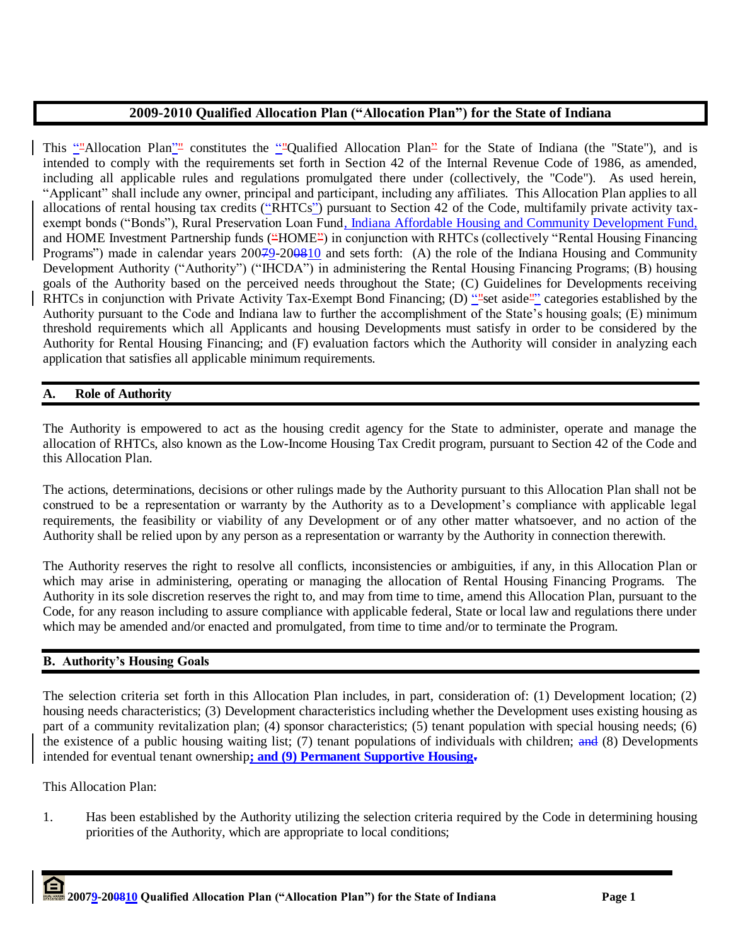# **2009-2010 Qualified Allocation Plan ("Allocation Plan") for the State of Indiana**

This ""Allocation Plan"" constitutes the ""Qualified Allocation Plan" for the State of Indiana (the "State"), and is intended to comply with the requirements set forth in Section 42 of the Internal Revenue Code of 1986, as amended, including all applicable rules and regulations promulgated there under (collectively, the "Code"). As used herein, "Applicant" shall include any owner, principal and participant, including any affiliates. This Allocation Plan applies to all allocations of rental housing tax credits ("RHTCs") pursuant to Section 42 of the Code, multifamily private activity taxexempt bonds ("Bonds"), Rural Preservation Loan Fund, Indiana Affordable Housing and Community Development Fund, and HOME Investment Partnership funds ("HOME") in conjunction with RHTCs (collectively "Rental Housing Financing Programs") made in calendar years 20079-200810 and sets forth: (A) the role of the Indiana Housing and Community Development Authority ("Authority") ("IHCDA") in administering the Rental Housing Financing Programs; (B) housing goals of the Authority based on the perceived needs throughout the State; (C) Guidelines for Developments receiving RHTCs in conjunction with Private Activity Tax-Exempt Bond Financing; (D) ""set aside"" categories established by the Authority pursuant to the Code and Indiana law to further the accomplishment of the State"s housing goals; (E) minimum threshold requirements which all Applicants and housing Developments must satisfy in order to be considered by the Authority for Rental Housing Financing; and (F) evaluation factors which the Authority will consider in analyzing each application that satisfies all applicable minimum requirements.

# **A. Role of Authority**

The Authority is empowered to act as the housing credit agency for the State to administer, operate and manage the allocation of RHTCs, also known as the Low-Income Housing Tax Credit program, pursuant to Section 42 of the Code and this Allocation Plan.

The actions, determinations, decisions or other rulings made by the Authority pursuant to this Allocation Plan shall not be construed to be a representation or warranty by the Authority as to a Development"s compliance with applicable legal requirements, the feasibility or viability of any Development or of any other matter whatsoever, and no action of the Authority shall be relied upon by any person as a representation or warranty by the Authority in connection therewith.

The Authority reserves the right to resolve all conflicts, inconsistencies or ambiguities, if any, in this Allocation Plan or which may arise in administering, operating or managing the allocation of Rental Housing Financing Programs. The Authority in its sole discretion reserves the right to, and may from time to time, amend this Allocation Plan, pursuant to the Code, for any reason including to assure compliance with applicable federal, State or local law and regulations there under which may be amended and/or enacted and promulgated, from time to time and/or to terminate the Program.

# **B. Authority's Housing Goals**

The selection criteria set forth in this Allocation Plan includes, in part, consideration of: (1) Development location; (2) housing needs characteristics; (3) Development characteristics including whether the Development uses existing housing as part of a community revitalization plan; (4) sponsor characteristics; (5) tenant population with special housing needs; (6) the existence of a public housing waiting list;  $(7)$  tenant populations of individuals with children; and  $(8)$  Developments intended for eventual tenant ownership**; and (9) Permanent Supportive Housing.**

This Allocation Plan:

1. Has been established by the Authority utilizing the selection criteria required by the Code in determining housing priorities of the Authority, which are appropriate to local conditions;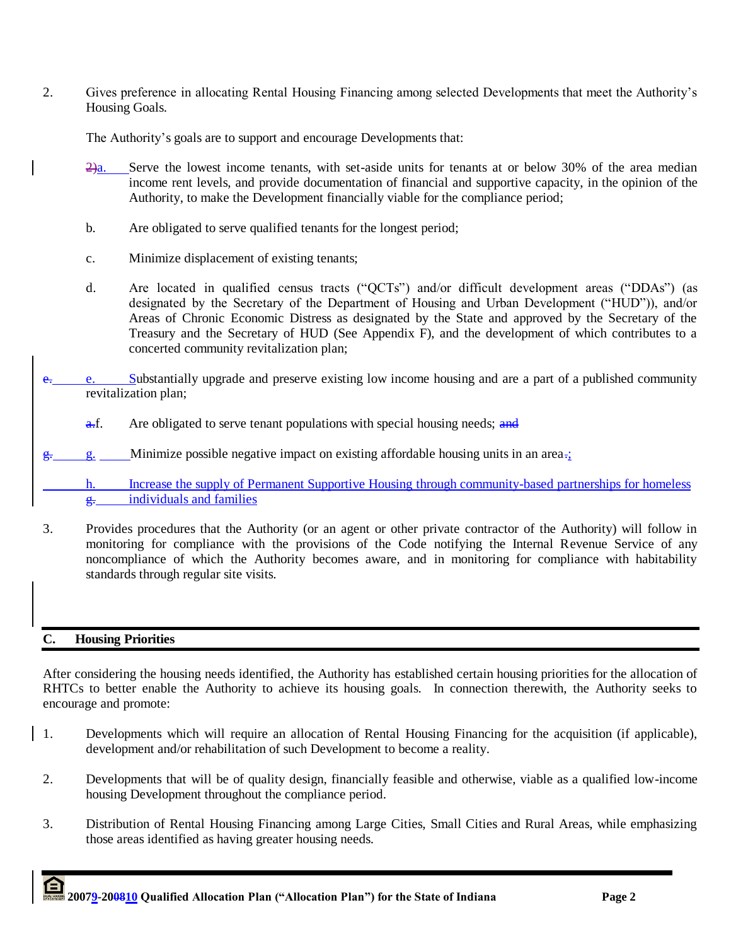2. Gives preference in allocating Rental Housing Financing among selected Developments that meet the Authority"s Housing Goals.

The Authority's goals are to support and encourage Developments that:

- $\frac{2}{a}$ . Serve the lowest income tenants, with set-aside units for tenants at or below 30% of the area median income rent levels, and provide documentation of financial and supportive capacity, in the opinion of the Authority, to make the Development financially viable for the compliance period;
- b. Are obligated to serve qualified tenants for the longest period;
- c. Minimize displacement of existing tenants;
- d. Are located in qualified census tracts ("QCTs") and/or difficult development areas ("DDAs") (as designated by the Secretary of the Department of Housing and Urban Development ("HUD")), and/or Areas of Chronic Economic Distress as designated by the State and approved by the Secretary of the Treasury and the Secretary of HUD (See Appendix F), and the development of which contributes to a concerted community revitalization plan;
- e. e. Substantially upgrade and preserve existing low income housing and are a part of a published community revitalization plan;
	- $\frac{a}{b}$ . Are obligated to serve tenant populations with special housing needs; and
- g. g. Minimize possible negative impact on existing affordable housing units in an area.;

h. Increase the supply of Permanent Supportive Housing through community-based partnerships for homeless  $\frac{g}{g}$  individuals and families

3. Provides procedures that the Authority (or an agent or other private contractor of the Authority) will follow in monitoring for compliance with the provisions of the Code notifying the Internal Revenue Service of any noncompliance of which the Authority becomes aware, and in monitoring for compliance with habitability standards through regular site visits.

# **C. Housing Priorities**

After considering the housing needs identified, the Authority has established certain housing priorities for the allocation of RHTCs to better enable the Authority to achieve its housing goals. In connection therewith, the Authority seeks to encourage and promote:

- 1. Developments which will require an allocation of Rental Housing Financing for the acquisition (if applicable), development and/or rehabilitation of such Development to become a reality.
- 2. Developments that will be of quality design, financially feasible and otherwise, viable as a qualified low-income housing Development throughout the compliance period.
- 3. Distribution of Rental Housing Financing among Large Cities, Small Cities and Rural Areas, while emphasizing those areas identified as having greater housing needs.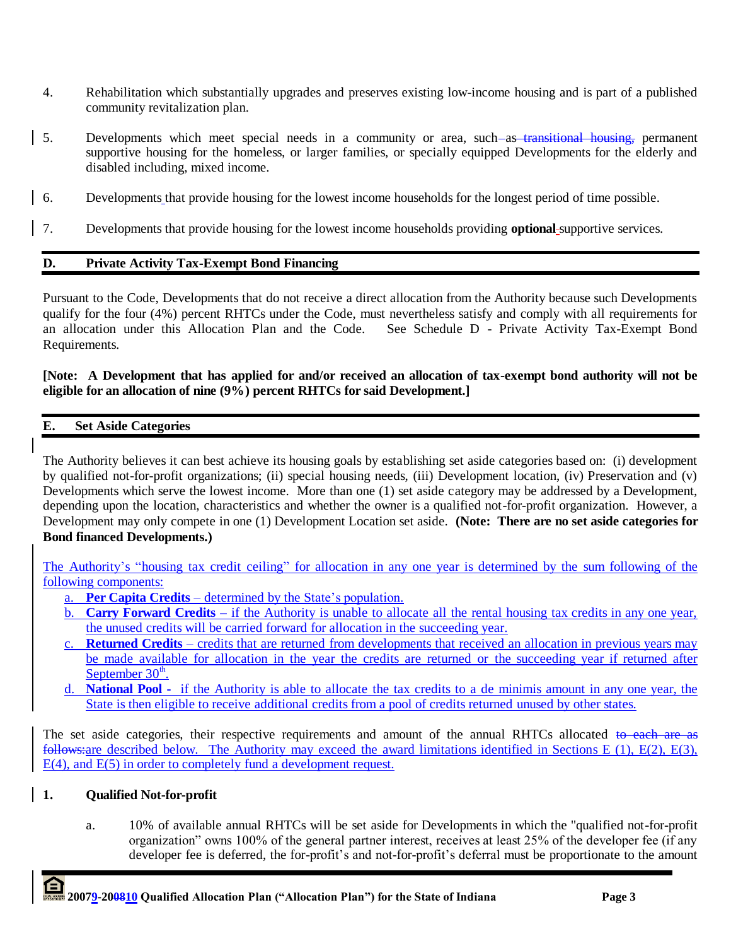- 4. Rehabilitation which substantially upgrades and preserves existing low-income housing and is part of a published community revitalization plan.
- 5. Developments which meet special needs in a community or area, such-as-transitional housing, permanent supportive housing for the homeless, or larger families, or specially equipped Developments for the elderly and disabled including, mixed income.
- 6. Developments that provide housing for the lowest income households for the longest period of time possible.
- 7. Developments that provide housing for the lowest income households providing **optional** supportive services.

## **D. Private Activity Tax-Exempt Bond Financing**

Pursuant to the Code, Developments that do not receive a direct allocation from the Authority because such Developments qualify for the four (4%) percent RHTCs under the Code, must nevertheless satisfy and comply with all requirements for an allocation under this Allocation Plan and the Code. See Schedule D - Private Activity Tax-Exempt Bond Requirements.

## **[Note: A Development that has applied for and/or received an allocation of tax-exempt bond authority will not be eligible for an allocation of nine (9%) percent RHTCs for said Development.]**

## **E. Set Aside Categories**

The Authority believes it can best achieve its housing goals by establishing set aside categories based on: (i) development by qualified not-for-profit organizations; (ii) special housing needs, (iii) Development location, (iv) Preservation and (v) Developments which serve the lowest income. More than one (1) set aside category may be addressed by a Development, depending upon the location, characteristics and whether the owner is a qualified not-for-profit organization. However, a Development may only compete in one (1) Development Location set aside. **(Note: There are no set aside categories for Bond financed Developments.)**

The Authority's "housing tax credit ceiling" for allocation in any one year is determined by the sum following of the following components:

- a. **Per Capita Credits** determined by the State"s population.
- b. **Carry Forward Credits –** if the Authority is unable to allocate all the rental housing tax credits in any one year, the unused credits will be carried forward for allocation in the succeeding year.
- c. **Returned Credits** credits that are returned from developments that received an allocation in previous years may be made available for allocation in the year the credits are returned or the succeeding year if returned after September 30<sup>th</sup>.
- d. **National Pool -** if the Authority is able to allocate the tax credits to a de minimis amount in any one year, the State is then eligible to receive additional credits from a pool of credits returned unused by other states.

The set aside categories, their respective requirements and amount of the annual RHTCs allocated to each are as follows:are described below. The Authority may exceed the award limitations identified in Sections E (1), E(2), E(3), E(4), and E(5) in order to completely fund a development request.

## **1. Qualified Not-for-profit**

a. 10% of available annual RHTCs will be set aside for Developments in which the "qualified not-for-profit organization" owns 100% of the general partner interest, receives at least 25% of the developer fee (if any developer fee is deferred, the for-profit's and not-for-profit's deferral must be proportionate to the amount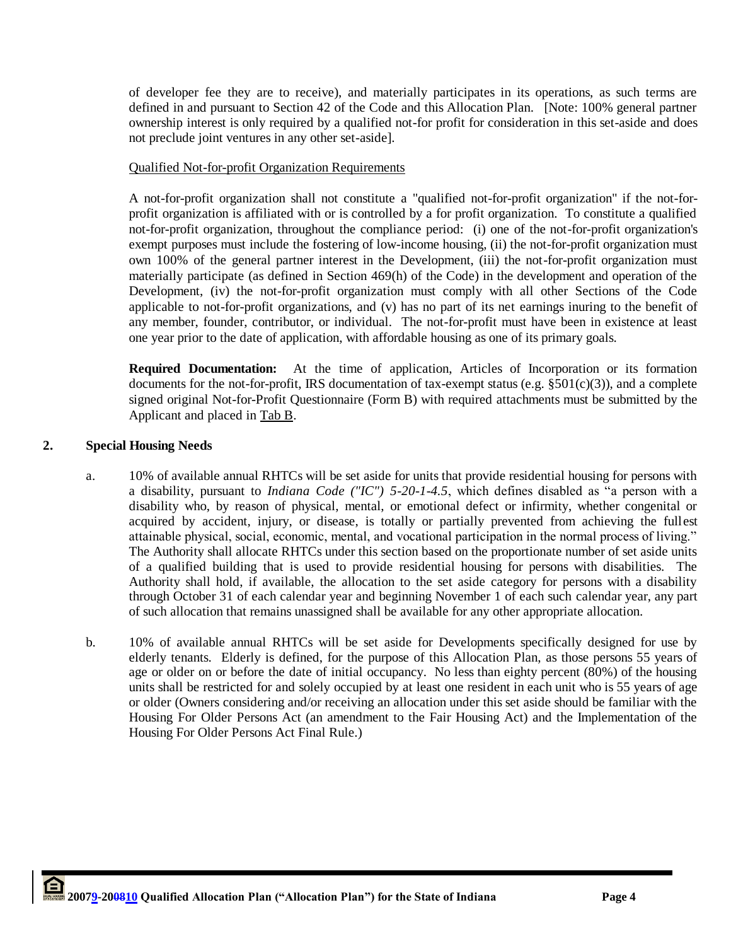of developer fee they are to receive), and materially participates in its operations, as such terms are defined in and pursuant to Section 42 of the Code and this Allocation Plan. [Note: 100% general partner ownership interest is only required by a qualified not-for profit for consideration in this set-aside and does not preclude joint ventures in any other set-aside].

## Qualified Not-for-profit Organization Requirements

A not-for-profit organization shall not constitute a "qualified not-for-profit organization" if the not-forprofit organization is affiliated with or is controlled by a for profit organization. To constitute a qualified not-for-profit organization, throughout the compliance period: (i) one of the not-for-profit organization's exempt purposes must include the fostering of low-income housing, (ii) the not-for-profit organization must own 100% of the general partner interest in the Development, (iii) the not-for-profit organization must materially participate (as defined in Section 469(h) of the Code) in the development and operation of the Development, (iv) the not-for-profit organization must comply with all other Sections of the Code applicable to not-for-profit organizations, and (v) has no part of its net earnings inuring to the benefit of any member, founder, contributor, or individual. The not-for-profit must have been in existence at least one year prior to the date of application, with affordable housing as one of its primary goals.

**Required Documentation:** At the time of application, Articles of Incorporation or its formation documents for the not-for-profit, IRS documentation of tax-exempt status (e.g.  $\S501(c)(3)$ ), and a complete signed original Not-for-Profit Questionnaire (Form B) with required attachments must be submitted by the Applicant and placed in Tab B.

## **2. Special Housing Needs**

- a. 10% of available annual RHTCs will be set aside for units that provide residential housing for persons with a disability, pursuant to *Indiana Code ("IC") 5-20-1-4.5*, which defines disabled as "a person with a disability who, by reason of physical, mental, or emotional defect or infirmity, whether congenital or acquired by accident, injury, or disease, is totally or partially prevented from achieving the fullest attainable physical, social, economic, mental, and vocational participation in the normal process of living." The Authority shall allocate RHTCs under this section based on the proportionate number of set aside units of a qualified building that is used to provide residential housing for persons with disabilities. The Authority shall hold, if available, the allocation to the set aside category for persons with a disability through October 31 of each calendar year and beginning November 1 of each such calendar year, any part of such allocation that remains unassigned shall be available for any other appropriate allocation.
- b. 10% of available annual RHTCs will be set aside for Developments specifically designed for use by elderly tenants. Elderly is defined, for the purpose of this Allocation Plan, as those persons 55 years of age or older on or before the date of initial occupancy. No less than eighty percent (80%) of the housing units shall be restricted for and solely occupied by at least one resident in each unit who is 55 years of age or older (Owners considering and/or receiving an allocation under this set aside should be familiar with the Housing For Older Persons Act (an amendment to the Fair Housing Act) and the Implementation of the Housing For Older Persons Act Final Rule.)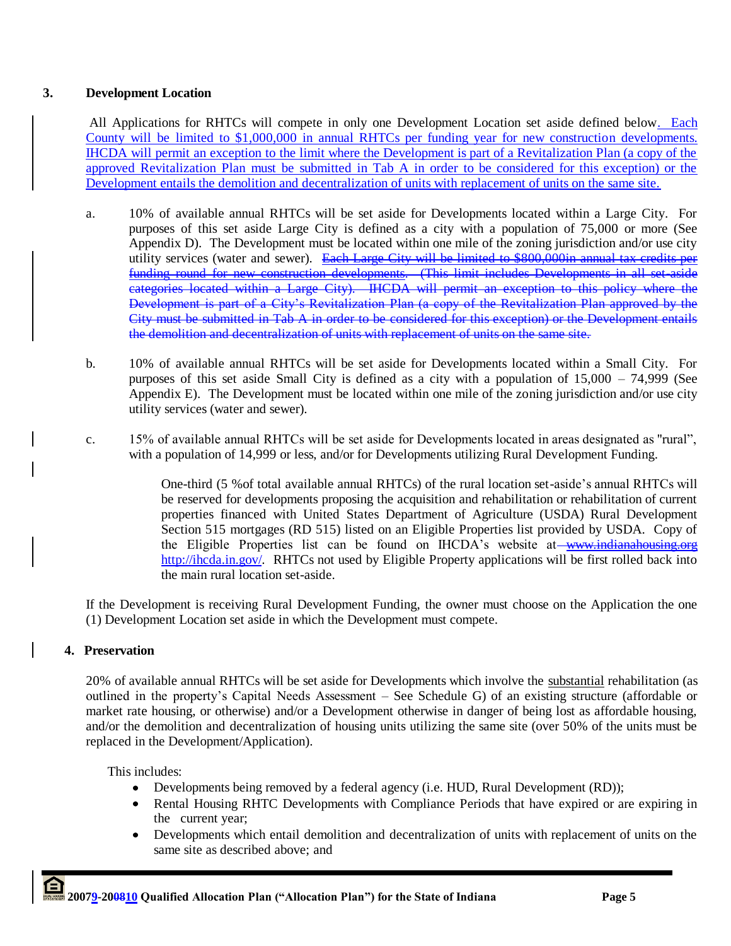# **3. Development Location**

All Applications for RHTCs will compete in only one Development Location set aside defined below. Each County will be limited to \$1,000,000 in annual RHTCs per funding year for new construction developments. IHCDA will permit an exception to the limit where the Development is part of a Revitalization Plan (a copy of the approved Revitalization Plan must be submitted in Tab A in order to be considered for this exception) or the Development entails the demolition and decentralization of units with replacement of units on the same site.

- a. 10% of available annual RHTCs will be set aside for Developments located within a Large City. For purposes of this set aside Large City is defined as a city with a population of 75,000 or more (See Appendix D). The Development must be located within one mile of the zoning jurisdiction and/or use city utility services (water and sewer). Each Large City will be limited to \$800,000in annual tax credits per funding round for new construction developments. (This limit includes Developments in all set-aside categories located within a Large City). IHCDA will permit an exception to this policy where the Development is part of a City"s Revitalization Plan (a copy of the Revitalization Plan approved by the City must be submitted in Tab A in order to be considered for this exception) or the Development entails the demolition and decentralization of units with replacement of units on the same site.
- b. 10% of available annual RHTCs will be set aside for Developments located within a Small City. For purposes of this set aside Small City is defined as a city with a population of 15,000 – 74,999 (See Appendix E). The Development must be located within one mile of the zoning jurisdiction and/or use city utility services (water and sewer).
- c. 15% of available annual RHTCs will be set aside for Developments located in areas designated as "rural", with a population of 14,999 or less, and/or for Developments utilizing Rural Development Funding.

One-third (5 %of total available annual RHTCs) of the rural location set-aside"s annual RHTCs will be reserved for developments proposing the acquisition and rehabilitation or rehabilitation of current properties financed with United States Department of Agriculture (USDA) Rural Development Section 515 mortgages (RD 515) listed on an Eligible Properties list provided by USDA. Copy of the Eligible Properties list can be found on IHCDA's website at [www.indianahousing.org](http://www.indianahousing.org/) <http://ihcda.in.gov/>. RHTCs not used by Eligible Property applications will be first rolled back into the main rural location set-aside.

If the Development is receiving Rural Development Funding, the owner must choose on the Application the one (1) Development Location set aside in which the Development must compete.

# **4. Preservation**

20% of available annual RHTCs will be set aside for Developments which involve the substantial rehabilitation (as outlined in the property"s Capital Needs Assessment – See Schedule G) of an existing structure (affordable or market rate housing, or otherwise) and/or a Development otherwise in danger of being lost as affordable housing, and/or the demolition and decentralization of housing units utilizing the same site (over 50% of the units must be replaced in the Development/Application).

This includes:

- Developments being removed by a federal agency (i.e. HUD, Rural Development (RD));  $\bullet$
- Rental Housing RHTC Developments with Compliance Periods that have expired or are expiring in  $\bullet$ the current year;
- Developments which entail demolition and decentralization of units with replacement of units on the  $\bullet$ same site as described above; and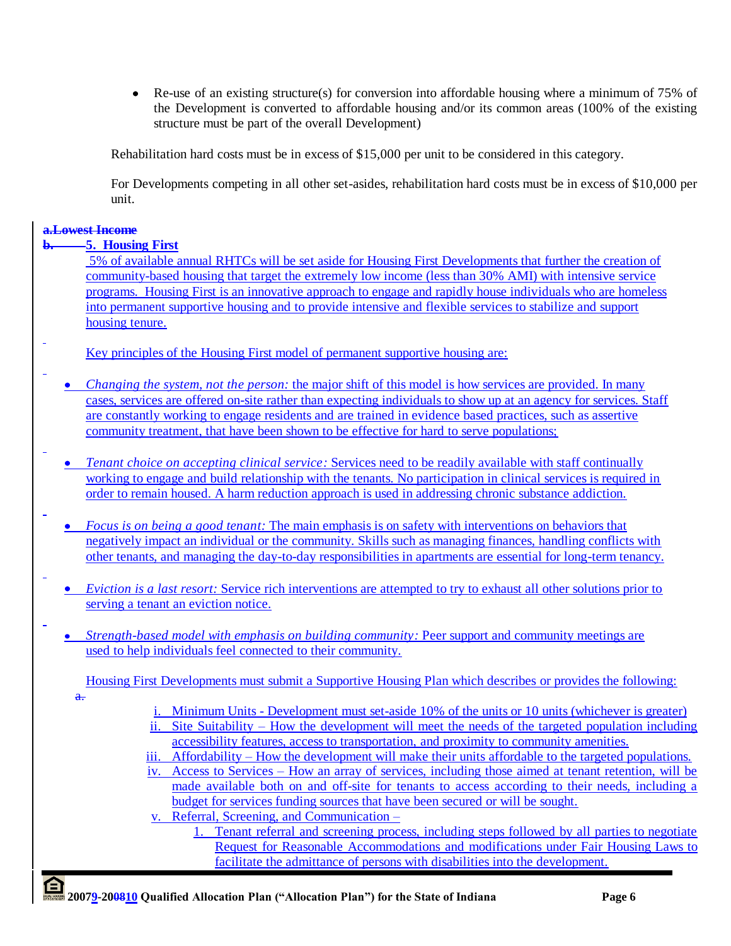$\bullet$  Re-use of an existing structure(s) for conversion into affordable housing where a minimum of 75% of the Development is converted to affordable housing and/or its common areas (100% of the existing structure must be part of the overall Development)

Rehabilitation hard costs must be in excess of \$15,000 per unit to be considered in this category.

For Developments competing in all other set-asides, rehabilitation hard costs must be in excess of \$10,000 per unit.

## **a.Lowest Income**

## **b. 5. Housing First**

5% of available annual RHTCs will be set aside for Housing First Developments that further the creation of community-based housing that target the extremely low income (less than 30% AMI) with intensive service programs. Housing First is an innovative approach to engage and rapidly house individuals who are homeless into permanent supportive housing and to provide intensive and flexible services to stabilize and support housing tenure.

- Key principles of the Housing First model of permanent supportive housing are:
	- *Changing the system, not the person:* the major shift of this model is how services are provided. In many cases, services are offered on-site rather than expecting individuals to show up at an agency for services. Staff are constantly working to engage residents and are trained in evidence based practices, such as assertive community treatment, that have been shown to be effective for hard to serve populations;
	- *Tenant choice on accepting clinical service:* Services need to be readily available with staff continually working to engage and build relationship with the tenants. No participation in clinical services is required in order to remain housed. A harm reduction approach is used in addressing chronic substance addiction.
	- *Focus is on being a good tenant:* The main emphasis is on safety with interventions on behaviors that negatively impact an individual or the community. Skills such as managing finances, handling conflicts with other tenants, and managing the day-to-day responsibilities in apartments are essential for long-term tenancy.
	- *Eviction is a last resort:* Service rich interventions are attempted to try to exhaust all other solutions prior to serving a tenant an eviction notice.
	- *Strength-based model with emphasis on building community:* Peer support and community meetings are used to help individuals feel connected to their community.

Housing First Developments must submit a Supportive Housing Plan which describes or provides the following:

- $\ddot{a}$ .
- i. Minimum Units Development must set-aside 10% of the units or 10 units (whichever is greater) ii. Site Suitability – How the development will meet the needs of the targeted population including accessibility features, access to transportation, and proximity to community amenities.
- iii. Affordability How the development will make their units affordable to the targeted populations.
- iv. Access to Services How an array of services, including those aimed at tenant retention, will be made available both on and off-site for tenants to access according to their needs, including a budget for services funding sources that have been secured or will be sought.
- v. Referral, Screening, and Communication
	- 1. Tenant referral and screening process, including steps followed by all parties to negotiate Request for Reasonable Accommodations and modifications under Fair Housing Laws to facilitate the admittance of persons with disabilities into the development.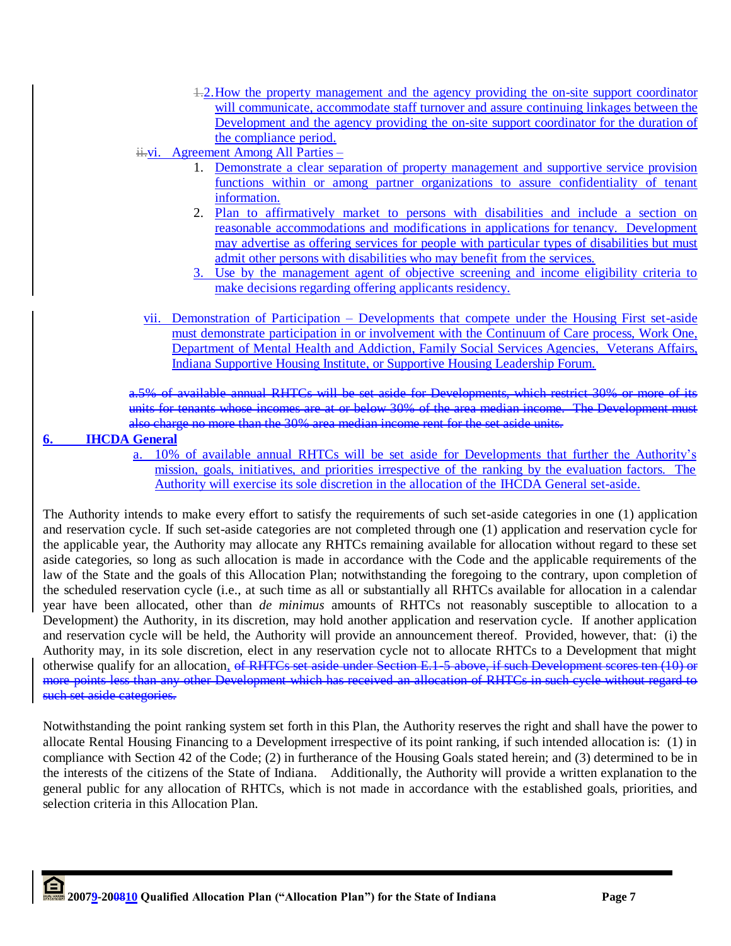- 1.2.How the property management and the agency providing the on-site support coordinator will communicate, accommodate staff turnover and assure continuing linkages between the Development and the agency providing the on-site support coordinator for the duration of the compliance period.
- ii. vi. Agreement Among All Parties
	- 1. Demonstrate a clear separation of property management and supportive service provision functions within or among partner organizations to assure confidentiality of tenant information.
	- 2. Plan to affirmatively market to persons with disabilities and include a section on reasonable accommodations and modifications in applications for tenancy. Development may advertise as offering services for people with particular types of disabilities but must admit other persons with disabilities who may benefit from the services.
	- 3. Use by the management agent of objective screening and income eligibility criteria to make decisions regarding offering applicants residency.
	- vii. Demonstration of Participation Developments that compete under the Housing First set-aside must demonstrate participation in or involvement with the Continuum of Care process, Work One, Department of Mental Health and Addiction, Family Social Services Agencies, Veterans Affairs, Indiana Supportive Housing Institute, or Supportive Housing Leadership Forum.

a.5% of available annual RHTCs will be set aside for Developments, which restrict 30% or more of its units for tenants whose incomes are at or below 30% of the area median income. The Development must also charge no more than the 30% area median income rent for the set aside units.

## **6. IHCDA General**

a. 10% of available annual RHTCs will be set aside for Developments that further the Authority"s mission, goals, initiatives, and priorities irrespective of the ranking by the evaluation factors. The Authority will exercise its sole discretion in the allocation of the IHCDA General set-aside.

The Authority intends to make every effort to satisfy the requirements of such set-aside categories in one (1) application and reservation cycle. If such set-aside categories are not completed through one (1) application and reservation cycle for the applicable year, the Authority may allocate any RHTCs remaining available for allocation without regard to these set aside categories, so long as such allocation is made in accordance with the Code and the applicable requirements of the law of the State and the goals of this Allocation Plan; notwithstanding the foregoing to the contrary, upon completion of the scheduled reservation cycle (i.e., at such time as all or substantially all RHTCs available for allocation in a calendar year have been allocated, other than *de minimus* amounts of RHTCs not reasonably susceptible to allocation to a Development) the Authority, in its discretion, may hold another application and reservation cycle. If another application and reservation cycle will be held, the Authority will provide an announcement thereof. Provided, however, that: (i) the Authority may, in its sole discretion, elect in any reservation cycle not to allocate RHTCs to a Development that might otherwise qualify for an allocation, of RHTCs set aside under Section E.1-5 above, if such Development scores ten (10) or more points less than any other Development which has received an allocation of RHTCs in such cycle without regard to such set aside categories.

Notwithstanding the point ranking system set forth in this Plan, the Authority reserves the right and shall have the power to allocate Rental Housing Financing to a Development irrespective of its point ranking, if such intended allocation is: (1) in compliance with Section 42 of the Code; (2) in furtherance of the Housing Goals stated herein; and (3) determined to be in the interests of the citizens of the State of Indiana. Additionally, the Authority will provide a written explanation to the general public for any allocation of RHTCs, which is not made in accordance with the established goals, priorities, and selection criteria in this Allocation Plan.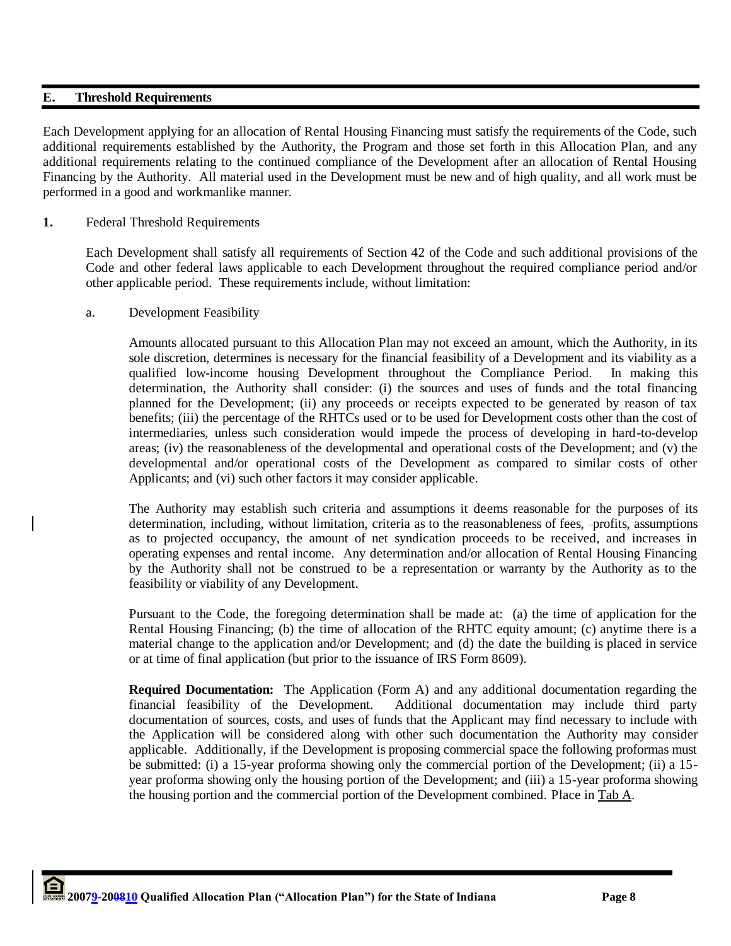## **E. Threshold Requirements**

Each Development applying for an allocation of Rental Housing Financing must satisfy the requirements of the Code, such additional requirements established by the Authority, the Program and those set forth in this Allocation Plan, and any additional requirements relating to the continued compliance of the Development after an allocation of Rental Housing Financing by the Authority. All material used in the Development must be new and of high quality, and all work must be performed in a good and workmanlike manner.

## **1.** Federal Threshold Requirements

Each Development shall satisfy all requirements of Section 42 of the Code and such additional provisions of the Code and other federal laws applicable to each Development throughout the required compliance period and/or other applicable period. These requirements include, without limitation:

## a. Development Feasibility

Amounts allocated pursuant to this Allocation Plan may not exceed an amount, which the Authority, in its sole discretion, determines is necessary for the financial feasibility of a Development and its viability as a qualified low-income housing Development throughout the Compliance Period. In making this determination, the Authority shall consider: (i) the sources and uses of funds and the total financing planned for the Development; (ii) any proceeds or receipts expected to be generated by reason of tax benefits; (iii) the percentage of the RHTCs used or to be used for Development costs other than the cost of intermediaries, unless such consideration would impede the process of developing in hard-to-develop areas; (iv) the reasonableness of the developmental and operational costs of the Development; and (v) the developmental and/or operational costs of the Development as compared to similar costs of other Applicants; and (vi) such other factors it may consider applicable.

The Authority may establish such criteria and assumptions it deems reasonable for the purposes of its determination, including, without limitation, criteria as to the reasonableness of fees, -profits, assumptions as to projected occupancy, the amount of net syndication proceeds to be received, and increases in operating expenses and rental income. Any determination and/or allocation of Rental Housing Financing by the Authority shall not be construed to be a representation or warranty by the Authority as to the feasibility or viability of any Development.

Pursuant to the Code, the foregoing determination shall be made at: (a) the time of application for the Rental Housing Financing; (b) the time of allocation of the RHTC equity amount; (c) anytime there is a material change to the application and/or Development; and (d) the date the building is placed in service or at time of final application (but prior to the issuance of IRS Form 8609).

**Required Documentation:** The Application (Form A) and any additional documentation regarding the financial feasibility of the Development. Additional documentation may include third party documentation of sources, costs, and uses of funds that the Applicant may find necessary to include with the Application will be considered along with other such documentation the Authority may consider applicable. Additionally, if the Development is proposing commercial space the following proformas must be submitted: (i) a 15-year proforma showing only the commercial portion of the Development; (ii) a 15 year proforma showing only the housing portion of the Development; and (iii) a 15-year proforma showing the housing portion and the commercial portion of the Development combined. Place in Tab A.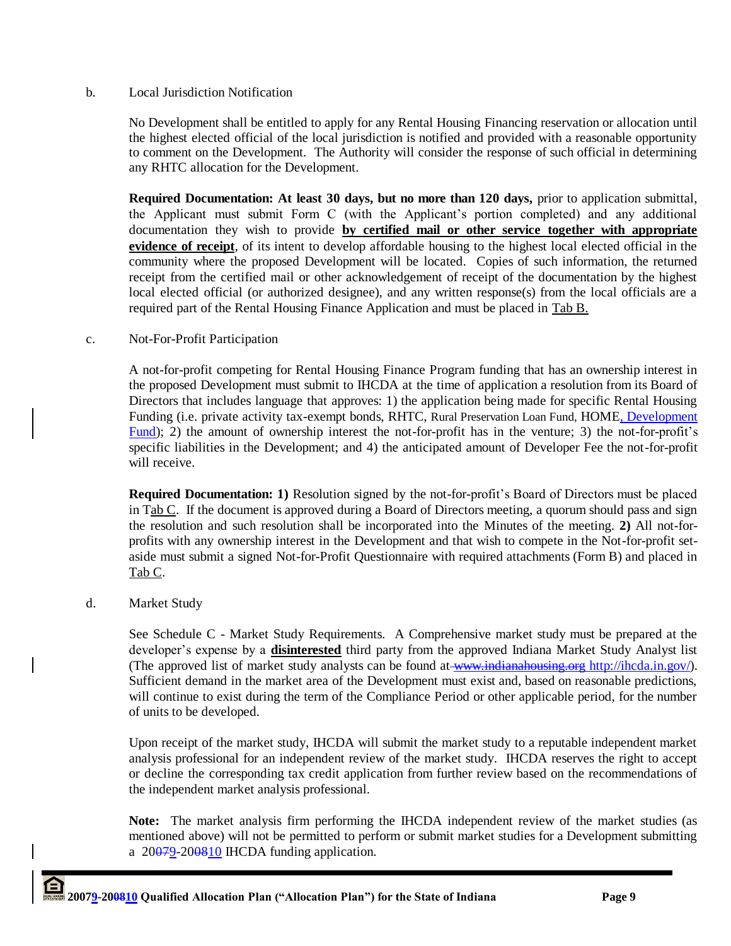## b. Local Jurisdiction Notification

No Development shall be entitled to apply for any Rental Housing Financing reservation or allocation until the highest elected official of the local jurisdiction is notified and provided with a reasonable opportunity to comment on the Development. The Authority will consider the response of such official in determining any RHTC allocation for the Development.

**Required Documentation: At least 30 days, but no more than 120 days,** prior to application submittal, the Applicant must submit Form C (with the Applicant"s portion completed) and any additional documentation they wish to provide **by certified mail or other service together with appropriate evidence of receipt**, of its intent to develop affordable housing to the highest local elected official in the community where the proposed Development will be located. Copies of such information, the returned receipt from the certified mail or other acknowledgement of receipt of the documentation by the highest local elected official (or authorized designee), and any written response(s) from the local officials are a required part of the Rental Housing Finance Application and must be placed in Tab B.

## c. Not-For-Profit Participation

A not-for-profit competing for Rental Housing Finance Program funding that has an ownership interest in the proposed Development must submit to IHCDA at the time of application a resolution from its Board of Directors that includes language that approves: 1) the application being made for specific Rental Housing Funding (i.e. private activity tax-exempt bonds, RHTC, Rural Preservation Loan Fund, HOME, Development Fund); 2) the amount of ownership interest the not-for-profit has in the venture; 3) the not-for-profit's specific liabilities in the Development; and 4) the anticipated amount of Developer Fee the not-for-profit will receive.

**Required Documentation: 1)** Resolution signed by the not-for-profit"s Board of Directors must be placed in Tab  $C$ . If the document is approved during a Board of Directors meeting, a quorum should pass and sign the resolution and such resolution shall be incorporated into the Minutes of the meeting. **2)** All not-forprofits with any ownership interest in the Development and that wish to compete in the Not-for-profit setaside must submit a signed Not-for-Profit Questionnaire with required attachments (Form B) and placed in Tab C.

## d. Market Study

See Schedule C - Market Study Requirements. A Comprehensive market study must be prepared at the developer"s expense by a **disinterested** third party from the approved Indiana Market Study Analyst list (The approved list of market study analysts can be found at [www.indianahousing.org](http://www.indianahousing.orgwww.indianahousing.org/) <http://ihcda.in.gov/>). Sufficient demand in the market area of the Development must exist and, based on reasonable predictions, will continue to exist during the term of the Compliance Period or other applicable period, for the number of units to be developed.

Upon receipt of the market study, IHCDA will submit the market study to a reputable independent market analysis professional for an independent review of the market study. IHCDA reserves the right to accept or decline the corresponding tax credit application from further review based on the recommendations of the independent market analysis professional.

**Note:** The market analysis firm performing the IHCDA independent review of the market studies (as mentioned above) will not be permitted to perform or submit market studies for a Development submitting a  $20079 - 200810$  IHCDA funding application.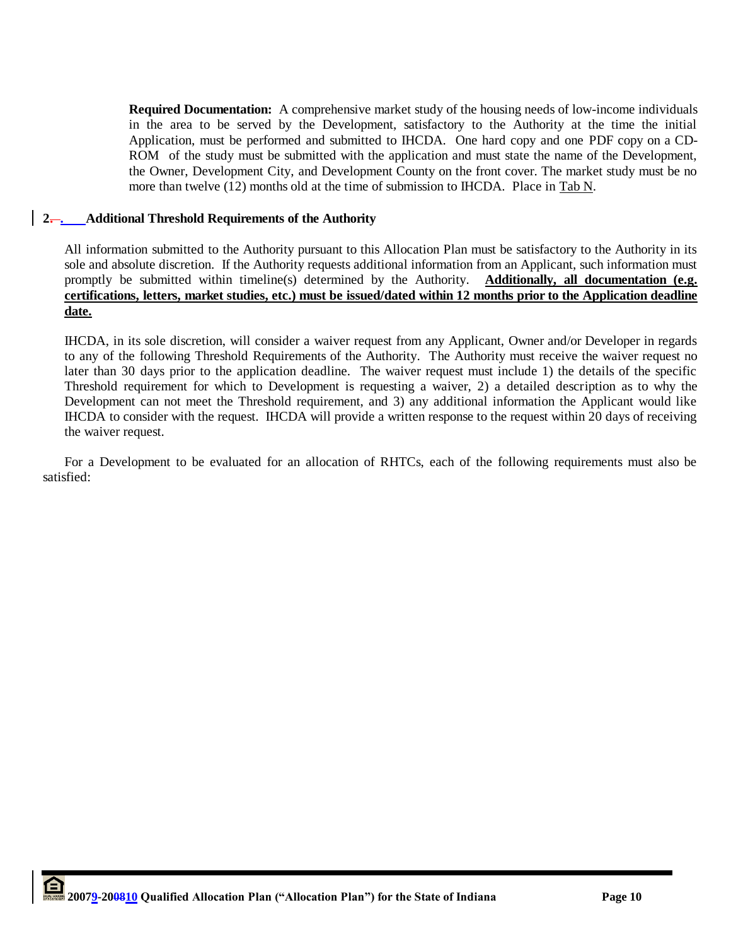**Required Documentation:** A comprehensive market study of the housing needs of low-income individuals in the area to be served by the Development, satisfactory to the Authority at the time the initial Application, must be performed and submitted to IHCDA. One hard copy and one PDF copy on a CD-ROM of the study must be submitted with the application and must state the name of the Development, the Owner, Development City, and Development County on the front cover. The market study must be no more than twelve (12) months old at the time of submission to IHCDA. Place in Tab N.

## **2. . Additional Threshold Requirements of the Authority**

All information submitted to the Authority pursuant to this Allocation Plan must be satisfactory to the Authority in its sole and absolute discretion. If the Authority requests additional information from an Applicant, such information must promptly be submitted within timeline(s) determined by the Authority. **Additionally, all documentation (e.g. certifications, letters, market studies, etc.) must be issued/dated within 12 months prior to the Application deadline date.**

IHCDA, in its sole discretion, will consider a waiver request from any Applicant, Owner and/or Developer in regards to any of the following Threshold Requirements of the Authority. The Authority must receive the waiver request no later than 30 days prior to the application deadline. The waiver request must include 1) the details of the specific Threshold requirement for which to Development is requesting a waiver, 2) a detailed description as to why the Development can not meet the Threshold requirement, and 3) any additional information the Applicant would like IHCDA to consider with the request. IHCDA will provide a written response to the request within 20 days of receiving the waiver request.

For a Development to be evaluated for an allocation of RHTCs, each of the following requirements must also be satisfied: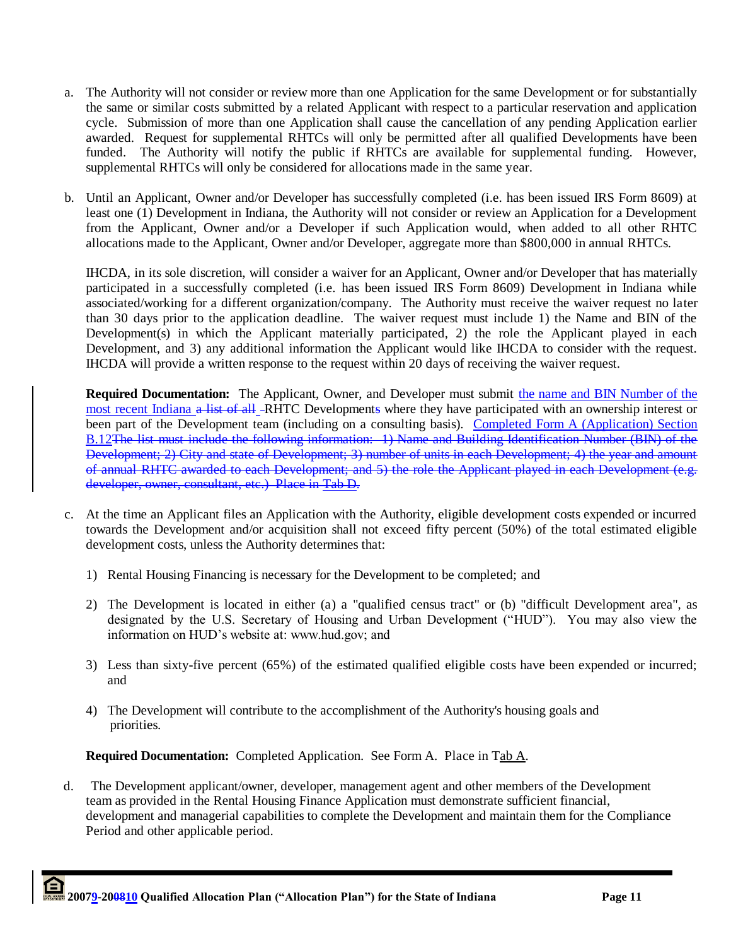- a. The Authority will not consider or review more than one Application for the same Development or for substantially the same or similar costs submitted by a related Applicant with respect to a particular reservation and application cycle. Submission of more than one Application shall cause the cancellation of any pending Application earlier awarded. Request for supplemental RHTCs will only be permitted after all qualified Developments have been funded. The Authority will notify the public if RHTCs are available for supplemental funding. However, supplemental RHTCs will only be considered for allocations made in the same year.
- b. Until an Applicant, Owner and/or Developer has successfully completed (i.e. has been issued IRS Form 8609) at least one (1) Development in Indiana, the Authority will not consider or review an Application for a Development from the Applicant, Owner and/or a Developer if such Application would, when added to all other RHTC allocations made to the Applicant, Owner and/or Developer, aggregate more than \$800,000 in annual RHTCs.

IHCDA, in its sole discretion, will consider a waiver for an Applicant, Owner and/or Developer that has materially participated in a successfully completed (i.e. has been issued IRS Form 8609) Development in Indiana while associated/working for a different organization/company. The Authority must receive the waiver request no later than 30 days prior to the application deadline. The waiver request must include 1) the Name and BIN of the Development(s) in which the Applicant materially participated, 2) the role the Applicant played in each Development, and 3) any additional information the Applicant would like IHCDA to consider with the request. IHCDA will provide a written response to the request within 20 days of receiving the waiver request.

**Required Documentation:** The Applicant, Owner, and Developer must submit the name and BIN Number of the most recent Indiana a list of all -RHTC Developments where they have participated with an ownership interest or been part of the Development team (including on a consulting basis). Completed Form A (Application) Section B.12The list must include the following information: 1) Name and Building Identification Number (BIN) of the Development; 2) City and state of Development; 3) number of units in each Development; 4) the year and amount of annual RHTC awarded to each Development; and 5) the role the Applicant played in each Development (e.g. developer, owner, consultant, etc.) Place in Tab D.

- c. At the time an Applicant files an Application with the Authority, eligible development costs expended or incurred towards the Development and/or acquisition shall not exceed fifty percent (50%) of the total estimated eligible development costs, unless the Authority determines that:
	- 1) Rental Housing Financing is necessary for the Development to be completed; and
	- 2) The Development is located in either (a) a "qualified census tract" or (b) "difficult Development area", as designated by the U.S. Secretary of Housing and Urban Development ("HUD"). You may also view the information on HUD"s website at: www.hud.gov; and
	- 3) Less than sixty-five percent (65%) of the estimated qualified eligible costs have been expended or incurred; and
	- 4) The Development will contribute to the accomplishment of the Authority's housing goals and priorities.

**Required Documentation:** Completed Application. See Form A. Place in Tab A.

 d. The Development applicant/owner, developer, management agent and other members of the Development team as provided in the Rental Housing Finance Application must demonstrate sufficient financial, development and managerial capabilities to complete the Development and maintain them for the Compliance Period and other applicable period.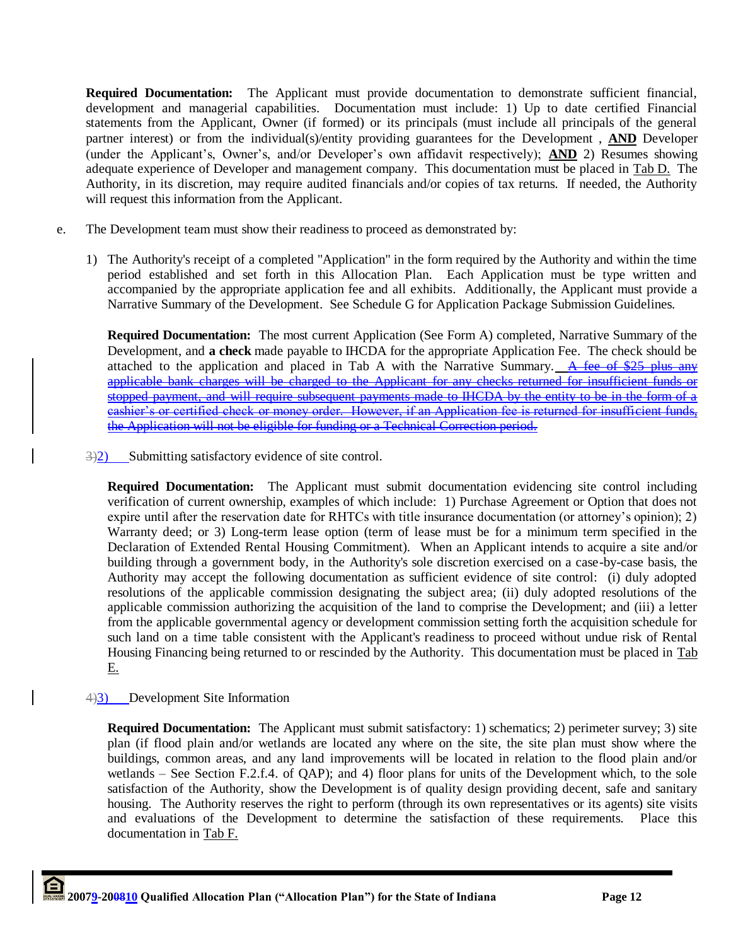**Required Documentation:** The Applicant must provide documentation to demonstrate sufficient financial, development and managerial capabilities. Documentation must include: 1) Up to date certified Financial statements from the Applicant, Owner (if formed) or its principals (must include all principals of the general partner interest) or from the individual(s)/entity providing guarantees for the Development , **AND** Developer (under the Applicant"s, Owner"s, and/or Developer"s own affidavit respectively); **AND** 2) Resumes showing adequate experience of Developer and management company. This documentation must be placed in Tab D. The Authority, in its discretion, may require audited financials and/or copies of tax returns. If needed, the Authority will request this information from the Applicant.

- e. The Development team must show their readiness to proceed as demonstrated by:
	- 1) The Authority's receipt of a completed "Application" in the form required by the Authority and within the time period established and set forth in this Allocation Plan. Each Application must be type written and accompanied by the appropriate application fee and all exhibits. Additionally, the Applicant must provide a Narrative Summary of the Development. See Schedule G for Application Package Submission Guidelines.

**Required Documentation:** The most current Application (See Form A) completed, Narrative Summary of the Development, and **a check** made payable to IHCDA for the appropriate Application Fee. The check should be attached to the application and placed in Tab A with the Narrative Summary. A fee of  $$25$  plus any applicable bank charges will be charged to the Applicant for any checks returned for insufficient funds or stopped payment, and will require subsequent payments made to HCDA by the entity to be in the form of a cashier"s or certified check or money order. However, if an Application fee is returned for insufficient funds, the Application will not be eligible for funding or a Technical Correction period.

 $\exists$ 3) Submitting satisfactory evidence of site control.

**Required Documentation:** The Applicant must submit documentation evidencing site control including verification of current ownership, examples of which include: 1) Purchase Agreement or Option that does not expire until after the reservation date for RHTCs with title insurance documentation (or attorney"s opinion); 2) Warranty deed; or 3) Long-term lease option (term of lease must be for a minimum term specified in the Declaration of Extended Rental Housing Commitment). When an Applicant intends to acquire a site and/or building through a government body, in the Authority's sole discretion exercised on a case-by-case basis, the Authority may accept the following documentation as sufficient evidence of site control: (i) duly adopted resolutions of the applicable commission designating the subject area; (ii) duly adopted resolutions of the applicable commission authorizing the acquisition of the land to comprise the Development; and (iii) a letter from the applicable governmental agency or development commission setting forth the acquisition schedule for such land on a time table consistent with the Applicant's readiness to proceed without undue risk of Rental Housing Financing being returned to or rescinded by the Authority. This documentation must be placed in Tab E.

4)3) Development Site Information

**Required Documentation:** The Applicant must submit satisfactory: 1) schematics; 2) perimeter survey; 3) site plan (if flood plain and/or wetlands are located any where on the site, the site plan must show where the buildings, common areas, and any land improvements will be located in relation to the flood plain and/or wetlands – See Section F.2.f.4. of QAP); and 4) floor plans for units of the Development which, to the sole satisfaction of the Authority, show the Development is of quality design providing decent, safe and sanitary housing. The Authority reserves the right to perform (through its own representatives or its agents) site visits and evaluations of the Development to determine the satisfaction of these requirements. Place this documentation in Tab F.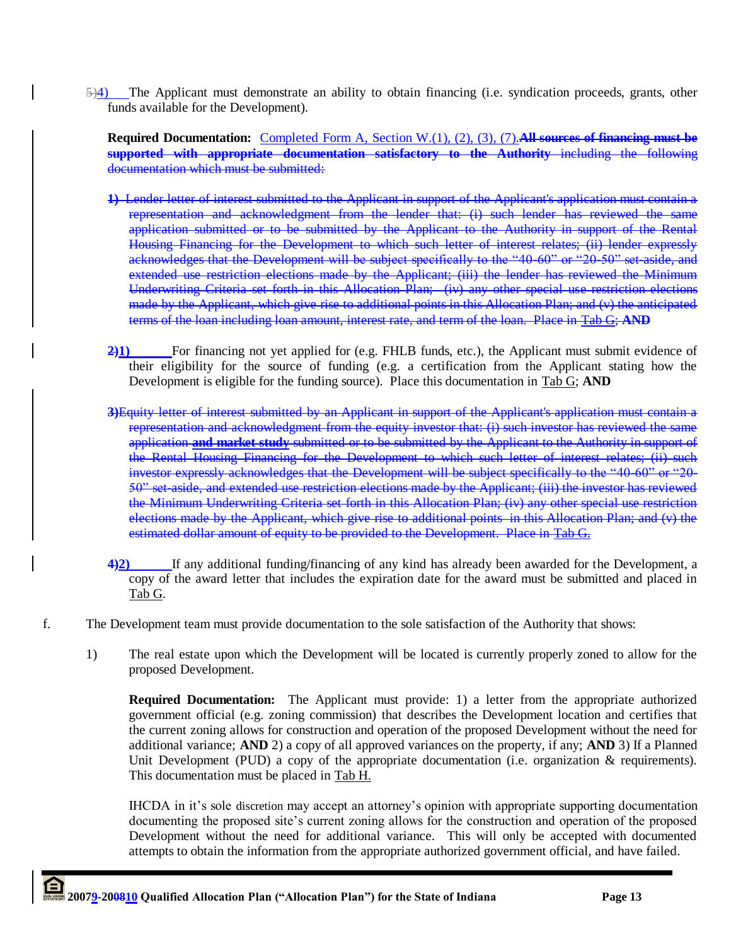5)4) The Applicant must demonstrate an ability to obtain financing (i.e. syndication proceeds, grants, other funds available for the Development).

**Required Documentation:** Completed Form A, Section W.(1), (2), (3), (7).**All sources of financing must be supported with appropriate documentation satisfactory to the Authority** including the following documentation which must be submitted:

- **1)** Lender letter of interest submitted to the Applicant in support of the Applicant's application must contain a representation and acknowledgment from the lender that: (i) such lender has reviewed the same application submitted or to be submitted by the Applicant to the Authority in support of the Rental Housing Financing for the Development to which such letter of interest relates; (ii) lender expressly acknowledges that the Development will be subject specifically to the "40-60" or "20-50" set-aside, and extended use restriction elections made by the Applicant; (iii) the lender has reviewed the Minimum Underwriting Criteria set forth in this Allocation Plan; (iv) any other special use restriction elections made by the Applicant, which give rise to additional points in this Allocation Plan; and (v) the anticipated terms of the loan including loan amount, interest rate, and term of the loan. Place in Tab G; **AND**
- 2)<sup>1</sup> For financing not yet applied for (e.g. FHLB funds, etc.), the Applicant must submit evidence of their eligibility for the source of funding (e.g. a certification from the Applicant stating how the Development is eligible for the funding source). Place this documentation in Tab G; **AND**
- **3)**Equity letter of interest submitted by an Applicant in support of the Applicant's application must contain a representation and acknowledgment from the equity investor that: (i) such investor has reviewed the same application **and market study** submitted or to be submitted by the Applicant to the Authority in support of the Rental Housing Financing for the Development to which such letter of interest relates; (ii) such investor expressly acknowledges that the Development will be subject specifically to the "40-60" or "20- 50" set-aside, and extended use restriction elections made by the Applicant; (iii) the investor has reviewed the Minimum Underwriting Criteria set forth in this Allocation Plan; (iv) any other special use restriction elections made by the Applicant, which give rise to additional points in this Allocation Plan; and (v) the estimated dollar amount of equity to be provided to the Development. Place in Tab G.
- **4)2)** If any additional funding/financing of any kind has already been awarded for the Development, a copy of the award letter that includes the expiration date for the award must be submitted and placed in Tab G.
- f. The Development team must provide documentation to the sole satisfaction of the Authority that shows:
	- 1) The real estate upon which the Development will be located is currently properly zoned to allow for the proposed Development.

**Required Documentation:** The Applicant must provide: 1) a letter from the appropriate authorized government official (e.g. zoning commission) that describes the Development location and certifies that the current zoning allows for construction and operation of the proposed Development without the need for additional variance; **AND** 2) a copy of all approved variances on the property, if any; **AND** 3) If a Planned Unit Development (PUD) a copy of the appropriate documentation (i.e. organization & requirements). This documentation must be placed in Tab H.

IHCDA in it"s sole discretion may accept an attorney"s opinion with appropriate supporting documentation documenting the proposed site's current zoning allows for the construction and operation of the proposed Development without the need for additional variance. This will only be accepted with documented attempts to obtain the information from the appropriate authorized government official, and have failed.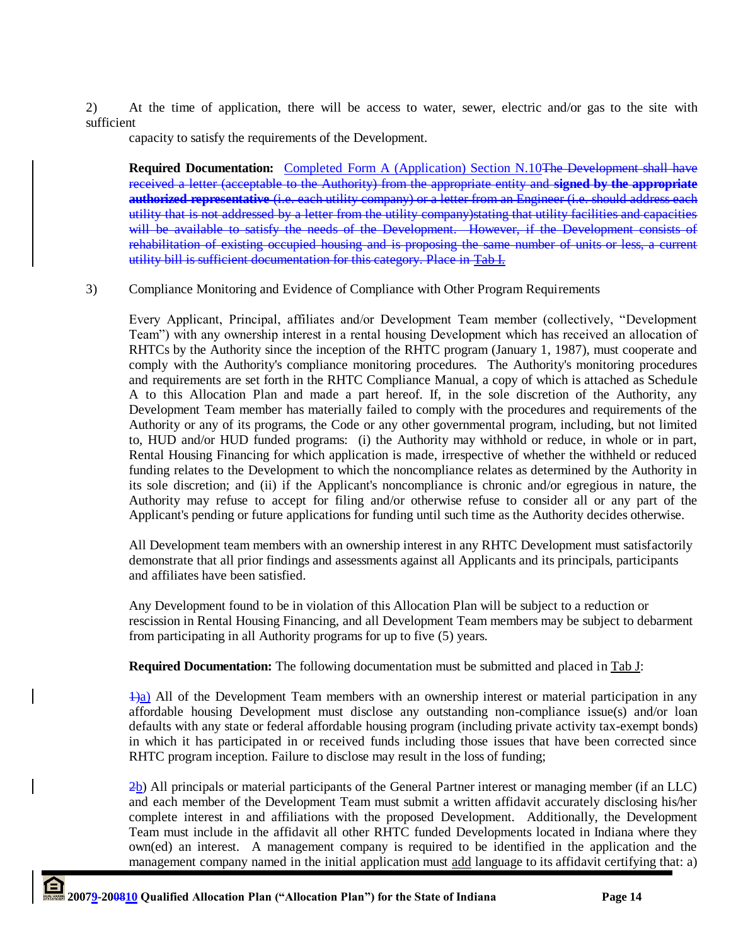2) At the time of application, there will be access to water, sewer, electric and/or gas to the site with sufficient

capacity to satisfy the requirements of the Development.

**Required Documentation:** Completed Form A (Application) Section N.10The Development shall have received a letter (acceptable to the Authority) from the appropriate entity and **signed by the appropriate authorized representative** (i.e. each utility company) or a letter from an Engineer (i.e. should address each utility that is not addressed by a letter from the utility company)stating that utility facilities and capacities will be available to satisfy the needs of the Development. However, if the Development consists rehabilitation of existing occupied housing and is proposing the same number of units or less, a current utility bill is sufficient documentation for this category. Place in Tab I.

3) Compliance Monitoring and Evidence of Compliance with Other Program Requirements

Every Applicant, Principal, affiliates and/or Development Team member (collectively, "Development Team") with any ownership interest in a rental housing Development which has received an allocation of RHTCs by the Authority since the inception of the RHTC program (January 1, 1987), must cooperate and comply with the Authority's compliance monitoring procedures. The Authority's monitoring procedures and requirements are set forth in the RHTC Compliance Manual, a copy of which is attached as Schedule A to this Allocation Plan and made a part hereof. If, in the sole discretion of the Authority, any Development Team member has materially failed to comply with the procedures and requirements of the Authority or any of its programs, the Code or any other governmental program, including, but not limited to, HUD and/or HUD funded programs: (i) the Authority may withhold or reduce, in whole or in part, Rental Housing Financing for which application is made, irrespective of whether the withheld or reduced funding relates to the Development to which the noncompliance relates as determined by the Authority in its sole discretion; and (ii) if the Applicant's noncompliance is chronic and/or egregious in nature, the Authority may refuse to accept for filing and/or otherwise refuse to consider all or any part of the Applicant's pending or future applications for funding until such time as the Authority decides otherwise.

All Development team members with an ownership interest in any RHTC Development must satisfactorily demonstrate that all prior findings and assessments against all Applicants and its principals, participants and affiliates have been satisfied.

Any Development found to be in violation of this Allocation Plan will be subject to a reduction or rescission in Rental Housing Financing, and all Development Team members may be subject to debarment from participating in all Authority programs for up to five (5) years.

**Required Documentation:** The following documentation must be submitted and placed in Tab J:

 $\frac{1}{a}$ ) All of the Development Team members with an ownership interest or material participation in any affordable housing Development must disclose any outstanding non-compliance issue(s) and/or loan defaults with any state or federal affordable housing program (including private activity tax-exempt bonds) in which it has participated in or received funds including those issues that have been corrected since RHTC program inception. Failure to disclose may result in the loss of funding;

 $2b$ ) All principals or material participants of the General Partner interest or managing member (if an LLC) and each member of the Development Team must submit a written affidavit accurately disclosing his/her complete interest in and affiliations with the proposed Development. Additionally, the Development Team must include in the affidavit all other RHTC funded Developments located in Indiana where they own(ed) an interest. A management company is required to be identified in the application and the management company named in the initial application must add language to its affidavit certifying that: a)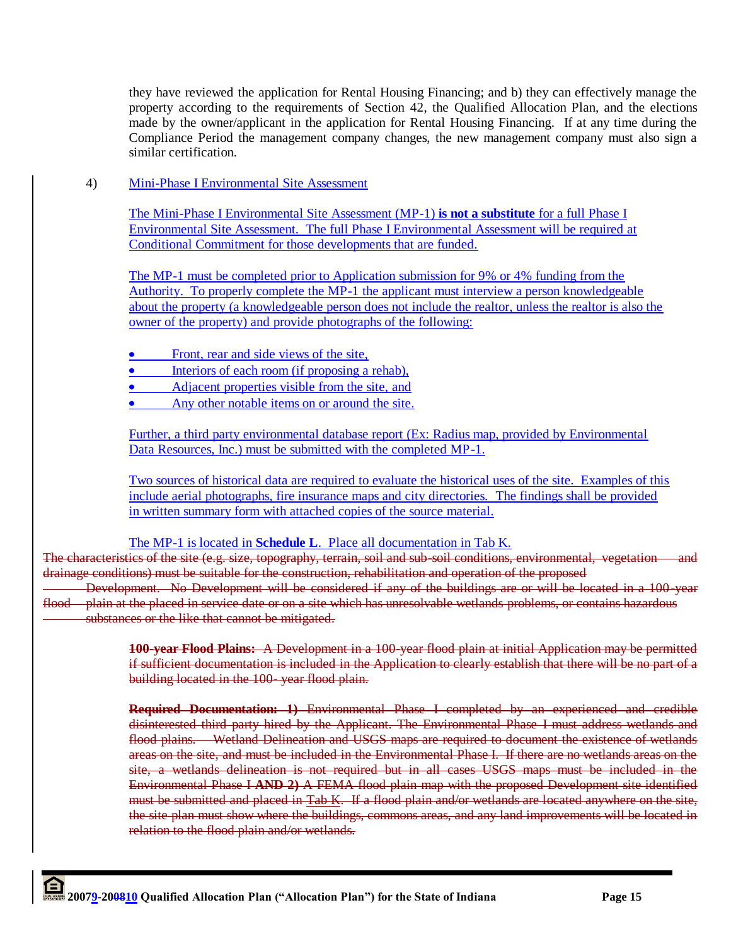they have reviewed the application for Rental Housing Financing; and b) they can effectively manage the property according to the requirements of Section 42, the Qualified Allocation Plan, and the elections made by the owner/applicant in the application for Rental Housing Financing. If at any time during the Compliance Period the management company changes, the new management company must also sign a similar certification.

4) Mini-Phase I Environmental Site Assessment

The Mini-Phase I Environmental Site Assessment (MP-1) **is not a substitute** for a full Phase I Environmental Site Assessment. The full Phase I Environmental Assessment will be required at Conditional Commitment for those developments that are funded.

The MP-1 must be completed prior to Application submission for 9% or 4% funding from the Authority. To properly complete the MP-1 the applicant must interview a person knowledgeable about the property (a knowledgeable person does not include the realtor, unless the realtor is also the owner of the property) and provide photographs of the following:

- Front, rear and side views of the site,
- Interiors of each room (if proposing a rehab),
- Adjacent properties visible from the site, and
- Any other notable items on or around the site.

Further, a third party environmental database report (Ex: Radius map, provided by Environmental Data Resources, Inc.) must be submitted with the completed MP-1.

Two sources of historical data are required to evaluate the historical uses of the site. Examples of this include aerial photographs, fire insurance maps and city directories. The findings shall be provided in written summary form with attached copies of the source material.

The MP-1 is located in **Schedule L**. Place all documentation in Tab K.

The characteristics of the site (e.g. size, topography, terrain, soil and sub-soil conditions, environmental, vegetation and drainage conditions) must be suitable for the construction, rehabilitation and operation of the proposed Development. No Development will be considered if any of the buildings are or will be located in a 100-year flood plain at the placed in service date or on a site which has unresolvable wetlands problems, or contains hazardous

substances or the like that cannot be mitigated.

**100-year Flood Plains:** A Development in a 100-year flood plain at initial Application may be permitted if sufficient documentation is included in the Application to clearly establish that there will be no part of a building located in the 100- year flood plain.

**Required Documentation: 1)** Environmental Phase I completed by an experienced and credible disinterested third party hired by the Applicant. The Environmental Phase I must address wetlands and flood plains. Wetland Delineation and USGS maps are required to document the existence of wetlands areas on the site, and must be included in the Environmental Phase I. If there are no wetlands areas on the site, a wetlands delineation is not required but in all cases USGS maps must be included in the Environmental Phase I **AND 2)** A FEMA flood plain map with the proposed Development site identified must be submitted and placed in Tab K. If a flood plain and/or wetlands are located anywhere on the site, the site plan must show where the buildings, commons areas, and any land improvements will be located in relation to the flood plain and/or wetlands.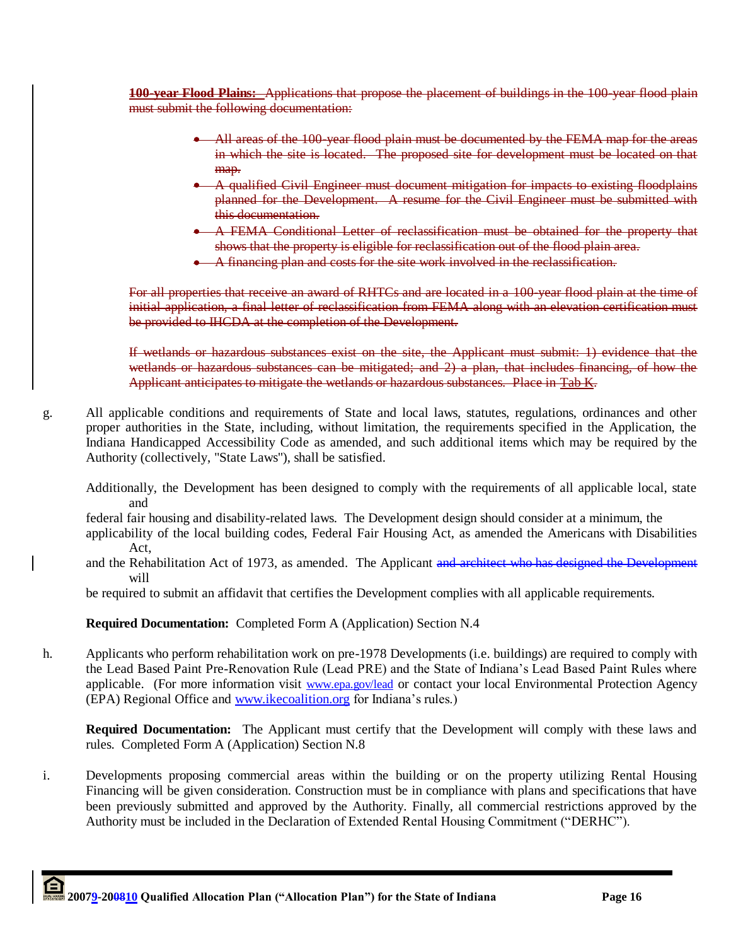**100-year Flood Plains:** Applications that propose the placement of buildings in the 100-year flood plain must submit the following documentation:

- All areas of the 100-year flood plain must be documented by the FEMA map for the areas in which the site is located. The proposed site for development must be located on that map.
- A qualified Civil Engineer must document mitigation for impacts to existing floodplains planned for the Development. A resume for the Civil Engineer must be submitted with this documentation.
- A FEMA Conditional Letter of reclassification must be obtained for the property that shows that the property is eligible for reclassification out of the flood plain area.
- A financing plan and costs for the site work involved in the reclassification.

For all properties that receive an award of RHTCs and are located in a 100-year flood plain at the time of initial application, a final letter of reclassification from FEMA along with an elevation certification must be provided to IHCDA at the completion of the Development.

If wetlands or hazardous substances exist on the site, the Applicant must submit: 1) evidence that the wetlands or hazardous substances can be mitigated; and 2) a plan, that includes financing, of how the Applicant anticipates to mitigate the wetlands or hazardous substances. Place in Tab K.

- g. All applicable conditions and requirements of State and local laws, statutes, regulations, ordinances and other proper authorities in the State, including, without limitation, the requirements specified in the Application, the Indiana Handicapped Accessibility Code as amended, and such additional items which may be required by the Authority (collectively, "State Laws"), shall be satisfied.
	- Additionally, the Development has been designed to comply with the requirements of all applicable local, state and

federal fair housing and disability-related laws. The Development design should consider at a minimum, the

- applicability of the local building codes, Federal Fair Housing Act, as amended the Americans with Disabilities Act,
- and the Rehabilitation Act of 1973, as amended. The Applicant and architect who has designed the Development will

be required to submit an affidavit that certifies the Development complies with all applicable requirements.

**Required Documentation:** Completed Form A (Application) Section N.4

h. Applicants who perform rehabilitation work on pre-1978 Developments (i.e. buildings) are required to comply with the Lead Based Paint Pre-Renovation Rule (Lead PRE) and the State of Indiana"s Lead Based Paint Rules where applicable. (For more information visit [www.epa.gov/lead](http://www.epa.gov/lead) or contact your local Environmental Protection Agency (EPA) Regional Office and [www.ikecoalition.org](http://www.ikecoalition.org/) for Indiana"s rules.)

**Required Documentation:** The Applicant must certify that the Development will comply with these laws and rules. Completed Form A (Application) Section N.8

i. Developments proposing commercial areas within the building or on the property utilizing Rental Housing Financing will be given consideration. Construction must be in compliance with plans and specifications that have been previously submitted and approved by the Authority. Finally, all commercial restrictions approved by the Authority must be included in the Declaration of Extended Rental Housing Commitment ("DERHC").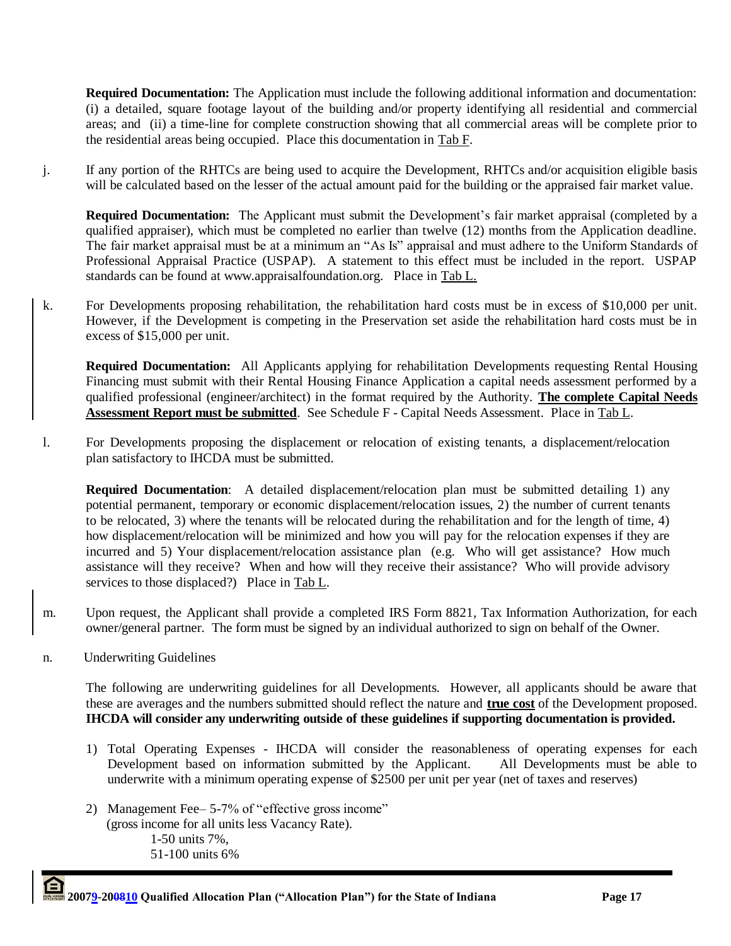**Required Documentation:** The Application must include the following additional information and documentation: (i) a detailed, square footage layout of the building and/or property identifying all residential and commercial areas; and (ii) a time-line for complete construction showing that all commercial areas will be complete prior to the residential areas being occupied. Place this documentation in Tab F.

j. If any portion of the RHTCs are being used to acquire the Development, RHTCs and/or acquisition eligible basis will be calculated based on the lesser of the actual amount paid for the building or the appraised fair market value.

**Required Documentation:** The Applicant must submit the Development's fair market appraisal (completed by a qualified appraiser), which must be completed no earlier than twelve (12) months from the Application deadline. The fair market appraisal must be at a minimum an "As Is" appraisal and must adhere to the Uniform Standards of Professional Appraisal Practice (USPAP). A statement to this effect must be included in the report. USPAP standards can be found at www.appraisalfoundation.org. Place in Tab L.

k. For Developments proposing rehabilitation, the rehabilitation hard costs must be in excess of \$10,000 per unit. However, if the Development is competing in the Preservation set aside the rehabilitation hard costs must be in excess of \$15,000 per unit.

**Required Documentation:** All Applicants applying for rehabilitation Developments requesting Rental Housing Financing must submit with their Rental Housing Finance Application a capital needs assessment performed by a qualified professional (engineer/architect) in the format required by the Authority. **The complete Capital Needs Assessment Report must be submitted**. Se[e](http://see/) Schedule F - Capital Needs Assessment. Place in Tab L.

l. For Developments proposing the displacement or relocation of existing tenants, a displacement/relocation plan satisfactory to IHCDA must be submitted.

**Required Documentation:** A detailed displacement/relocation plan must be submitted detailing 1) any potential permanent, temporary or economic displacement/relocation issues, 2) the number of current tenants to be relocated, 3) where the tenants will be relocated during the rehabilitation and for the length of time, 4) how displacement/relocation will be minimized and how you will pay for the relocation expenses if they are incurred and 5) Your displacement/relocation assistance plan (e.g. Who will get assistance? How much assistance will they receive? When and how will they receive their assistance? Who will provide advisory services to those displaced?) Place in Tab L.

- m. Upon request, the Applicant shall provide a completed IRS Form 8821, Tax Information Authorization, for each owner/general partner. The form must be signed by an individual authorized to sign on behalf of the Owner.
- n. Underwriting Guidelines

The following are underwriting guidelines for all Developments. However, all applicants should be aware that these are averages and the numbers submitted should reflect the nature and **true cost** of the Development proposed. **IHCDA will consider any underwriting outside of these guidelines if supporting documentation is provided.**

- 1) Total Operating Expenses IHCDA will consider the reasonableness of operating expenses for each Development based on information submitted by the Applicant. All Developments must be able to underwrite with a minimum operating expense of \$2500 per unit per year (net of taxes and reserves)
- 2) Management Fee– 5-7% of "effective gross income" (gross income for all units less Vacancy Rate). 1-50 units 7%, 51-100 units 6%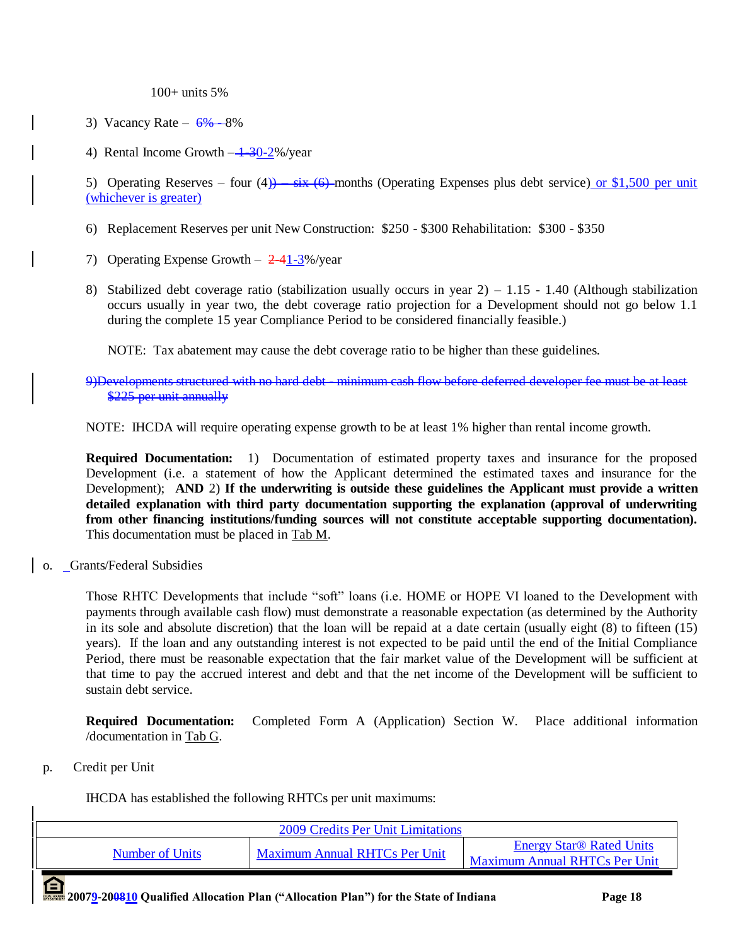100+ units 5%

- 3) Vacancy Rate  $6\% 8\%$
- 4) Rental Income Growth  $-1-30-2\%$ /year

5) Operating Reserves – four (4))  $\frac{1}{10}$  – six (6)-months (Operating Expenses plus debt service) or \$1,500 per unit (whichever is greater)

- 6) Replacement Reserves per unit New Construction: \$250 \$300 Rehabilitation: \$300 \$350
- 7) Operating Expense Growth  $-2-41-3\%$ /year
- 8) Stabilized debt coverage ratio (stabilization usually occurs in year 2) 1.15 1.40 (Although stabilization occurs usually in year two, the debt coverage ratio projection for a Development should not go below 1.1 during the complete 15 year Compliance Period to be considered financially feasible.)

NOTE: Tax abatement may cause the debt coverage ratio to be higher than these guidelines.

9)Developments structured with no hard debt - minimum cash flow before deferred developer fee must be at least \$225 per unit annually

NOTE: IHCDA will require operating expense growth to be at least 1% higher than rental income growth.

**Required Documentation:** 1) Documentation of estimated property taxes and insurance for the proposed Development (i.e. a statement of how the Applicant determined the estimated taxes and insurance for the Development); **AND** 2) **If the underwriting is outside these guidelines the Applicant must provide a written detailed explanation with third party documentation supporting the explanation (approval of underwriting from other financing institutions/funding sources will not constitute acceptable supporting documentation).**  This documentation must be placed in Tab M.

o. Grants/Federal Subsidies

Those RHTC Developments that include "soft" loans (i.e. HOME or HOPE VI loaned to the Development with payments through available cash flow) must demonstrate a reasonable expectation (as determined by the Authority in its sole and absolute discretion) that the loan will be repaid at a date certain (usually eight (8) to fifteen (15) years). If the loan and any outstanding interest is not expected to be paid until the end of the Initial Compliance Period, there must be reasonable expectation that the fair market value of the Development will be sufficient at that time to pay the accrued interest and debt and that the net income of the Development will be sufficient to sustain debt service.

**Required Documentation:** Completed Form A (Application) Section W. Place additional information /documentation in Tab G.

p. Credit per Unit

IHCDA has established the following RHTCs per unit maximums:

| Maximum Annual RHTCs Per Unit<br>Number of Units | 2009 Credits Per Unit Limitations |                                                                                    |
|--------------------------------------------------|-----------------------------------|------------------------------------------------------------------------------------|
|                                                  |                                   | <b>Energy Star<sup>®</sup> Rated Units</b><br><b>Maximum Annual RHTCs Per Unit</b> |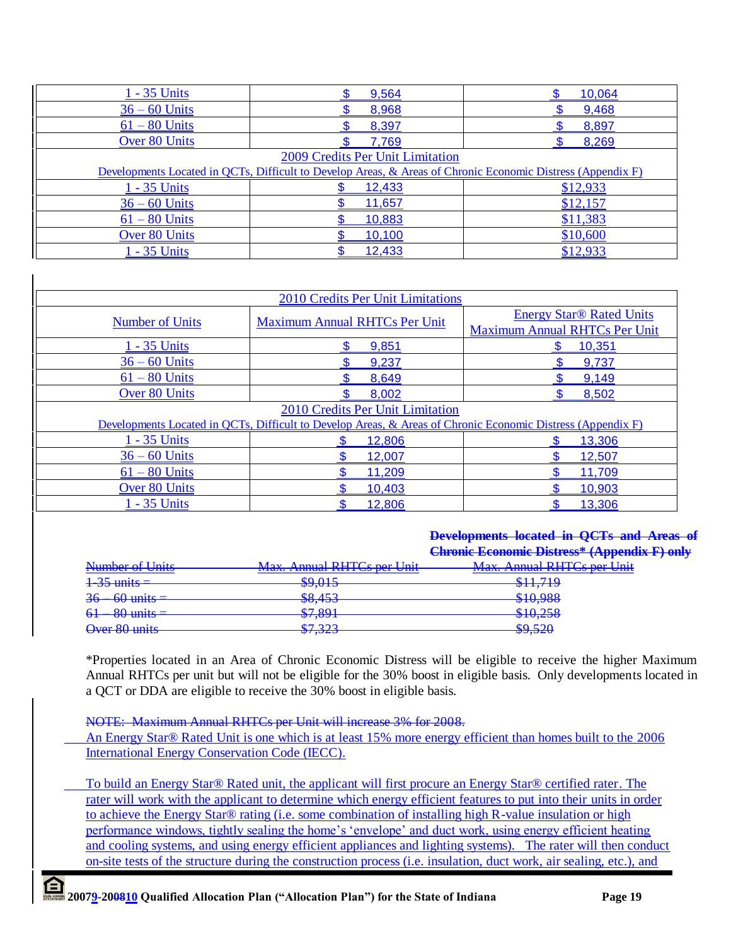| 1 - 35 Units                     | 9,564                                                                                                       | 10,064   |  |  |
|----------------------------------|-------------------------------------------------------------------------------------------------------------|----------|--|--|
| $36 - 60$ Units                  | 8,968                                                                                                       | 9,468    |  |  |
| $61 - 80$ Units                  | 8,397                                                                                                       | 8,897    |  |  |
| <b>Over 80 Units</b>             | 7,769                                                                                                       | 8,269    |  |  |
| 2009 Credits Per Unit Limitation |                                                                                                             |          |  |  |
|                                  | Developments Located in QCTs, Difficult to Develop Areas, & Areas of Chronic Economic Distress (Appendix F) |          |  |  |
| 1 - 35 Units                     | 12,433                                                                                                      | \$12,933 |  |  |
| $36 - 60$ Units                  | 11,657                                                                                                      | \$12,157 |  |  |
| $61 - 80$ Units                  | 10,883                                                                                                      | \$11,383 |  |  |
| <b>Over 80 Units</b>             | 10,100                                                                                                      | \$10,600 |  |  |
| 1 - 35 Units                     | 12,433                                                                                                      | \$12,933 |  |  |

| 2010 Credits Per Unit Limitations                                                                           |                                      |                                                                         |  |  |
|-------------------------------------------------------------------------------------------------------------|--------------------------------------|-------------------------------------------------------------------------|--|--|
| <b>Number of Units</b>                                                                                      | <b>Maximum Annual RHTCs Per Unit</b> | <b>Energy Star® Rated Units</b><br><b>Maximum Annual RHTCs Per Unit</b> |  |  |
| 1 - 35 Units                                                                                                | 9,851                                | 10,351                                                                  |  |  |
| $36 - 60$ Units                                                                                             | 9,237                                | 9,737                                                                   |  |  |
| $61 - 80$ Units                                                                                             | 8,649                                | 9,149                                                                   |  |  |
| <b>Over 80 Units</b>                                                                                        | 8,002                                | 8,502                                                                   |  |  |
| 2010 Credits Per Unit Limitation                                                                            |                                      |                                                                         |  |  |
| Developments Located in QCTs, Difficult to Develop Areas, & Areas of Chronic Economic Distress (Appendix F) |                                      |                                                                         |  |  |
| 1 - 35 Units                                                                                                | 12,806                               | 13,306                                                                  |  |  |
| $36 - 60$ Units                                                                                             | 12,007                               | 12,507                                                                  |  |  |
| $61 - 80$ Units                                                                                             | 11,209                               | 11,709                                                                  |  |  |
| Over 80 Units                                                                                               | 10,403                               | 10,903                                                                  |  |  |
| 1 - 35 Units                                                                                                | 12,806                               | 13,306                                                                  |  |  |

## **Developments located in QCTs and Areas of Chronic Economic Distress\* (Appendix F) only**

|                          |                                                              | <del>Chronic Economic Distress + Appen</del> |
|--------------------------|--------------------------------------------------------------|----------------------------------------------|
| Number of Units          | <b>Max. Annual RHTCs per Unit</b>                            | <b>Max. Annual RHTCs per Unit</b>            |
| $\frac{1-35}{1}$ units = | $\mathfrak{O}$ 015<br>$V$ , $V$                              | \$11710<br><del>on., 19</del>                |
| $36 - 60$ units =        | $Q$ $152$<br>$\overline{\mathbf{v}}$ $\overline{\mathbf{v}}$ | \$10.088<br><del>910,700</del>               |
| $61 - 80$ units =        | Q7Q01<br>$V1$ $V2$ $V1$                                      | \$10.258<br><del>010.230</del>               |
| Over 80 units            | 67.222<br>V1, J2J                                            | SO(52)<br><del>Φ7,JΖU</del>                  |

\*Properties located in an Area of Chronic Economic Distress will be eligible to receive the higher Maximum Annual RHTCs per unit but will not be eligible for the 30% boost in eligible basis. Only developments located in a QCT or DDA are eligible to receive the 30% boost in eligible basis.

NOTE: Maximum Annual RHTCs per Unit will increase 3% for 2008.

An Energy Star® Rated Unit is one which is at least 15% more energy efficient than homes built to the 2006 International Energy Conservation Code (IECC).

To build an Energy Star® Rated unit, the applicant will first procure an Energy Star® certified rater. The rater will work with the applicant to determine which energy efficient features to put into their units in order to achieve the Energy Star® rating (i.e. some combination of installing high R-value insulation or high performance windows, tightly sealing the home's 'envelope' and duct work, using energy efficient heating and cooling systems, and using energy efficient appliances and lighting systems). The rater will then conduct on-site tests of the structure during the construction process (i.e. insulation, duct work, air sealing, etc.), and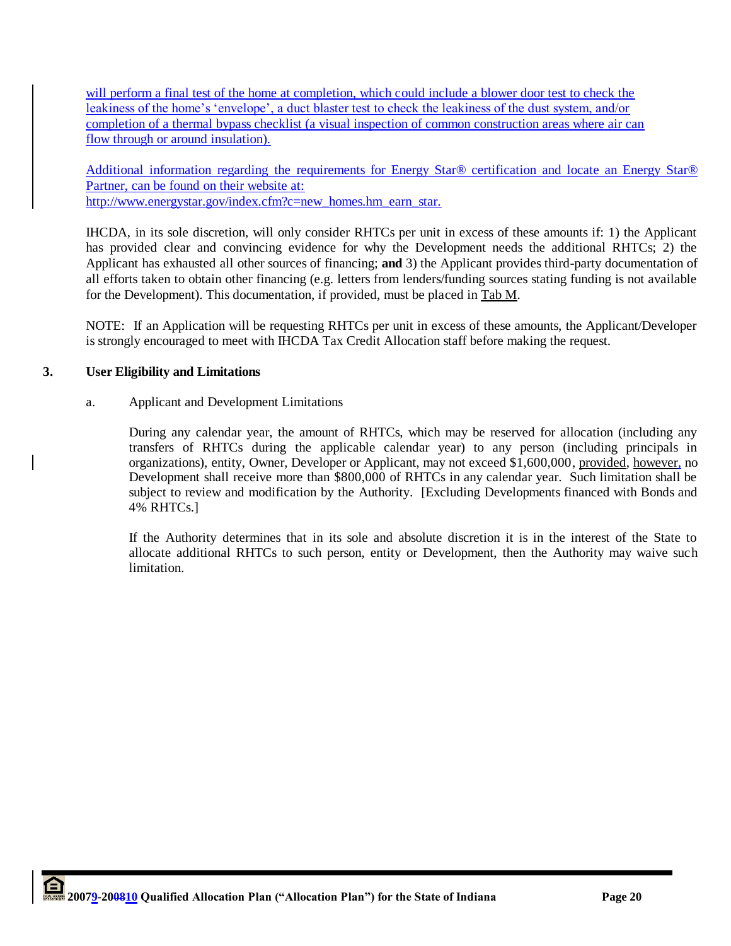will perform a final test of the home at completion, which could include a blower door test to check the leakiness of the home's 'envelope', a duct blaster test to check the leakiness of the dust system, and/or completion of a thermal bypass checklist (a visual inspection of common construction areas where air can flow through or around insulation).

Additional information regarding the requirements for Energy Star® certification and locate an Energy Star® Partner, can be found on their website at: http://www.energystar.gov/index.cfm?c=new\_homes.hm\_earn\_star.

IHCDA, in its sole discretion, will only consider RHTCs per unit in excess of these amounts if: 1) the Applicant has provided clear and convincing evidence for why the Development needs the additional RHTCs; 2) the Applicant has exhausted all other sources of financing; **and** 3) the Applicant provides third-party documentation of all efforts taken to obtain other financing (e.g. letters from lenders/funding sources stating funding is not available for the Development). This documentation, if provided, must be placed in Tab M.

NOTE: If an Application will be requesting RHTCs per unit in excess of these amounts, the Applicant/Developer is strongly encouraged to meet with IHCDA Tax Credit Allocation staff before making the request.

## **3. User Eligibility and Limitations**

a. Applicant and Development Limitations

During any calendar year, the amount of RHTCs, which may be reserved for allocation (including any transfers of RHTCs during the applicable calendar year) to any person (including principals in organizations), entity, Owner, Developer or Applicant, may not exceed \$1,600,000, provided, however, no Development shall receive more than \$800,000 of RHTCs in any calendar year. Such limitation shall be subject to review and modification by the Authority. [Excluding Developments financed with Bonds and 4% RHTCs.]

If the Authority determines that in its sole and absolute discretion it is in the interest of the State to allocate additional RHTCs to such person, entity or Development, then the Authority may waive such limitation.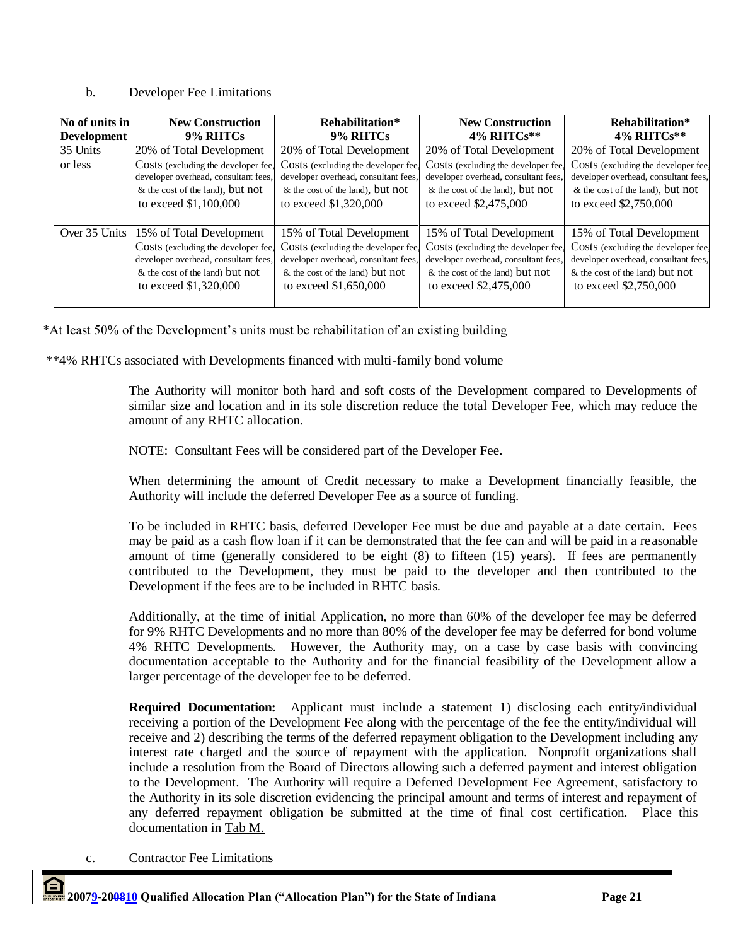## b. Developer Fee Limitations

| No of units in     | <b>New Construction</b>              | Rehabilitation*                      | <b>New Construction</b>              | Rehabilitation*                      |
|--------------------|--------------------------------------|--------------------------------------|--------------------------------------|--------------------------------------|
| <b>Development</b> | 9% RHTCs                             | 9% RHTCs                             | 4% RHTCs**                           | $4\%$ RHTCs**                        |
| 35 Units           | 20% of Total Development             | 20% of Total Development             | 20% of Total Development             | 20% of Total Development             |
| or less            | Costs (excluding the developer fee,  | Costs (excluding the developer fee.  | Costs (excluding the developer fee,  | Costs (excluding the developer fee.  |
|                    | developer overhead, consultant fees, | developer overhead, consultant fees, | developer overhead, consultant fees, | developer overhead, consultant fees, |
|                    | & the cost of the land), but not     | $&$ the cost of the land), but not   | & the cost of the land), but not     | $&$ the cost of the land), but not   |
|                    | to exceed \$1,100,000                | to exceed \$1,320,000                | to exceed \$2,475,000                | to exceed \$2,750,000                |
| Over 35 Units      | 15% of Total Development             | 15% of Total Development             | 15% of Total Development             | 15% of Total Development             |
|                    | Costs (excluding the developer fee.  | Costs (excluding the developer fee.  | Costs (excluding the developer fee,  | Costs (excluding the developer fee.  |
|                    | developer overhead, consultant fees, | developer overhead, consultant fees, | developer overhead, consultant fees, | developer overhead, consultant fees, |
|                    | & the cost of the land) but not      | $&$ the cost of the land) but not    | & the cost of the land) but not      | & the cost of the land) but not      |
|                    | to exceed \$1,320,000                | to exceed \$1,650,000                | to exceed \$2,475,000                | to exceed \$2,750,000                |

\*At least 50% of the Development"s units must be rehabilitation of an existing building

\*\*4% RHTCs associated with Developments financed with multi-family bond volume

The Authority will monitor both hard and soft costs of the Development compared to Developments of similar size and location and in its sole discretion reduce the total Developer Fee, which may reduce the amount of any RHTC allocation.

## NOTE: Consultant Fees will be considered part of the Developer Fee.

When determining the amount of Credit necessary to make a Development financially feasible, the Authority will include the deferred Developer Fee as a source of funding.

To be included in RHTC basis, deferred Developer Fee must be due and payable at a date certain. Fees may be paid as a cash flow loan if it can be demonstrated that the fee can and will be paid in a reasonable amount of time (generally considered to be eight (8) to fifteen (15) years). If fees are permanently contributed to the Development, they must be paid to the developer and then contributed to the Development if the fees are to be included in RHTC basis.

Additionally, at the time of initial Application, no more than 60% of the developer fee may be deferred for 9% RHTC Developments and no more than 80% of the developer fee may be deferred for bond volume 4% RHTC Developments. However, the Authority may, on a case by case basis with convincing documentation acceptable to the Authority and for the financial feasibility of the Development allow a larger percentage of the developer fee to be deferred.

**Required Documentation:** Applicant must include a statement 1) disclosing each entity/individual receiving a portion of the Development Fee along with the percentage of the fee the entity/individual will receive and 2) describing the terms of the deferred repayment obligation to the Development including any interest rate charged and the source of repayment with the application. Nonprofit organizations shall include a resolution from the Board of Directors allowing such a deferred payment and interest obligation to the Development. The Authority will require a Deferred Development Fee Agreement, satisfactory to the Authority in its sole discretion evidencing the principal amount and terms of interest and repayment of any deferred repayment obligation be submitted at the time of final cost certification. Place this documentation in Tab M.

c. Contractor Fee Limitations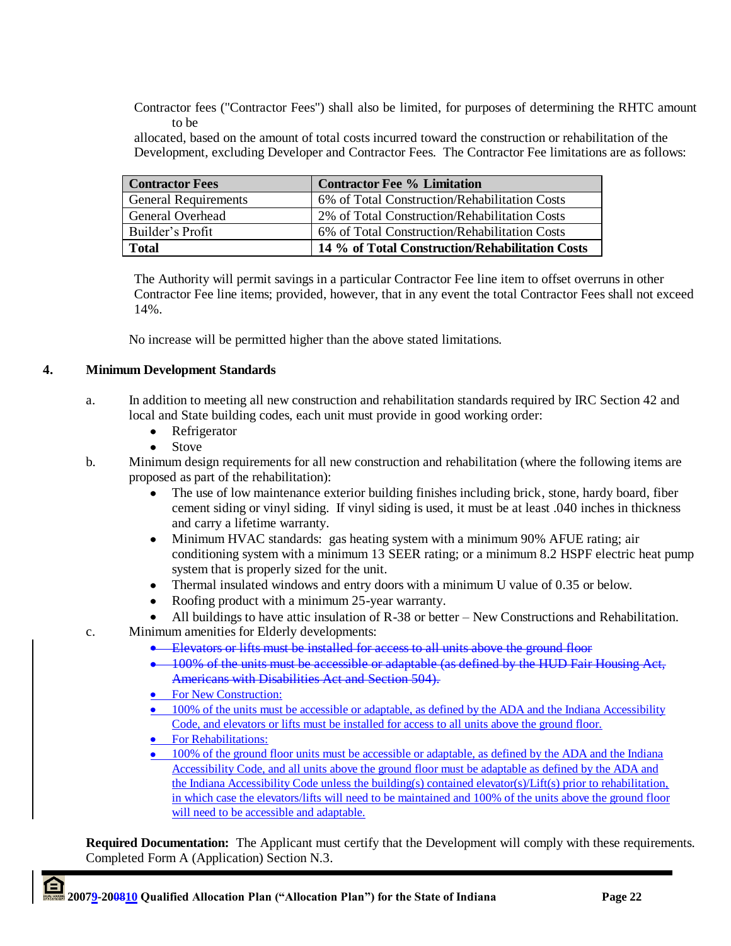Contractor fees ("Contractor Fees") shall also be limited, for purposes of determining the RHTC amount to be

 allocated, based on the amount of total costs incurred toward the construction or rehabilitation of the Development, excluding Developer and Contractor Fees. The Contractor Fee limitations are as follows:

| <b>Contractor Fees</b>      | <b>Contractor Fee % Limitation</b>              |
|-----------------------------|-------------------------------------------------|
| <b>General Requirements</b> | 6% of Total Construction/Rehabilitation Costs   |
| General Overhead            | 2% of Total Construction/Rehabilitation Costs   |
| Builder's Profit            | 6% of Total Construction/Rehabilitation Costs   |
| <b>Total</b>                | 14 % of Total Construction/Rehabilitation Costs |

 The Authority will permit savings in a particular Contractor Fee line item to offset overruns in other Contractor Fee line items; provided, however, that in any event the total Contractor Fees shall not exceed 14%.

No increase will be permitted higher than the above stated limitations.

## **4. Minimum Development Standards**

- a. In addition to meeting all new construction and rehabilitation standards required by IRC Section 42 and local and State building codes, each unit must provide in good working order:
	- $\bullet$ Refrigerator
	- Stove
- b. Minimum design requirements for all new construction and rehabilitation (where the following items are proposed as part of the rehabilitation):
	- The use of low maintenance exterior building finishes including brick, stone, hardy board, fiber cement siding or vinyl siding. If vinyl siding is used, it must be at least .040 inches in thickness and carry a lifetime warranty.
	- Minimum HVAC standards: gas heating system with a minimum 90% AFUE rating; air  $\bullet$ conditioning system with a minimum 13 SEER rating; or a minimum 8.2 HSPF electric heat pump system that is properly sized for the unit.
	- Thermal insulated windows and entry doors with a minimum U value of 0.35 or below.
	- $\bullet$ Roofing product with a minimum 25-year warranty.
	- All buildings to have attic insulation of R-38 or better New Constructions and Rehabilitation.
- c. Minimum amenities for Elderly developments:
	- **Elevators or lifts must be installed for access to all units above the ground floor**
	- <sup>•</sup> 100% of the units must be accessible or adaptable (as defined by the HUD Fair Housing Act, Americans with Disabilities Act and Section 504).
	- For New Construction:
	- 100% of the units must be accessible or adaptable, as defined by the ADA and the Indiana Accessibility Code, and elevators or lifts must be installed for access to all units above the ground floor.
	- For Rehabilitations:
	- 100% of the ground floor units must be accessible or adaptable, as defined by the ADA and the Indiana Accessibility Code, and all units above the ground floor must be adaptable as defined by the ADA and the Indiana Accessibility Code unless the building(s) contained elevator(s)/Lift(s) prior to rehabilitation, in which case the elevators/lifts will need to be maintained and 100% of the units above the ground floor will need to be accessible and adaptable.

**Required Documentation:** The Applicant must certify that the Development will comply with these requirements. Completed Form A (Application) Section N.3.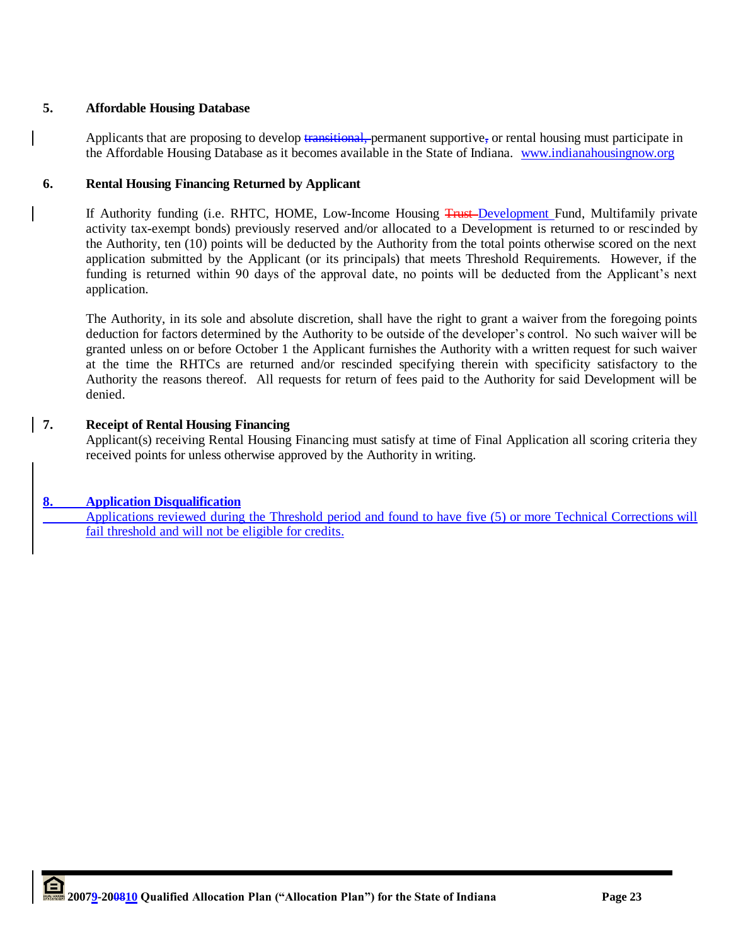# **5. Affordable Housing Database**

Applicants that are proposing to develop transitional, permanent supportive, or rental housing must participate in the Affordable Housing Database as it becomes available in the State of Indiana. [www.indianahousingnow.org](http://www.indianahousingnow.org/)

# **6. Rental Housing Financing Returned by Applicant**

If Authority funding (i.e. RHTC, HOME, Low-Income Housing Trust-Development Fund, Multifamily private activity tax-exempt bonds) previously reserved and/or allocated to a Development is returned to or rescinded by the Authority, ten (10) points will be deducted by the Authority from the total points otherwise scored on the next application submitted by the Applicant (or its principals) that meets Threshold Requirements. However, if the funding is returned within 90 days of the approval date, no points will be deducted from the Applicant"s next application.

The Authority, in its sole and absolute discretion, shall have the right to grant a waiver from the foregoing points deduction for factors determined by the Authority to be outside of the developer"s control. No such waiver will be granted unless on or before October 1 the Applicant furnishes the Authority with a written request for such waiver at the time the RHTCs are returned and/or rescinded specifying therein with specificity satisfactory to the Authority the reasons thereof. All requests for return of fees paid to the Authority for said Development will be denied.

## **7. Receipt of Rental Housing Financing**

Applicant(s) receiving Rental Housing Financing must satisfy at time of Final Application all scoring criteria they received points for unless otherwise approved by the Authority in writing.

# **8. Application Disqualification**

Applications reviewed during the Threshold period and found to have five (5) or more Technical Corrections will fail threshold and will not be eligible for credits.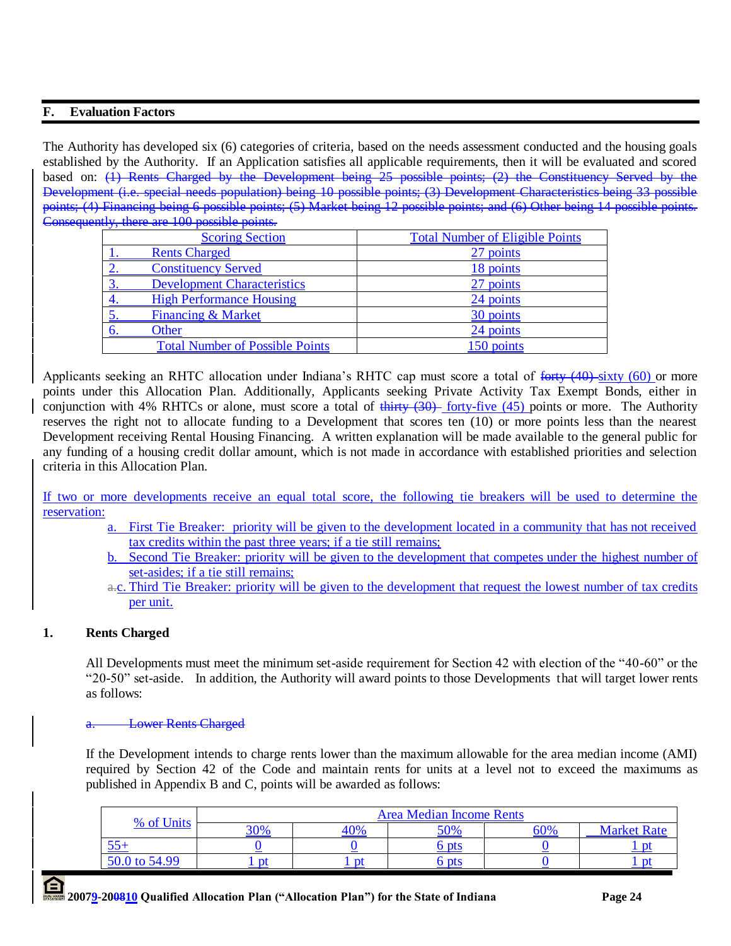## **F. Evaluation Factors**

The Authority has developed six (6) categories of criteria, based on the needs assessment conducted and the housing goals established by the Authority. If an Application satisfies all applicable requirements, then it will be evaluated and scored based on: (1) Rents Charged by the Development being 25 possible points; (2) the Constituency Served by the Development (i.e. special needs population) being 10 possible points; (3) Development Characteristics being 33 possible points; (4) Financing being 6 possible points; (5) Market being 12 possible points; and (6) Other being 14 possible points. Consequently, there are 100 possible points.

|    | <b>Scoring Section</b>                 | <b>Total Number of Eligible Points</b> |
|----|----------------------------------------|----------------------------------------|
|    | <b>Rents Charged</b>                   | 27 points                              |
|    | <b>Constituency Served</b>             | 18 points                              |
|    | <b>Development Characteristics</b>     | 27 points                              |
|    | <b>High Performance Housing</b>        | 24 points                              |
|    | <b>Financing &amp; Market</b>          | 30 points                              |
| 6. | Other                                  | 24 points                              |
|    | <b>Total Number of Possible Points</b> | 150 points                             |

Applicants seeking an RHTC allocation under Indiana's RHTC cap must score a total of forty (40) sixty (60) or more points under this Allocation Plan. Additionally, Applicants seeking Private Activity Tax Exempt Bonds, either in conjunction with 4% RHTCs or alone, must score a total of  $\frac{1}{1}$  forty-five (45) points or more. The Authority reserves the right not to allocate funding to a Development that scores ten (10) or more points less than the nearest Development receiving Rental Housing Financing. A written explanation will be made available to the general public for any funding of a housing credit dollar amount, which is not made in accordance with established priorities and selection criteria in this Allocation Plan.

If two or more developments receive an equal total score, the following tie breakers will be used to determine the reservation:

- a. First Tie Breaker: priority will be given to the development located in a community that has not received tax credits within the past three years; if a tie still remains;
- b. Second Tie Breaker: priority will be given to the development that competes under the highest number of set-asides; if a tie still remains;
- a.c. Third Tie Breaker: priority will be given to the development that request the lowest number of tax credits per unit.

## **1. Rents Charged**

All Developments must meet the minimum set-aside requirement for Section 42 with election of the "40-60" or the "20-50" set-aside. In addition, the Authority will award points to those Developments that will target lower rents as follows:

#### **Lower Rents Charged**

If the Development intends to charge rents lower than the maximum allowable for the area median income (AMI) required by Section 42 of the Code and maintain rents for units at a level not to exceed the maximums as published in Appendix B and C, points will be awarded as follows:

| % of Units    |     |     | <b>Area Median Income Rents</b> |     |                    |
|---------------|-----|-----|---------------------------------|-----|--------------------|
|               | 30% | 40% | 50%                             | 60% | <b>Market Rate</b> |
|               |     |     | <sub>b</sub> pts                |     |                    |
| 50.0 to 54.99 |     | nt  | b pts                           |     |                    |

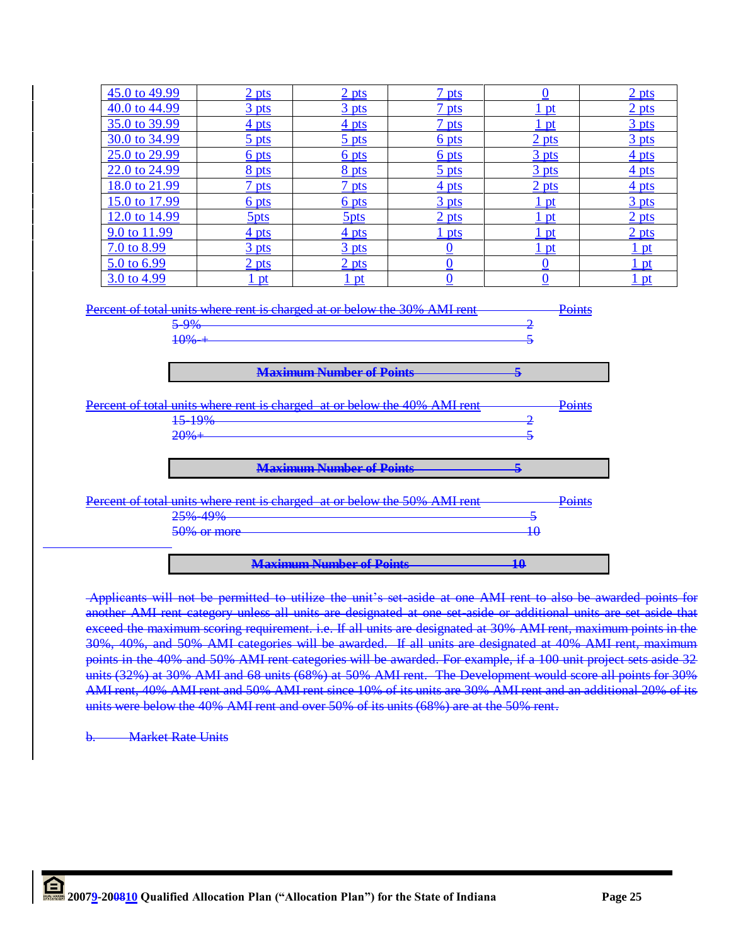| 45.0 to 49.99                                                                                                                                               |  | 2 <sub>pts</sub>          | 2 pts                           | 7 <sub>pts</sub> | $\Omega$         | 2 <sub>pts</sub> |
|-------------------------------------------------------------------------------------------------------------------------------------------------------------|--|---------------------------|---------------------------------|------------------|------------------|------------------|
| 40.0 to 44.99                                                                                                                                               |  | $\frac{3}{2}$ pts         | $\frac{3}{2}$ pts               | 7 <sub>pts</sub> | 1 pt             | 2 <sub>pts</sub> |
| 35.0 to 39.99                                                                                                                                               |  | 4 pts                     | 4 pts                           | 7 pts            | $1$ pt           | 3 <sub>pts</sub> |
| 30.0 to 34.99                                                                                                                                               |  | 5 pts                     | 5 pts                           | 6 pts            | 2 <sub>pts</sub> | 3 pts            |
| 25.0 to 29.99                                                                                                                                               |  | 6 pts                     | 6 pts                           | 6 pts            | 3 pts            | 4 pts            |
| 22.0 to 24.99                                                                                                                                               |  | 8 pts                     | 8 pts                           | 5 <sub>pts</sub> | 3 <sub>pts</sub> | 4 <sub>pts</sub> |
| 18.0 to 21.99                                                                                                                                               |  | 7 <sub>pts</sub>          | 7 pts                           | 4 pts            | 2 <sub>pts</sub> | $4$ pts          |
| 15.0 to 17.99                                                                                                                                               |  | $6$ pts                   | 6 pts                           | 3 pts            | $1$ pt           | 3 <sub>pts</sub> |
| 12.0 to 14.99                                                                                                                                               |  | 5 <sub>pts</sub>          | 5 <sub>pts</sub>                | 2 pts            | 1 pt             | 2 pts            |
| 9.0 to 11.99                                                                                                                                                |  | 4 <sub>pts</sub>          | 4 pts                           | $1$ pts          | $1$ pt           | 2 <sub>pts</sub> |
| 7.0 to 8.99                                                                                                                                                 |  | 3 <sub>pts</sub>          | 3 pts                           | $\bf{0}$         | 1 pt             | 1 pt             |
| 5.0 to 6.99                                                                                                                                                 |  | $\frac{2 \text{ pts}}{2}$ | 2 <sub>pts</sub>                | $\bf{0}$         | $\bf{0}$         | <u>1 pt</u>      |
| 3.0 to 4.99                                                                                                                                                 |  | 1 pt                      | 1 pt                            | $\bf{0}$         | $\bf{0}$         | <u>1 pt</u>      |
| 2<br>$5 - 9%$<br>5<br>$+0%+$<br><b>Maximum Number of Points</b><br>$\overline{\mathbf{5}}$                                                                  |  |                           |                                 |                  |                  |                  |
|                                                                                                                                                             |  |                           |                                 |                  |                  |                  |
| Percent of total units where rent is charged at or below the 40% AMI rent<br>Points<br>15-19%<br>2<br>$20% +$<br>5                                          |  |                           |                                 |                  |                  |                  |
| <b>Maximum Number of Points</b><br>5                                                                                                                        |  |                           |                                 |                  |                  |                  |
| Percent of total units where rent is charged at or below the 50% AMI rent<br>Points<br>25% 49%<br>$\overline{\mathbf{5}}$<br>$\overline{10}$<br>50% or more |  |                           |                                 |                  |                  |                  |
|                                                                                                                                                             |  |                           |                                 |                  |                  |                  |
|                                                                                                                                                             |  |                           | <b>Maximum Number of Points</b> |                  | $\overline{10}$  |                  |

Applicants will not be permitted to utilize the unit"s set-aside at one AMI rent to also be awarded points for another AMI rent category unless all units are designated at one set-aside or additional units are set aside that exceed the maximum scoring requirement. i.e. If all units are designated at 30% AMI rent, maximum points in the 30%, 40%, and 50% AMI categories will be awarded. If all units are designated at 40% AMI rent, maximum points in the 40% and 50% AMI rent categories will be awarded. For example, if a 100 unit project sets aside units (32%) at 30% AMI and 68 units (68%) at 50% AMI rent. The Development would score all points for 30% AMI rent, 40% AMI rent and 50% AMI rent since 10% of its units are 30% AMI rent and an additional 20% of its units were below the 40% AMI rent and over 50% of its units (68%) are at the 50% rent.

**Market Rate Units**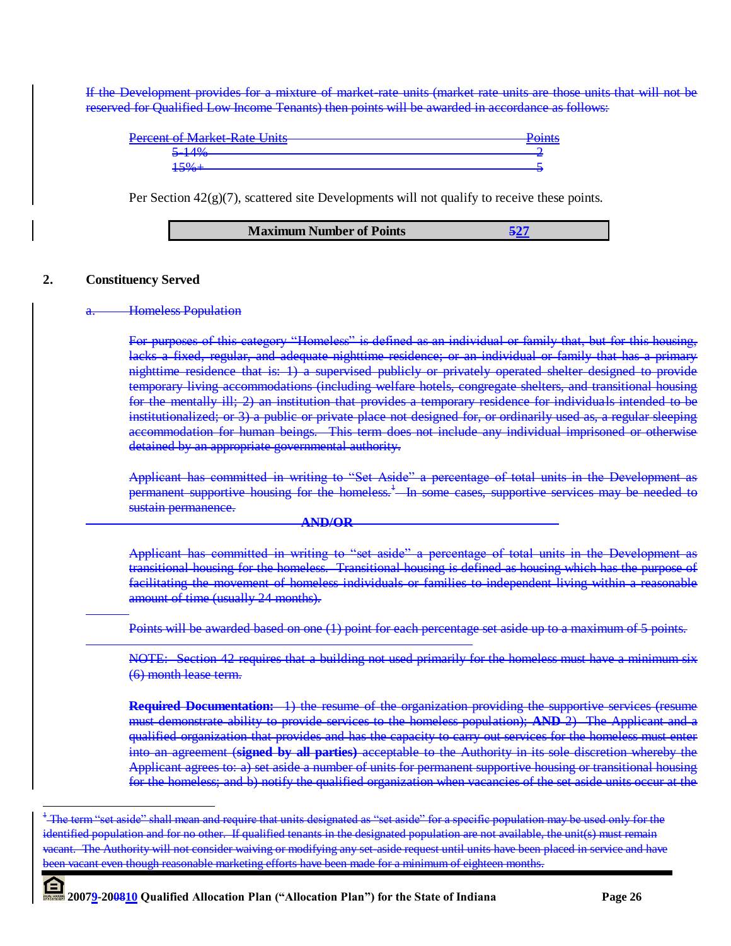If the Development provides for a mixture of market-rate units (market rate units are those units that will not be reserved for Qualified Low Income Tenants) then points will be awarded in accordance as follows:

| Deregnt of Market Rate Unite<br><del>i cicciil of ividikci kale Oliits</del> | <b>Dointe</b><br><del>roma</del> |
|------------------------------------------------------------------------------|----------------------------------|
| 5.1A04<br><del>J 170</del>                                                   |                                  |
|                                                                              |                                  |

Per Section  $42(g)(7)$ , scattered site Developments will not qualify to receive these points.

#### **2. Constituency Served**

#### **Homeless Population**

For purposes of this category "Homeless" is defined as an individual or family that, but for this housing, lacks a fixed, regular, and adequate nighttime residence; or an individual or family that has a primary nighttime residence that is: 1) a supervised publicly or privately operated shelter designed to provide temporary living accommodations (including welfare hotels, congregate shelters, and transitional housing for the mentally ill; 2) an institution that provides a temporary residence for individuals intended to be institutionalized; or 3) a public or private place not designed for, or ordinarily used as, a regular sleeping accommodation for human beings. This term does not include any individual imprisoned or otherwise detained by an appropriate governmental authority.

Applicant has committed in writing to "Set Aside" a percentage of total units in the Development as permanent supportive housing for the homeless.<sup>1</sup> In some cases, supportive services may be needed to sustain permanence.

#### **AND/OR**

Applicant has committed in writing to "set aside" a percentage of total units in the Development as transitional housing for the homeless. Transitional housing is defined as housing which has the purpose of facilitating the movement of homeless individuals or families to independent living within a reasonable amount of time (usually 24 months).

Points will be awarded based on one (1) point for each percentage set aside up to a maximum of 5 points.

NOTE: Section 42 requires that a building not used primarily for the homeless must have a minimum six (6) month lease term.

**Required Documentation:** 1) the resume of the organization providing the supportive services (resume must demonstrate ability to provide services to the homeless population); **AND** 2) The Applicant and a qualified organization that provides and has the capacity to carry out services for the homeless must enter into an agreement (**signed by all parties)** acceptable to the Authority in its sole discretion whereby the Applicant agrees to: a) set aside a number of units for permanent supportive housing or transitional housing for the homeless; and b) notify the qualified organization when vacancies of the set aside units occur at the

<sup>&</sup>lt;sup>+</sup> The term "set aside" shall mean and require that units designated as "set aside" for a specific population may be used only for the identified population and for no other. If qualified tenants in the designated population are not available, the unit(s) must remainly vacant. The Authority will not consider waiving or modifying any set-aside request until units have been placed in service and have been vacant even though reasonable marketing efforts have been made for a minimum of eighteen months.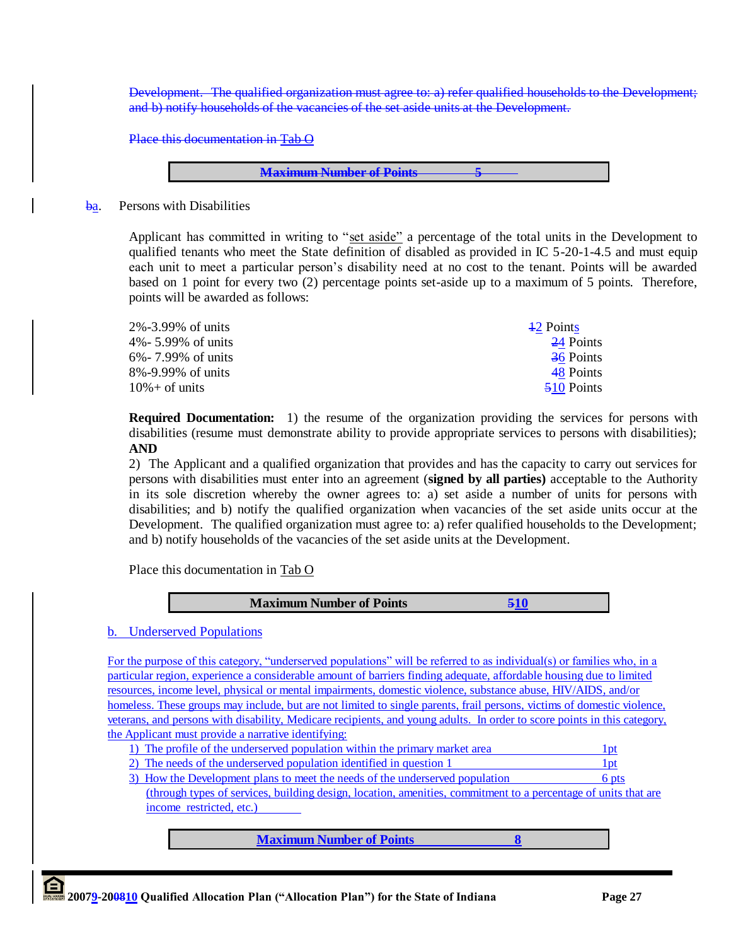Development. The qualified organization must agree to: a) refer qualified households to the Development; and b) notify households of the vacancies of the set aside units at the Development.

Place this documentation in Tab O

**Maximum Number of Points 5**

#### ba. Persons with Disabilities

Applicant has committed in writing to "set aside" a percentage of the total units in the Development to qualified tenants who meet the State definition of disabled as provided in IC 5-20-1-4.5 and must equip each unit to meet a particular person"s disability need at no cost to the tenant. Points will be awarded based on 1 point for every two (2) percentage points set-aside up to a maximum of 5 points. Therefore, points will be awarded as follows:

| 2%-3.99% of units  | 42 Points  |
|--------------------|------------|
| 4%- 5.99% of units | 24 Points  |
| 6%-7.99% of units  | 36 Points  |
| 8%-9.99% of units  | 48 Points  |
| $10\% +$ of units  | 510 Points |

**Required Documentation:** 1) the resume of the organization providing the services for persons with disabilities (resume must demonstrate ability to provide appropriate services to persons with disabilities); **AND** 

2) The Applicant and a qualified organization that provides and has the capacity to carry out services for persons with disabilities must enter into an agreement (**signed by all parties)** acceptable to the Authority in its sole discretion whereby the owner agrees to: a) set aside a number of units for persons with disabilities; and b) notify the qualified organization when vacancies of the set aside units occur at the Development. The qualified organization must agree to: a) refer qualified households to the Development; and b) notify households of the vacancies of the set aside units at the Development.

Place this documentation in Tab O



## b. Underserved Populations

For the purpose of this category, "underserved populations" will be referred to as individual(s) or families who, in a particular region, experience a considerable amount of barriers finding adequate, affordable housing due to limited resources, income level, physical or mental impairments, domestic violence, substance abuse, HIV/AIDS, and/or homeless. These groups may include, but are not limited to single parents, frail persons, victims of domestic violence, veterans, and persons with disability, Medicare recipients, and young adults. In order to score points in this category, the Applicant must provide a narrative identifying:

|  | 1) The profile of the underserved population within the primary market area |  |
|--|-----------------------------------------------------------------------------|--|
|  |                                                                             |  |

- 2) The needs of the underserved population identified in question 1 1pt
- 3) How the Development plans to meet the needs of the underserved population 6 pts (through types of services, building design, location, amenities, commitment to a percentage of units that are income restricted, etc.)

**Maximum Number of Points 8**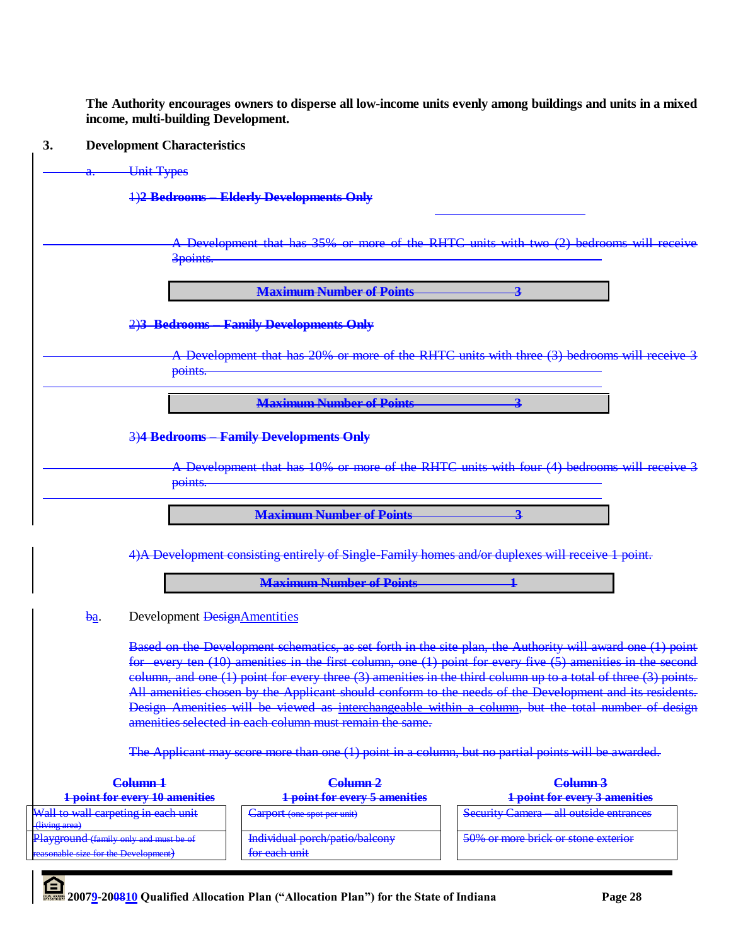**The Authority encourages owners to disperse all low-income units evenly among buildings and units in a mixed income, multi-building Development.**

# **3. Development Characteristics**

|                                                                                                 | <b>Unit Types</b>                     |                                                                                                   |                                                                                                                                                                                                                                                                                                                                                                                                                                                                                                                                                             |
|-------------------------------------------------------------------------------------------------|---------------------------------------|---------------------------------------------------------------------------------------------------|-------------------------------------------------------------------------------------------------------------------------------------------------------------------------------------------------------------------------------------------------------------------------------------------------------------------------------------------------------------------------------------------------------------------------------------------------------------------------------------------------------------------------------------------------------------|
|                                                                                                 |                                       | 1)2 Bedrooms - Elderly Developments Only                                                          |                                                                                                                                                                                                                                                                                                                                                                                                                                                                                                                                                             |
|                                                                                                 | 3points.                              |                                                                                                   | A Development that has 35% or more of the RHTC units with two (2) bedrooms will receive                                                                                                                                                                                                                                                                                                                                                                                                                                                                     |
|                                                                                                 |                                       | <b>Maximum Number of Points</b>                                                                   | $\overline{\mathbf{3}}$                                                                                                                                                                                                                                                                                                                                                                                                                                                                                                                                     |
|                                                                                                 |                                       | 2)3 Bedrooms Family Developments Only                                                             |                                                                                                                                                                                                                                                                                                                                                                                                                                                                                                                                                             |
|                                                                                                 | points.                               |                                                                                                   | A Development that has 20% or more of the RHTC units with three (3) bedrooms will receive 3                                                                                                                                                                                                                                                                                                                                                                                                                                                                 |
|                                                                                                 |                                       | <b>Maximum Number of Points</b>                                                                   | 3                                                                                                                                                                                                                                                                                                                                                                                                                                                                                                                                                           |
|                                                                                                 |                                       | 3)4 Bedrooms - Family Developments Only                                                           |                                                                                                                                                                                                                                                                                                                                                                                                                                                                                                                                                             |
|                                                                                                 | points.                               |                                                                                                   | A Development that has 10% or more of the RHTC units with four (4) bedrooms will receive 3                                                                                                                                                                                                                                                                                                                                                                                                                                                                  |
|                                                                                                 |                                       | <b>Maximum Number of Points</b>                                                                   | 2                                                                                                                                                                                                                                                                                                                                                                                                                                                                                                                                                           |
|                                                                                                 |                                       | 4) A Development consisting entirely of Single Family homes and/or duplexes will receive 1 point. |                                                                                                                                                                                                                                                                                                                                                                                                                                                                                                                                                             |
|                                                                                                 |                                       | <b>Maximum Number of Points</b>                                                                   |                                                                                                                                                                                                                                                                                                                                                                                                                                                                                                                                                             |
| $b$ <u>a</u> .                                                                                  | Development DesignAmentities          |                                                                                                   |                                                                                                                                                                                                                                                                                                                                                                                                                                                                                                                                                             |
|                                                                                                 |                                       | amenities selected in each column must remain the same.                                           | Based on the Development schematics, as set forth in the site plan, the Authority will award one (1) point<br>for every ten (10) amenities in the first column, one (1) point for every five (5) amenities in the second<br>column, and one (1) point for every three (3) amenities in the third column up to a total of three (3) points.<br>All amenities chosen by the Applicant should conform to the needs of the Development and its residents.<br>Design Amenities will be viewed as interchangeable within a column, but the total number of design |
|                                                                                                 |                                       |                                                                                                   | The Applicant may score more than one (1) point in a column, but no partial points will be awarded.                                                                                                                                                                                                                                                                                                                                                                                                                                                         |
|                                                                                                 | Column <sub>1</sub>                   | Column <sub>2</sub>                                                                               | Column <sub>3</sub>                                                                                                                                                                                                                                                                                                                                                                                                                                                                                                                                         |
| Wall to wall carpeting in each unit                                                             | <b>1 point for every 10 amenities</b> | <b>1 point for every 5 amenities</b><br>Carport (one spot per unit)                               | <b>1 point for every 3 amenities</b><br><b>Security Camera</b> all outside entrances                                                                                                                                                                                                                                                                                                                                                                                                                                                                        |
| (living area)<br>Playground (family only and must be of<br>reasonable size for the Development) |                                       | Individual porch/patio/balcony<br>for each unit                                                   | 50% or more brick or stone exterior                                                                                                                                                                                                                                                                                                                                                                                                                                                                                                                         |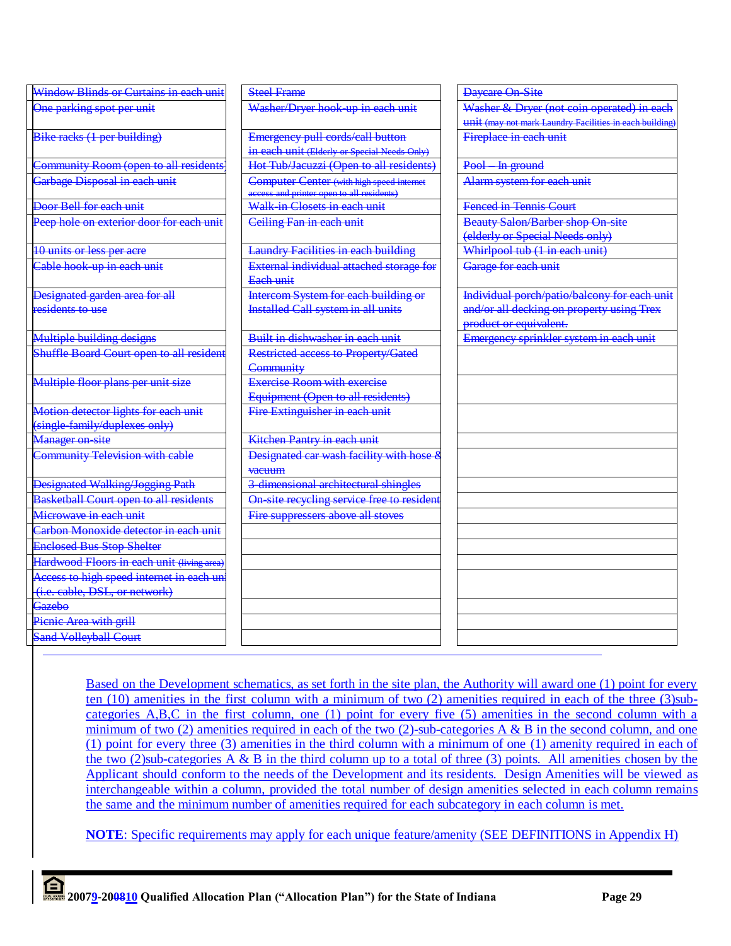| Window Blinds or Curtains in each unit        | <b>Steel Frame</b>                                                                     | <b>Daycare On-Site</b>                                  |
|-----------------------------------------------|----------------------------------------------------------------------------------------|---------------------------------------------------------|
| One parking spot per unit                     | Washer/Dryer hook-up in each unit                                                      | Washer & Dryer (not coin operated) in each              |
|                                               |                                                                                        | unit (may not mark Laundry Facilities in each building) |
| Bike racks (1 per building)                   | Emergency pull cords/call button                                                       | Fireplace in each unit                                  |
|                                               | in each unit (Elderly or Special Needs Only)                                           |                                                         |
| Community Room (open to all residents         | Hot Tub/Jacuzzi (Open to all residents)                                                | Pool-In ground                                          |
| Garbage Disposal in each unit                 | Computer Center (with high speed internet<br>access and printer open to all residents) | Alarm system for each unit                              |
| Door Bell for each unit                       | Walk-in Closets in each unit                                                           | <b>Fenced in Tennis Court</b>                           |
| Peep hole on exterior door for each unit      | Ceiling Fan in each unit                                                               | <b>Beauty Salon/Barber shop On-site</b>                 |
|                                               |                                                                                        | (elderly or Special Needs only)                         |
| 10 units or less per acre                     | <b>Laundry Facilities in each building</b>                                             | Whirlpool tub (1 in each unit)                          |
| Cable hook-up in each unit                    | External individual attached storage for<br>Each unit                                  | Garage for each unit                                    |
| Designated garden area for all                | Intercom System for each building or                                                   | Individual porch/patio/balcony for each unit            |
| residents to use                              | <b>Installed Call system in all units</b>                                              | and/or all decking on property using Trex               |
|                                               |                                                                                        | product or equivalent.                                  |
| Multiple building designs                     | Built in dishwasher in each unit                                                       | Emergency sprinkler system in each unit                 |
| Shuffle Board Court open to all resident      | Restricted access to Property/Gated                                                    |                                                         |
|                                               | Community                                                                              |                                                         |
| Multiple floor plans per unit size            | <b>Exercise Room with exercise</b>                                                     |                                                         |
|                                               | Equipment (Open to all residents)                                                      |                                                         |
| Motion detector lights for each unit          | Fire Extinguisher in each unit                                                         |                                                         |
| (single-family/duplexes only)                 |                                                                                        |                                                         |
| <b>Manager on-site</b>                        | Kitchen Pantry in each unit                                                            |                                                         |
| <b>Community Television with cable</b>        | Designated car wash facility with hose &                                               |                                                         |
|                                               | vacuum                                                                                 |                                                         |
| <b>Designated Walking/Jogging Path</b>        | 3-dimensional architectural shingles                                                   |                                                         |
| <b>Basketball Court open to all residents</b> | On-site recycling service free to resident                                             |                                                         |
| Microwave in each unit                        | Fire suppressers above all stoves                                                      |                                                         |
| Carbon Monoxide detector in each unit         |                                                                                        |                                                         |
| <b>Enclosed Bus Stop Shelter</b>              |                                                                                        |                                                         |
| Hardwood Floors in each unit (living area)    |                                                                                        |                                                         |
| Access to high speed internet in each un      |                                                                                        |                                                         |
| (i.e. cable, DSL, or network)                 |                                                                                        |                                                         |
| Gazebo                                        |                                                                                        |                                                         |
| Picnic Area with grill                        |                                                                                        |                                                         |
| <b>Sand Volleyball Court</b>                  |                                                                                        |                                                         |

Based on the Development schematics, as set forth in the site plan, the Authority will award one (1) point for every ten (10) amenities in the first column with a minimum of two (2) amenities required in each of the three (3)subcategories A,B,C in the first column, one (1) point for every five (5) amenities in the second column with a minimum of two (2) amenities required in each of the two (2)-sub-categories  $A \& B$  in the second column, and one (1) point for every three (3) amenities in the third column with a minimum of one (1) amenity required in each of the two (2)sub-categories A & B in the third column up to a total of three (3) points. All amenities chosen by the Applicant should conform to the needs of the Development and its residents. Design Amenities will be viewed as interchangeable within a column, provided the total number of design amenities selected in each column remains the same and the minimum number of amenities required for each subcategory in each column is met.

**NOTE**: Specific requirements may apply for each unique feature/amenity (SEE DEFINITIONS in Appendix H)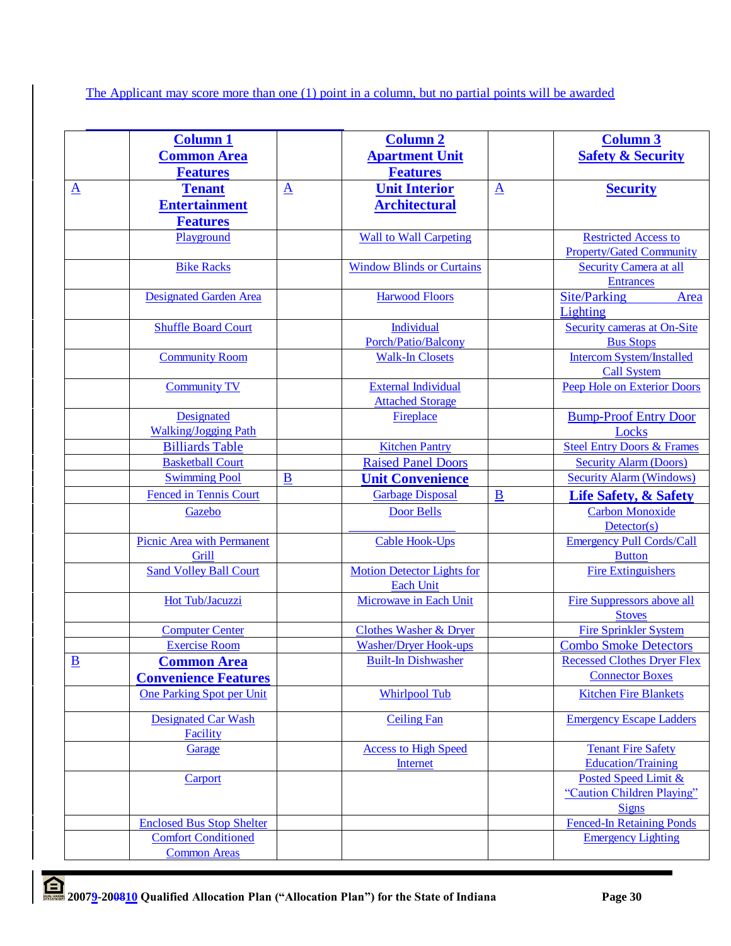The Applicant may score more than one (1) point in a column, but no partial points will be awarded

|                          | <b>Column 1</b>                   |                         | <b>Column 2</b>                   |                          | <b>Column 3</b>                       |
|--------------------------|-----------------------------------|-------------------------|-----------------------------------|--------------------------|---------------------------------------|
|                          | <b>Common Area</b>                |                         | <b>Apartment Unit</b>             |                          | <b>Safety &amp; Security</b>          |
|                          | <b>Features</b>                   |                         | <b>Features</b>                   |                          |                                       |
| $\underline{\mathbf{A}}$ | <b>Tenant</b>                     | $\overline{\mathbf{A}}$ | <b>Unit Interior</b>              | $\underline{\mathbf{A}}$ | <b>Security</b>                       |
|                          | <b>Entertainment</b>              |                         | <b>Architectural</b>              |                          |                                       |
|                          |                                   |                         |                                   |                          |                                       |
|                          | <b>Features</b>                   |                         |                                   |                          |                                       |
|                          | Playground                        |                         | <b>Wall to Wall Carpeting</b>     |                          | <b>Restricted Access to</b>           |
|                          |                                   |                         |                                   |                          | <b>Property/Gated Community</b>       |
|                          | <b>Bike Racks</b>                 |                         | <b>Window Blinds or Curtains</b>  |                          | <b>Security Camera at all</b>         |
|                          |                                   |                         |                                   |                          | <b>Entrances</b>                      |
|                          | <b>Designated Garden Area</b>     |                         | <b>Harwood Floors</b>             |                          | Site/Parking<br>Area                  |
|                          |                                   |                         |                                   |                          | Lighting                              |
|                          | <b>Shuffle Board Court</b>        |                         | Individual                        |                          | <b>Security cameras at On-Site</b>    |
|                          |                                   |                         | Porch/Patio/Balcony               |                          | <b>Bus Stops</b>                      |
|                          | <b>Community Room</b>             |                         | <b>Walk-In Closets</b>            |                          | <b>Intercom System/Installed</b>      |
|                          |                                   |                         |                                   |                          | <b>Call System</b>                    |
|                          | <b>Community TV</b>               |                         | <b>External Individual</b>        |                          | Peep Hole on Exterior Doors           |
|                          |                                   |                         | <b>Attached Storage</b>           |                          |                                       |
|                          | Designated                        |                         | Fireplace                         |                          | <b>Bump-Proof Entry Door</b>          |
|                          | <b>Walking/Jogging Path</b>       |                         |                                   |                          | Locks                                 |
|                          | <b>Billiards Table</b>            |                         | <b>Kitchen Pantry</b>             |                          | <b>Steel Entry Doors &amp; Frames</b> |
|                          | <b>Basketball Court</b>           |                         | <b>Raised Panel Doors</b>         |                          | <b>Security Alarm (Doors)</b>         |
|                          | <b>Swimming Pool</b>              | B                       |                                   |                          | <b>Security Alarm (Windows)</b>       |
|                          |                                   |                         | <b>Unit Convenience</b>           |                          |                                       |
|                          | <b>Fenced in Tennis Court</b>     |                         | <b>Garbage Disposal</b>           | $\underline{\mathbf{B}}$ | <b>Life Safety, &amp; Safety</b>      |
|                          | Gazebo                            |                         | <b>Door Bells</b>                 |                          | <b>Carbon Monoxide</b>                |
|                          |                                   |                         |                                   |                          | $detector(s)$                         |
|                          | <b>Picnic Area with Permanent</b> |                         | <b>Cable Hook-Ups</b>             |                          | <b>Emergency Pull Cords/Call</b>      |
|                          | Grill                             |                         |                                   |                          | <b>Button</b>                         |
|                          | <b>Sand Volley Ball Court</b>     |                         | <b>Motion Detector Lights for</b> |                          | <b>Fire Extinguishers</b>             |
|                          |                                   |                         | <b>Each Unit</b>                  |                          |                                       |
|                          | Hot Tub/Jacuzzi                   |                         | Microwave in Each Unit            |                          | <b>Fire Suppressors above all</b>     |
|                          |                                   |                         |                                   |                          | <b>Stoves</b>                         |
|                          | <b>Computer Center</b>            |                         | <b>Clothes Washer &amp; Dryer</b> |                          | <b>Fire Sprinkler System</b>          |
|                          | <b>Exercise Room</b>              |                         | <b>Washer/Dryer Hook-ups</b>      |                          | <b>Combo Smoke Detectors</b>          |
| $\underline{\mathbf{B}}$ | <b>Common Area</b>                |                         | <b>Built-In Dishwasher</b>        |                          | <b>Recessed Clothes Dryer Flex</b>    |
|                          | <b>Convenience Features</b>       |                         |                                   |                          | <b>Connector Boxes</b>                |
|                          | One Parking Spot per Unit         |                         | <b>Whirlpool Tub</b>              |                          | <b>Kitchen Fire Blankets</b>          |
|                          |                                   |                         |                                   |                          |                                       |
|                          | <b>Designated Car Wash</b>        |                         | <b>Ceiling Fan</b>                |                          | <b>Emergency Escape Ladders</b>       |
|                          | Facility                          |                         |                                   |                          |                                       |
|                          | Garage                            |                         | <b>Access to High Speed</b>       |                          | <b>Tenant Fire Safety</b>             |
|                          |                                   |                         | Internet                          |                          | Education/Training                    |
|                          | Carport                           |                         |                                   |                          | Posted Speed Limit &                  |
|                          |                                   |                         |                                   |                          | "Caution Children Playing"            |
|                          |                                   |                         |                                   |                          | <b>Signs</b>                          |
|                          | <b>Enclosed Bus Stop Shelter</b>  |                         |                                   |                          | <b>Fenced-In Retaining Ponds</b>      |
|                          | <b>Comfort Conditioned</b>        |                         |                                   |                          | <b>Emergency Lighting</b>             |
|                          | <b>Common Areas</b>               |                         |                                   |                          |                                       |
|                          |                                   |                         |                                   |                          |                                       |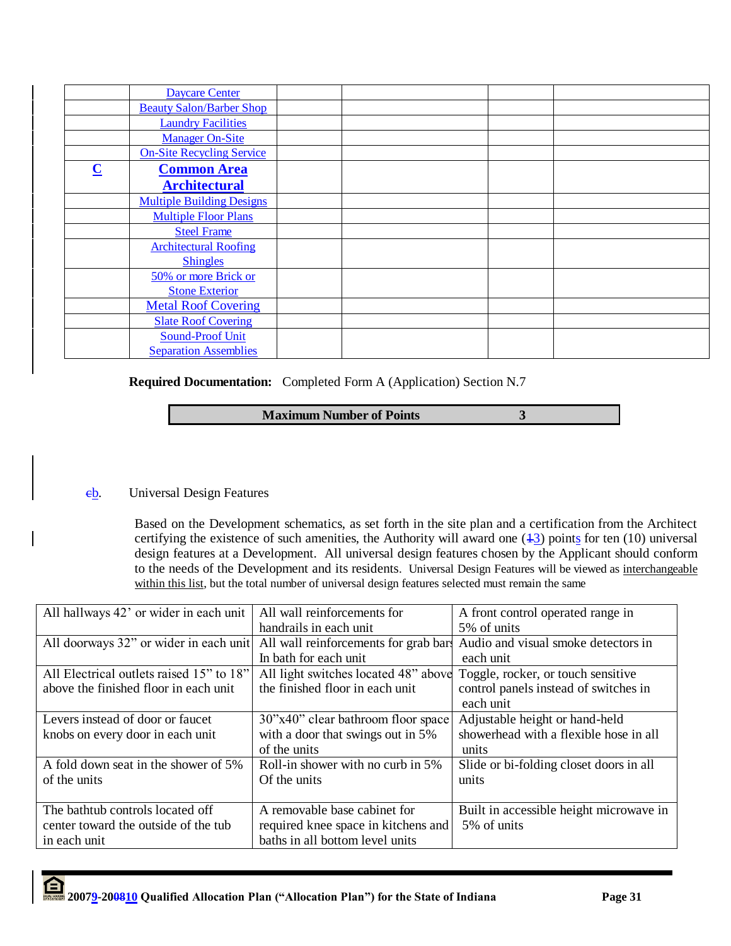| <b>Daycare Center</b>                         |  |
|-----------------------------------------------|--|
| <b>Beauty Salon/Barber Shop</b>               |  |
| <b>Laundry Facilities</b>                     |  |
| <b>Manager On-Site</b>                        |  |
| <b>On-Site Recycling Service</b>              |  |
| $\overline{\mathbf{C}}$<br><b>Common Area</b> |  |
| <b>Architectural</b>                          |  |
| <b>Multiple Building Designs</b>              |  |
| <b>Multiple Floor Plans</b>                   |  |
| <b>Steel Frame</b>                            |  |
| <b>Architectural Roofing</b>                  |  |
| <b>Shingles</b>                               |  |
| 50% or more Brick or                          |  |
| <b>Stone Exterior</b>                         |  |
| <b>Metal Roof Covering</b>                    |  |
| <b>Slate Roof Covering</b>                    |  |
| <b>Sound-Proof Unit</b>                       |  |
| <b>Separation Assemblies</b>                  |  |

**Required Documentation:** Completed Form A (Application) Section N.7

# **Maximum Number of Points** 3

# cb. Universal Design Features

Based on the Development schematics, as set forth in the site plan and a certification from the Architect certifying the existence of such amenities, the Authority will award one  $(13)$  points for ten (10) universal design features at a Development. All universal design features chosen by the Applicant should conform to the needs of the Development and its residents. Universal Design Features will be viewed as interchangeable within this list, but the total number of universal design features selected must remain the same

| All hallways 42' or wider in each unit   | All wall reinforcements for                                             | A front control operated range in       |
|------------------------------------------|-------------------------------------------------------------------------|-----------------------------------------|
|                                          | handrails in each unit                                                  | 5% of units                             |
| All doorways 32" or wider in each unit   | All wall reinforcements for grab bar                                    | Audio and visual smoke detectors in     |
|                                          | In bath for each unit                                                   | each unit                               |
| All Electrical outlets raised 15" to 18" | All light switches located 48" above Toggle, rocker, or touch sensitive |                                         |
| above the finished floor in each unit    | the finished floor in each unit                                         | control panels instead of switches in   |
|                                          |                                                                         | each unit                               |
| Levers instead of door or faucet         | 30"x40" clear bathroom floor space                                      | Adjustable height or hand-held          |
| knobs on every door in each unit         | with a door that swings out in 5%                                       | showerhead with a flexible hose in all  |
|                                          | of the units                                                            | units                                   |
| A fold down seat in the shower of 5%     | Roll-in shower with no curb in 5%                                       | Slide or bi-folding closet doors in all |
| of the units                             | Of the units                                                            | units                                   |
|                                          |                                                                         |                                         |
| The bathtub controls located off         | A removable base cabinet for                                            | Built in accessible height microwave in |
| center toward the outside of the tub     | required knee space in kitchens and                                     | 5% of units                             |
| in each unit                             | baths in all bottom level units                                         |                                         |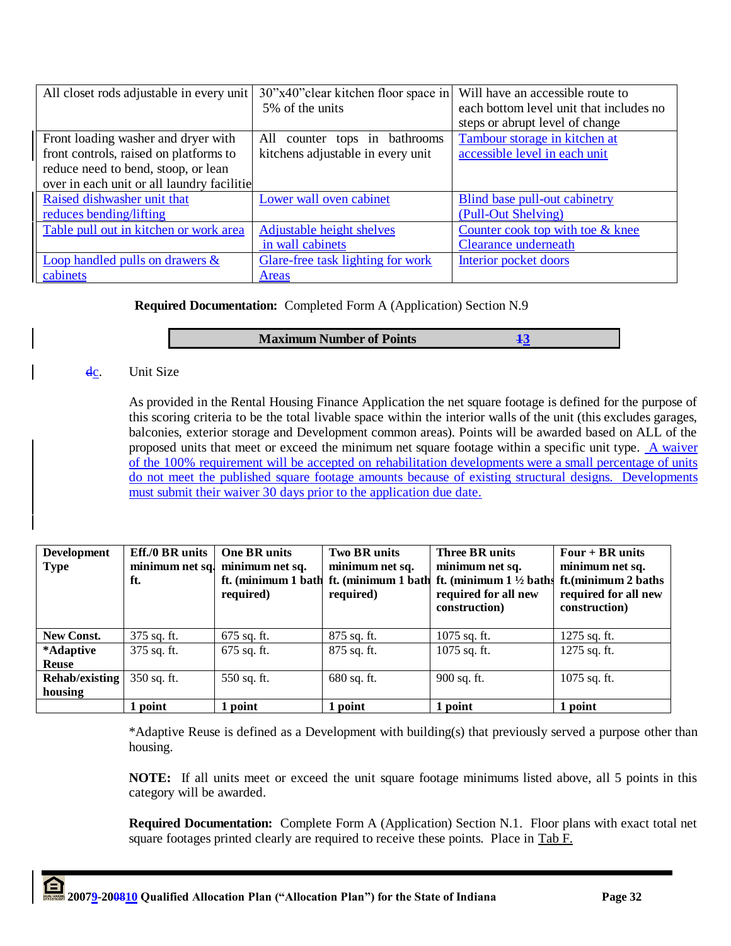| All closet rods adjustable in every unit   | 30"x40" clear kitchen floor space in Will have an accessible route to |                                         |
|--------------------------------------------|-----------------------------------------------------------------------|-----------------------------------------|
|                                            | 5% of the units                                                       | each bottom level unit that includes no |
|                                            |                                                                       | steps or abrupt level of change         |
| Front loading washer and dryer with        | counter tops in bathrooms<br>All                                      | Tambour storage in kitchen at           |
| front controls, raised on platforms to     | kitchens adjustable in every unit                                     | accessible level in each unit           |
| reduce need to bend, stoop, or lean        |                                                                       |                                         |
| over in each unit or all laundry facilitie |                                                                       |                                         |
| Raised dishwasher unit that                | Lower wall oven cabinet                                               | Blind base pull-out cabinetry           |
| reduces bending/lifting                    |                                                                       | (Pull-Out Shelving)                     |
| Table pull out in kitchen or work area     | <b>Adjustable height shelves</b>                                      | Counter cook top with toe & knee        |
|                                            | in wall cabinets                                                      | Clearance underneath                    |
| Loop handled pulls on drawers $\&$         | Glare-free task lighting for work                                     | Interior pocket doors                   |
| cabinets                                   | <b>Areas</b>                                                          |                                         |

# **Required Documentation:** Completed Form A (Application) Section N.9

#### **Maximum Number of Points** 13

#### dc. Unit Size

As provided in the Rental Housing Finance Application the net square footage is defined for the purpose of this scoring criteria to be the total livable space within the interior walls of the unit (this excludes garages, balconies, exterior storage and Development common areas). Points will be awarded based on ALL of the proposed units that meet or exceed the minimum net square footage within a specific unit type. A waiver of the 100% requirement will be accepted on rehabilitation developments were a small percentage of units do not meet the published square footage amounts because of existing structural designs. Developments must submit their waiver 30 days prior to the application due date.

| <b>Development</b><br><b>Type</b> | $Eff./0$ BR units<br>ft. | <b>One BR</b> units<br>minimum net sq. minimum net sq.<br>ft. (minimum 1 bath<br>required) | <b>Two BR units</b><br>minimum net sq.<br>ft. (minimum 1 bath<br>required) | <b>Three BR units</b><br>minimum net sq.<br>ft. (minimum $1\frac{1}{2}$ baths ft. (minimum 2 baths<br>required for all new<br>construction) | $Four + BR$ units<br>minimum net sq.<br>required for all new<br>construction) |
|-----------------------------------|--------------------------|--------------------------------------------------------------------------------------------|----------------------------------------------------------------------------|---------------------------------------------------------------------------------------------------------------------------------------------|-------------------------------------------------------------------------------|
| <b>New Const.</b>                 | 375 sq. ft.              | $675$ sq. ft.                                                                              | 875 sq. ft.                                                                | 1075 sq. ft.                                                                                                                                | 1275 sq. ft.                                                                  |
| *Adaptive                         | 375 sq. ft.              | $675$ sq. ft.                                                                              | 875 sq. ft.                                                                | 1075 sq. ft.                                                                                                                                | 1275 sq. ft.                                                                  |
| <b>Reuse</b>                      |                          |                                                                                            |                                                                            |                                                                                                                                             |                                                                               |
| Rehab/existing                    | 350 sq. ft.              | 550 sq. ft.                                                                                | 680 sq. ft.                                                                | 900 sq. ft.                                                                                                                                 | 1075 sq. ft.                                                                  |
| housing                           |                          |                                                                                            |                                                                            |                                                                                                                                             |                                                                               |
|                                   | 1 point                  | 1 point                                                                                    | 1 point                                                                    | 1 point                                                                                                                                     | 1 point                                                                       |

\*Adaptive Reuse is defined as a Development with building(s) that previously served a purpose other than housing.

**NOTE:** If all units meet or exceed the unit square footage minimums listed above, all 5 points in this category will be awarded.

**Required Documentation:** Complete Form A (Application) Section N.1. Floor plans with exact total net square footages printed clearly are required to receive these points. Place in Tab F.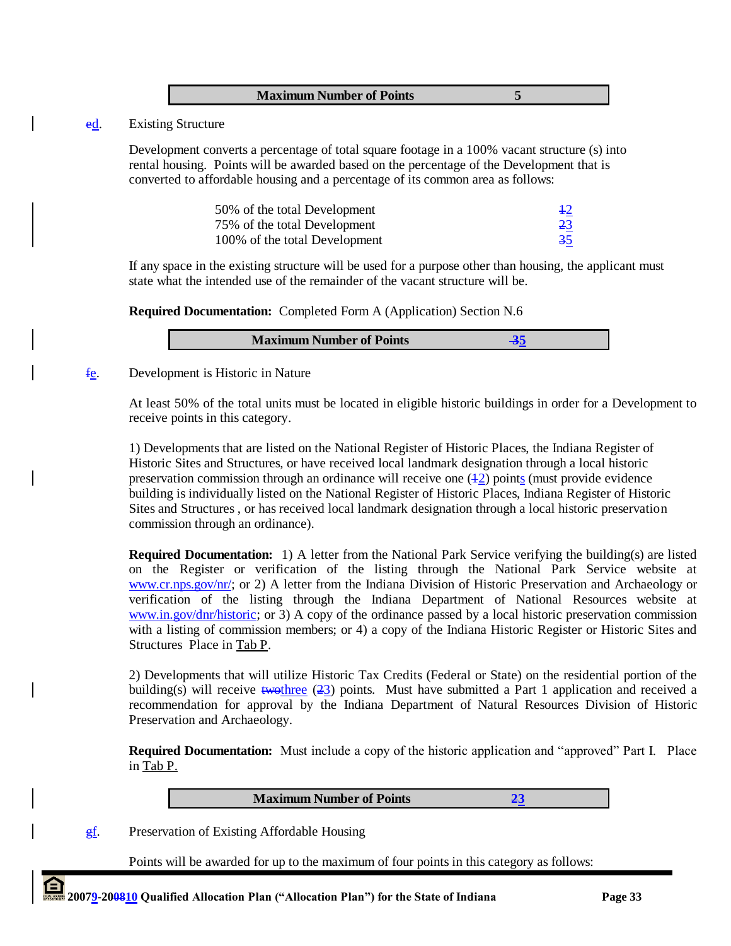| <b>Maximum Number of Points</b> |  |
|---------------------------------|--|
|                                 |  |

#### ed. Existing Structure

Development converts a percentage of total square footage in a 100% vacant structure (s) into rental housing. Points will be awarded based on the percentage of the Development that is converted to affordable housing and a percentage of its common area as follows:

| 50% of the total Development  | $+2$ |
|-------------------------------|------|
| 75% of the total Development  | 23   |
| 100% of the total Development | 35   |

If any space in the existing structure will be used for a purpose other than housing, the applicant must state what the intended use of the remainder of the vacant structure will be.

**Required Documentation:** Completed Form A (Application) Section N.6

| <b>Maximum Number of Points</b> |  |
|---------------------------------|--|
|                                 |  |

fe. Development is Historic in Nature

At least 50% of the total units must be located in eligible historic buildings in order for a Development to receive points in this category.

1) Developments that are listed on the National Register of Historic Places, the Indiana Register of Historic Sites and Structures, or have received local landmark designation through a local historic preservation commission through an ordinance will receive one  $(42)$  points (must provide evidence building is individually listed on the National Register of Historic Places, Indiana Register of Historic Sites and Structures , or has received local landmark designation through a local historic preservation commission through an ordinance).

**Required Documentation:** 1) A letter from the National Park Service verifying the building(s) are listed on the Register or verification of the listing through the National Park Service website at [www.cr.nps.gov/nr/;](http://www.cr.nps.gov/nr/) or 2) A letter from the Indiana Division of Historic Preservation and Archaeology or verification of the listing through the Indiana Department of National Resources website at [www.in.gov/dnr/historic;](http://www.in.gov/dnr/historic) or 3) A copy of the ordinance passed by a local historic preservation commission with a listing of commission members; or 4) a copy of the Indiana Historic Register or Historic Sites and Structures Place in Tab P.

2) Developments that will utilize Historic Tax Credits (Federal or State) on the residential portion of the building(s) will receive  $\frac{1}{2}$  two three (23) points. Must have submitted a Part 1 application and received a recommendation for approval by the Indiana Department of Natural Resources Division of Historic Preservation and Archaeology.

**Required Documentation:** Must include a copy of the historic application and "approved" Part I. Place in Tab P.

**Maximum Number of Points 23**

gf. Preservation of Existing Affordable Housing

Points will be awarded for up to the maximum of four points in this category as follows: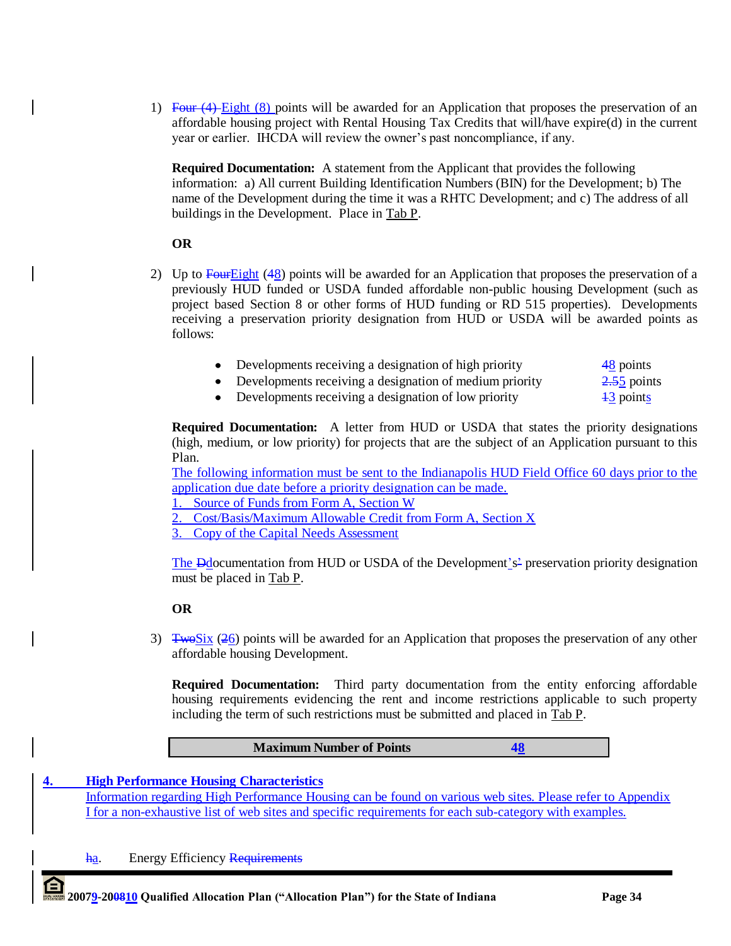1) Four (4) Eight (8) points will be awarded for an Application that proposes the preservation of an affordable housing project with Rental Housing Tax Credits that will/have expire(d) in the current year or earlier. IHCDA will review the owner"s past noncompliance, if any.

**Required Documentation:** A statement from the Applicant that provides the following information: a) All current Building Identification Numbers (BIN) for the Development; b) The name of the Development during the time it was a RHTC Development; and c) The address of all buildings in the Development. Place in Tab P.

# **OR**

- 2) Up to  $\frac{\text{Four}Eight}{48}$  points will be awarded for an Application that proposes the preservation of a previously HUD funded or USDA funded affordable non-public housing Development (such as project based Section 8 or other forms of HUD funding or RD 515 properties). Developments receiving a preservation priority designation from HUD or USDA will be awarded points as follows:
	- Developments receiving a designation of high priority 48 points
	- Developments receiving a designation of medium priority 2.55 points
	- Developments receiving a designation of low priority  $\frac{13}{3}$  points

**Required Documentation:** A letter from HUD or USDA that states the priority designations (high, medium, or low priority) for projects that are the subject of an Application pursuant to this Plan.

The following information must be sent to the Indianapolis HUD Field Office 60 days prior to the application due date before a priority designation can be made.

1. Source of Funds from Form A, Section W

2. Cost/Basis/Maximum Allowable Credit from Form A, Section X

3. Copy of the Capital Needs Assessment

The  $\overline{B}$ documentation from HUD or USDA of the Development's<sup>2</sup> preservation priority designation must be placed in Tab P.

# **OR**

3)  $\frac{1}{2}$  TwoSix (26) points will be awarded for an Application that proposes the preservation of any other affordable housing Development.

**Required Documentation:** Third party documentation from the entity enforcing affordable housing requirements evidencing the rent and income restrictions applicable to such property including the term of such restrictions must be submitted and placed in Tab P.

# **Maximum Number of Points 48**

## **4. High Performance Housing Characteristics**

Information regarding High Performance Housing can be found on various web sites. Please refer to Appendix I for a non-exhaustive list of web sites and specific requirements for each sub-category with examples.

ha. Energy Efficiency Requirements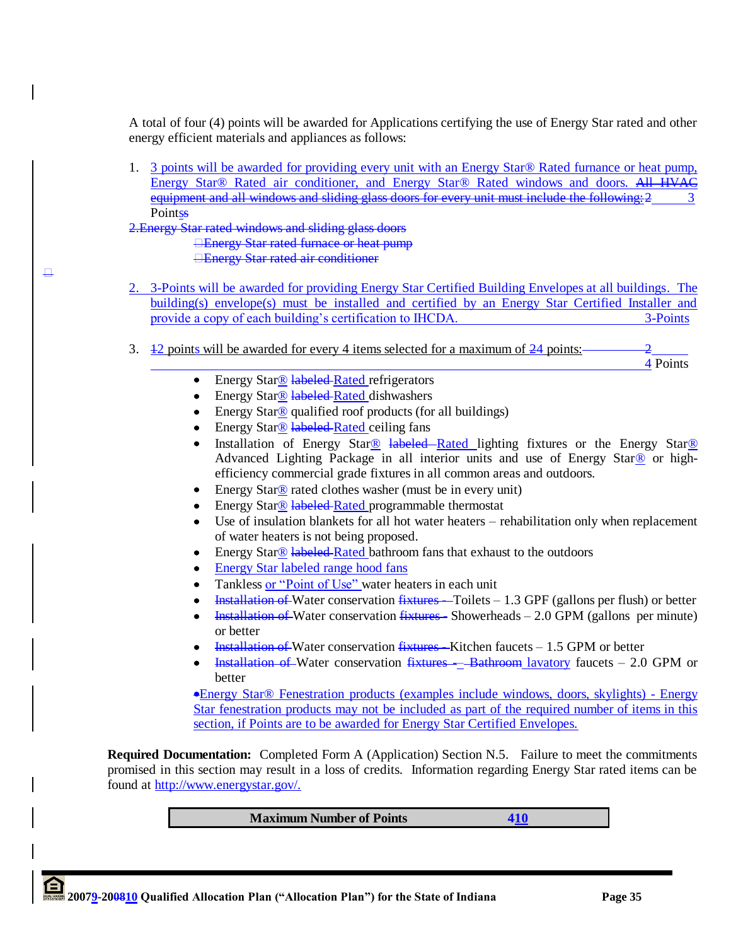A total of four (4) points will be awarded for Applications certifying the use of Energy Star rated and other energy efficient materials and appliances as follows:

1. 3 points will be awarded for providing every unit with an Energy Star® Rated furnance or heat pump, Energy Star® Rated air conditioner, and Energy Star® Rated windows and doors. All HVAC equipment and all windows and sliding glass doors for every unit must include the following: 2 **Pointss** 

2.Energy Star rated windows and sliding glass doors **Energy Star rated furnace or heat pump** 

 $\Box$ 

Energy Star rated air conditioner

- 2. 3-Points will be awarded for providing Energy Star Certified Building Envelopes at all buildings. The building(s) envelope(s) must be installed and certified by an Energy Star Certified Installer and provide a copy of each building's certification to IHCDA. 3-Points
- 3.  $\frac{12}{24}$  points will be awarded for every 4 items selected for a maximum of  $\frac{24}{24}$  points:

4 Points

- $\bullet$ Energy Star<sup>®</sup> labeled Rated refrigerators
- Energy Star® labeled Rated dishwashers  $\bullet$
- Energy Star® qualified roof products (for all buildings)  $\bullet$
- Energy Star® labeled Rated ceiling fans
- Installation of Energy Star<sup>®</sup> labeled–Rated lighting fixtures or the Energy Star<sup>®</sup> Advanced Lighting Package in all interior units and use of Energy Star<sup>®</sup> or highefficiency commercial grade fixtures in all common areas and outdoors.
- Energy Star<sup>®</sup> rated clothes washer (must be in every unit)  $\bullet$
- Energy Star<sup>®</sup> labeled Rated programmable thermostat
- Use of insulation blankets for all hot water heaters rehabilitation only when replacement  $\bullet$ of water heaters is not being proposed.
- Energy Star<sup>®</sup> labeled-Rated bathroom fans that exhaust to the outdoors
- Energy Star labeled range hood fans
- Tankless or "Point of Use" water heaters in each unit
- Installation of Water conservation fixtures Toilets 1.3 GPF (gallons per flush) or better
- Installation of Water conservation  $fixtures -$  Showerheads  $-$  2.0 GPM (gallons per minute) or better
- Installation of Water conservation fixtures—Kitchen faucets 1.5 GPM or better
- Installation of Water conservation fixtures Bathroom lavatory faucets 2.0 GPM or better

Energy Star® Fenestration products (examples include windows, doors, skylights) - Energy Star fenestration products may not be included as part of the required number of items in this section, if Points are to be awarded for Energy Star Certified Envelopes.

**Required Documentation:** Completed Form A (Application) Section N.5. Failure to meet the commitments promised in this section may result in a loss of credits. Information regarding Energy Star rated items can be found at [http://www.energystar.gov/.](http://www.energystar.gov/)

**Maximum Number of Points 410**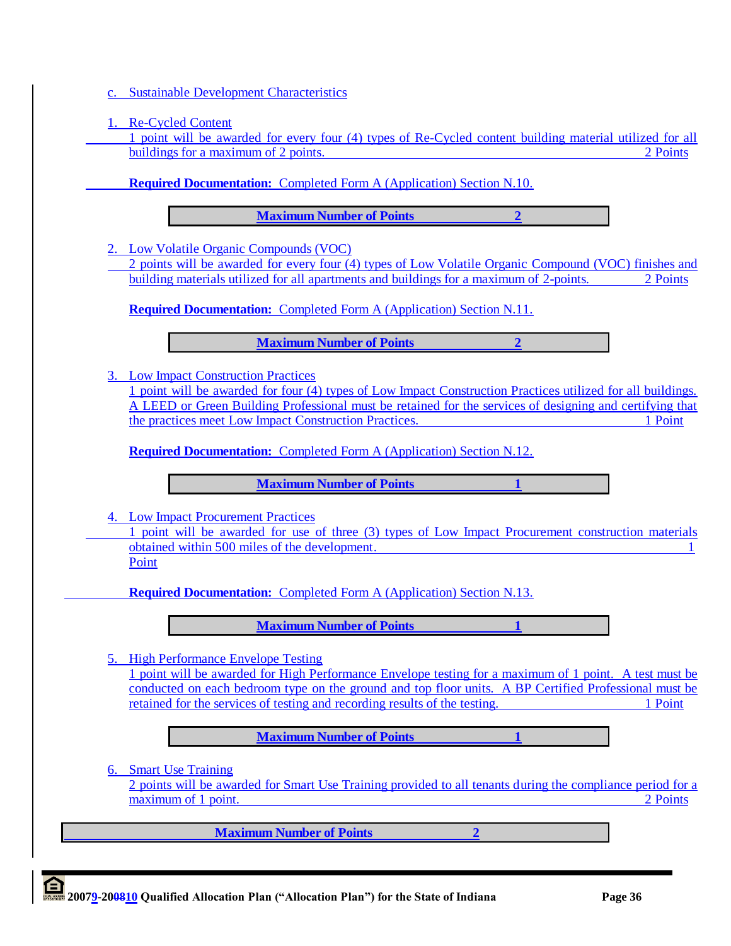c. Sustainable Development Characteristics

1. Re-Cycled Content

1 point will be awarded for every four (4) types of Re-Cycled content building material utilized for all buildings for a maximum of 2 points. 2 Points of 2 and 2 points of 2 and 2 and 2 and 2 and 2 and 2 and 2 and 2 points of 2 and 2 and 2 and 2 and 2 and 2 and 2 and 2 and 2 and 2 and 2 and 2 and 2 and 2 and 2 and 2 and 2 and

**Required Documentation:** Completed Form A (Application) Section N.10.

**Maximum Number of Points 2**

2. Low Volatile Organic Compounds (VOC)

2 points will be awarded for every four (4) types of Low Volatile Organic Compound (VOC) finishes and building materials utilized for all apartments and buildings for a maximum of 2-points. 2 Points

**Required Documentation:** Completed Form A (Application) Section N.11.

**Maximum Number of Points 2**

3. Low Impact Construction Practices

1 point will be awarded for four (4) types of Low Impact Construction Practices utilized for all buildings. A LEED or Green Building Professional must be retained for the services of designing and certifying that the practices meet Low Impact Construction Practices. 1 Point

**Required Documentation:** Completed Form A (Application) Section N.12.

**Maximum Number of Points 1**

4. Low Impact Procurement Practices

1 point will be awarded for use of three (3) types of Low Impact Procurement construction materials obtained within 500 miles of the development. 1 Point

**Required Documentation:** Completed Form A (Application) Section N.13.

**Maximum Number of Points 1**

5. High Performance Envelope Testing

1 point will be awarded for High Performance Envelope testing for a maximum of 1 point. A test must be conducted on each bedroom type on the ground and top floor units. A BP Certified Professional must be retained for the services of testing and recording results of the testing. 1 Point

**Maximum Number of Points 1** 

6. Smart Use Training

2 points will be awarded for Smart Use Training provided to all tenants during the compliance period for a maximum of 1 point. 2 Points 2 Points 2 Points 2 Points 2 Points 2 Points 2 Points 2 Points 2 Points 2 Points 2 Points 2 Points 2 Points 2 Points 2 Points 2 Points 2 Points 2 Points 2 Points 2 Points 2 Points 2 Points 2 Po

**Maximum Number of Points 2**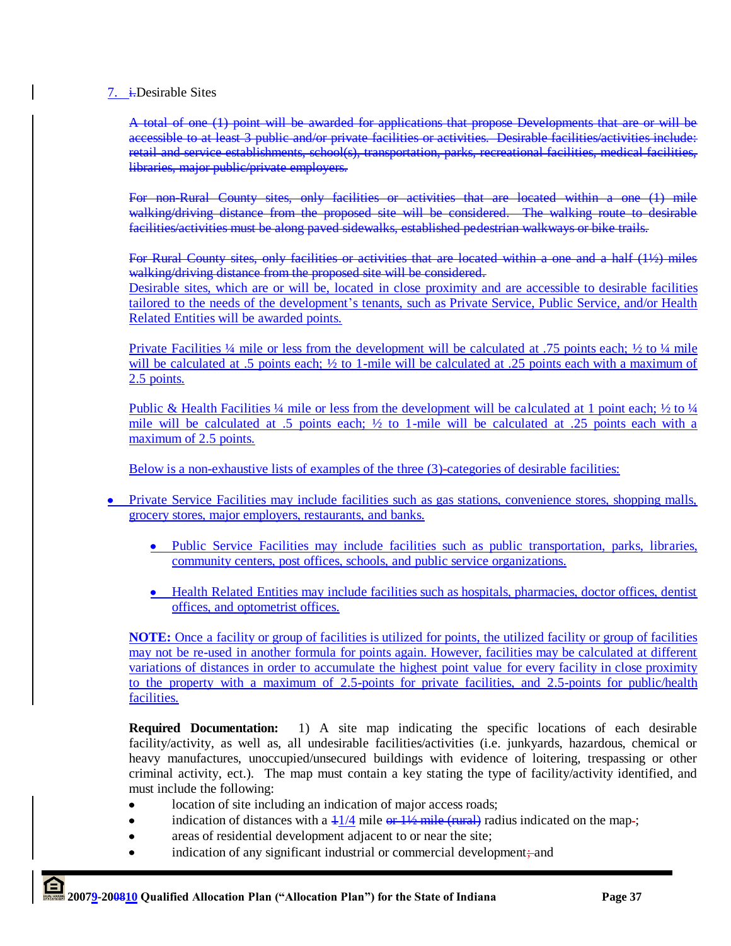## 7. i.Desirable Sites

A total of one (1) point will be awarded for applications that propose Developments that are or will be accessible to at least 3 public and/or private facilities or activities. Desirable facilities/activities include: retail and service establishments, school(s), transportation, parks, recreational facilities, medical facilities, libraries, major public/private employers.

For non-Rural County sites, only facilities or activities that are located within a one (1) mile walking/driving distance from the proposed site will be considered. The walking route to desirable facilities/activities must be along paved sidewalks, established pedestrian walkways or bike trails.

For Rural County sites, only facilities or activities that are located within a one and a half (1½) miles walking/driving distance from the proposed site will be considered. Desirable sites, which are or will be, located in close proximity and are accessible to desirable facilities tailored to the needs of the development's tenants, such as Private Service, Public Service, and/or Health Related Entities will be awarded points.

Private Facilities ¼ mile or less from the development will be calculated at .75 points each; ½ to ¼ mile will be calculated at .5 points each;  $\frac{1}{2}$  to 1-mile will be calculated at .25 points each with a maximum of 2.5 points.

Public & Health Facilities  $\frac{1}{4}$  mile or less from the development will be calculated at 1 point each;  $\frac{1}{2}$  to  $\frac{1}{4}$ mile will be calculated at .5 points each;  $\frac{1}{2}$  to 1-mile will be calculated at .25 points each with a maximum of 2.5 points.

Below is a non-exhaustive lists of examples of the three (3)-categories of desirable facilities:

- Private Service Facilities may include facilities such as gas stations, convenience stores, shopping malls, grocery stores, major employers, restaurants, and banks.
	- Public Service Facilities may include facilities such as public transportation, parks, libraries, community centers, post offices, schools, and public service organizations.
	- Health Related Entities may include facilities such as hospitals, pharmacies, doctor offices, dentist offices, and optometrist offices.

**NOTE:** Once a facility or group of facilities is utilized for points, the utilized facility or group of facilities may not be re-used in another formula for points again. However, facilities may be calculated at different variations of distances in order to accumulate the highest point value for every facility in close proximity to the property with a maximum of 2.5-points for private facilities, and 2.5-points for public/health facilities.

**Required Documentation:** 1) A site map indicating the specific locations of each desirable facility/activity, as well as, all undesirable facilities/activities (i.e. junkyards, hazardous, chemical or heavy manufactures, unoccupied/unsecured buildings with evidence of loitering, trespassing or other criminal activity, ect.). The map must contain a key stating the type of facility/activity identified, and must include the following:

- $\bullet$ location of site including an indication of major access roads;
- indication of distances with a  $\frac{11}{4}$  mile or  $\frac{11}{2}$  mile (rural) radius indicated on the map-;
- areas of residential development adjacent to or near the site;
- indication of any significant industrial or commercial development; and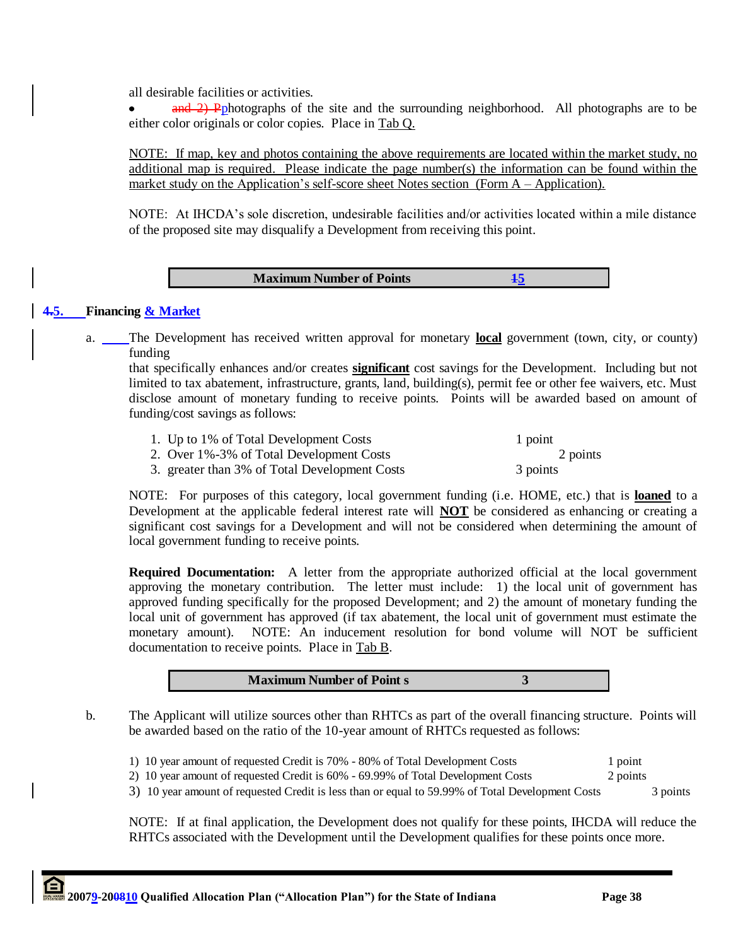all desirable facilities or activities.

and 2) Pphotographs of the site and the surrounding neighborhood. All photographs are to be  $\bullet$ either color originals or color copies. Place in Tab Q.

NOTE: If map, key and photos containing the above requirements are located within the market study, no additional map is required. Please indicate the page number(s) the information can be found within the market study on the Application's self-score sheet Notes section (Form A – Application).

NOTE: At IHCDA"s sole discretion, undesirable facilities and/or activities located within a mile distance of the proposed site may disqualify a Development from receiving this point.

#### **Maximum Number of Points 15**

#### **4.5. Financing & Market**

a. The Development has received written approval for monetary **local** government (town, city, or county) funding

that specifically enhances and/or creates **significant** cost savings for the Development. Including but not limited to tax abatement, infrastructure, grants, land, building(s), permit fee or other fee waivers, etc. Must disclose amount of monetary funding to receive points. Points will be awarded based on amount of funding/cost savings as follows:

| 1. Up to 1% of Total Development Costs        | 1 point  |
|-----------------------------------------------|----------|
| 2. Over 1%-3% of Total Development Costs      | 2 points |
| 3. greater than 3% of Total Development Costs | 3 points |

NOTE: For purposes of this category, local government funding (i.e. HOME, etc.) that is **loaned** to a Development at the applicable federal interest rate will **NOT** be considered as enhancing or creating a significant cost savings for a Development and will not be considered when determining the amount of local government funding to receive points.

**Required Documentation:** A letter from the appropriate authorized official at the local government approving the monetary contribution. The letter must include: 1) the local unit of government has approved funding specifically for the proposed Development; and 2) the amount of monetary funding the local unit of government has approved (if tax abatement, the local unit of government must estimate the monetary amount). NOTE: An inducement resolution for bond volume will NOT be sufficient documentation to receive points. Place in Tab B.

| <b>Maximum Number of Point s</b> |  |
|----------------------------------|--|
|----------------------------------|--|

b. The Applicant will utilize sources other than RHTCs as part of the overall financing structure. Points will be awarded based on the ratio of the 10-year amount of RHTCs requested as follows:

| 1) 10 year amount of requested Credit is 70% - 80% of Total Development Costs    | 1 point  |
|----------------------------------------------------------------------------------|----------|
| 2) 10 year amount of requested Credit is 60% - 69.99% of Total Development Costs | 2 points |

3) 10 year amount of requested Credit is less than or equal to 59.99% of Total Development Costs 3 points

NOTE: If at final application, the Development does not qualify for these points, IHCDA will reduce the RHTCs associated with the Development until the Development qualifies for these points once more.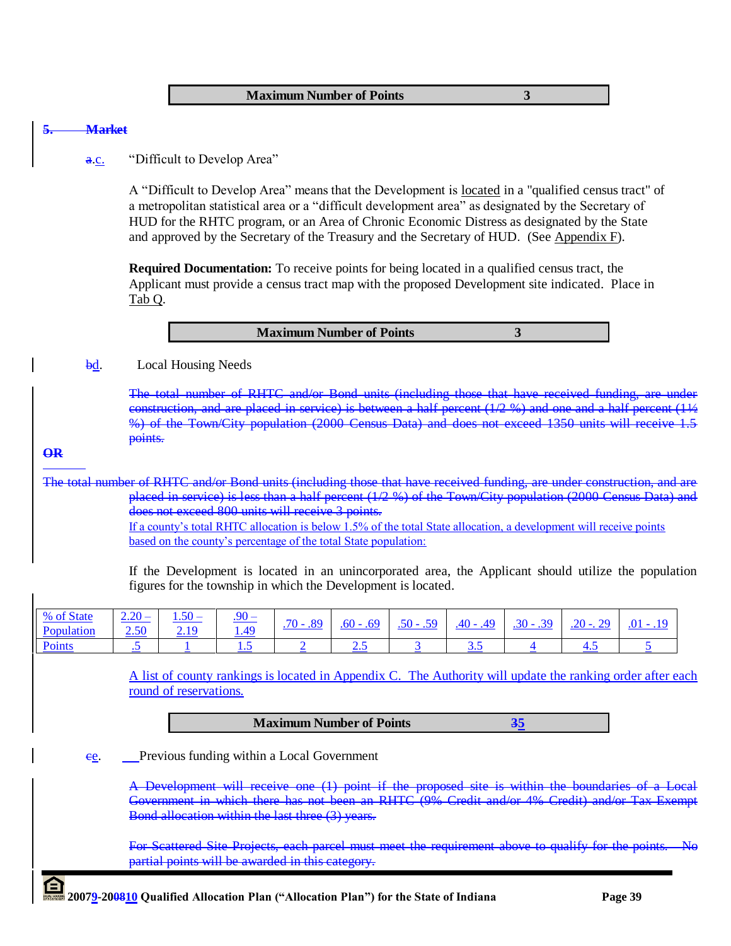**Maximum Number of Points 3**

#### **5. Market**

#### a.c. "Difficult to Develop Area"

A "Difficult to Develop Area" means that the Development is located in a "qualified census tract" of a metropolitan statistical area or a "difficult development area" as designated by the Secretary of HUD for the RHTC program, or an Area of Chronic Economic Distress as designated by the State and approved by the Secretary of the Treasury and the Secretary of HUD. (See Appendix F).

**Required Documentation:** To receive points for being located in a qualified census tract, the Applicant must provide a census tract map with the proposed Development site indicated. Place in Tab Q.

bd. Local Housing Needs

The total number of RHTC and/or Bond units (including those that have received funding, are construction, and are placed in service) is between a half percent  $(1/2, 96)$  and one and a half percent %) of the Town/City population (2000 Census Data) and does not exceed 1350 units will rec points.

#### **OR**

The total number of RHTC and/or Bond units (including those that have received funding, are under construction, and are placed in service) is less than a half percent (1/2 %) of the Town/City population (2000 Census Data) and does not exceed 800 units will receive 3 points. If a county"s total RHTC allocation is below 1.5% of the total State allocation, a development will receive points

based on the county"s percentage of the total State population:

If the Development is located in an unincorporated area, the Applicant should utilize the population figures for the township in which the Development is located.

| % of State        | 2.50      | $.90 -$ | $.70 - .89$ | .69<br>$.60 -$ | $.50 - .59$ | .49 | $30 -$ | $.20 - 0.29$ | $.01 - .$<br>.19 |
|-------------------|-----------|---------|-------------|----------------|-------------|-----|--------|--------------|------------------|
| <b>Population</b> |           | 1.49    |             |                |             |     |        |              |                  |
| <b>Points</b>     | $\ddotsc$ |         |             |                |             |     |        | <b></b>      |                  |

A list of county rankings is located in Appendix C. The Authority will update the ranking order after each round of reservations.

## **Maximum Number of Points 35**

ce. Previous funding within a Local Government

A Development will receive one (1) point if the proposed site is within the boundaries of Government in which there has not been an RHTC (9% Credit and/or 4% Credit) and/or Tax Exempt Bond allocation within the last three (3) years.

For Scattered Site Projects, each parcel must meet the requirement above to qualify for the points. partial points will be awarded in this category.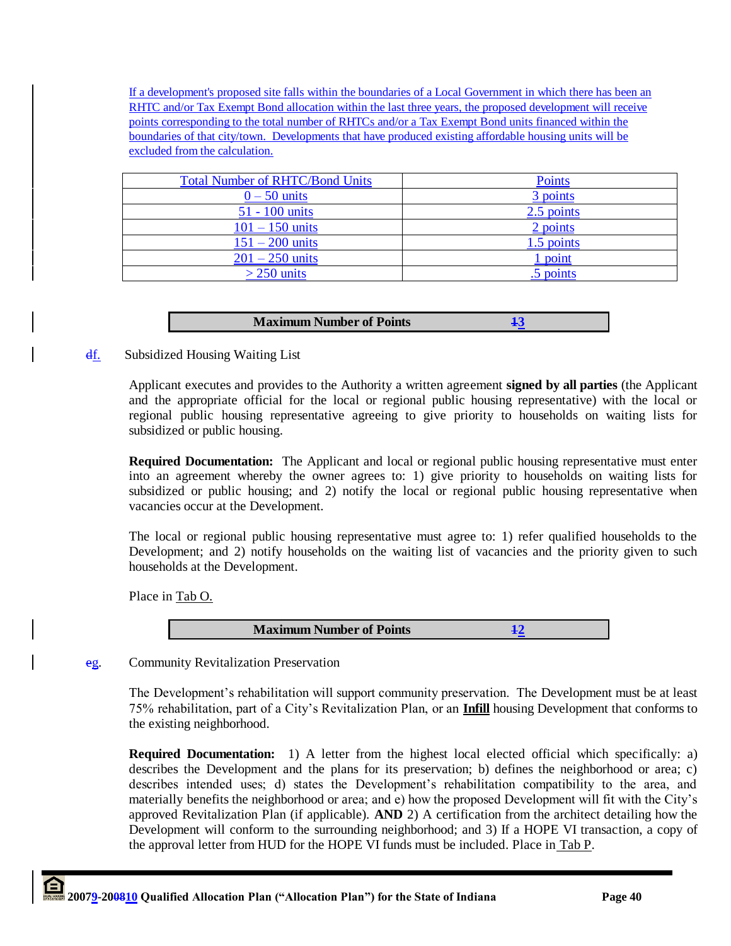If a development's proposed site falls within the boundaries of a Local Government in which there has been an RHTC and/or Tax Exempt Bond allocation within the last three years, the proposed development will receive points corresponding to the total number of RHTCs and/or a Tax Exempt Bond units financed within the boundaries of that city/town. Developments that have produced existing affordable housing units will be excluded from the calculation.

| <b>Total Number of RHTC/Bond Units</b> | <b>Points</b> |
|----------------------------------------|---------------|
| $0 - 50$ units                         | 3 points      |
| 51 - 100 units                         | 2.5 points    |
| $101 - 150$ units                      | 2 points      |
| $151 - 200$ units                      | 1.5 points    |
| $201 - 250$ units                      | 1 point       |
| $>$ 250 units                          | .5 points     |

| <b>Maximum Number of Points</b> |  |
|---------------------------------|--|
|                                 |  |

# **df.** Subsidized Housing Waiting List

Applicant executes and provides to the Authority a written agreement **signed by all parties** (the Applicant and the appropriate official for the local or regional public housing representative) with the local or regional public housing representative agreeing to give priority to households on waiting lists for subsidized or public housing.

**Required Documentation:** The Applicant and local or regional public housing representative must enter into an agreement whereby the owner agrees to: 1) give priority to households on waiting lists for subsidized or public housing; and 2) notify the local or regional public housing representative when vacancies occur at the Development.

The local or regional public housing representative must agree to: 1) refer qualified households to the Development; and 2) notify households on the waiting list of vacancies and the priority given to such households at the Development.

Place in Tab O.



eg. Community Revitalization Preservation

The Development"s rehabilitation will support community preservation. The Development must be at least 75% rehabilitation, part of a City"s Revitalization Plan, or an **Infill** housing Development that conforms to the existing neighborhood.

**Required Documentation:** 1) A letter from the highest local elected official which specifically: a) describes the Development and the plans for its preservation; b) defines the neighborhood or area; c) describes intended uses; d) states the Development"s rehabilitation compatibility to the area, and materially benefits the neighborhood or area; and e) how the proposed Development will fit with the City"s approved Revitalization Plan (if applicable). **AND** 2) A certification from the architect detailing how the Development will conform to the surrounding neighborhood; and 3) If a HOPE VI transaction, a copy of the approval letter from HUD for the HOPE VI funds must be included. Place in Tab P.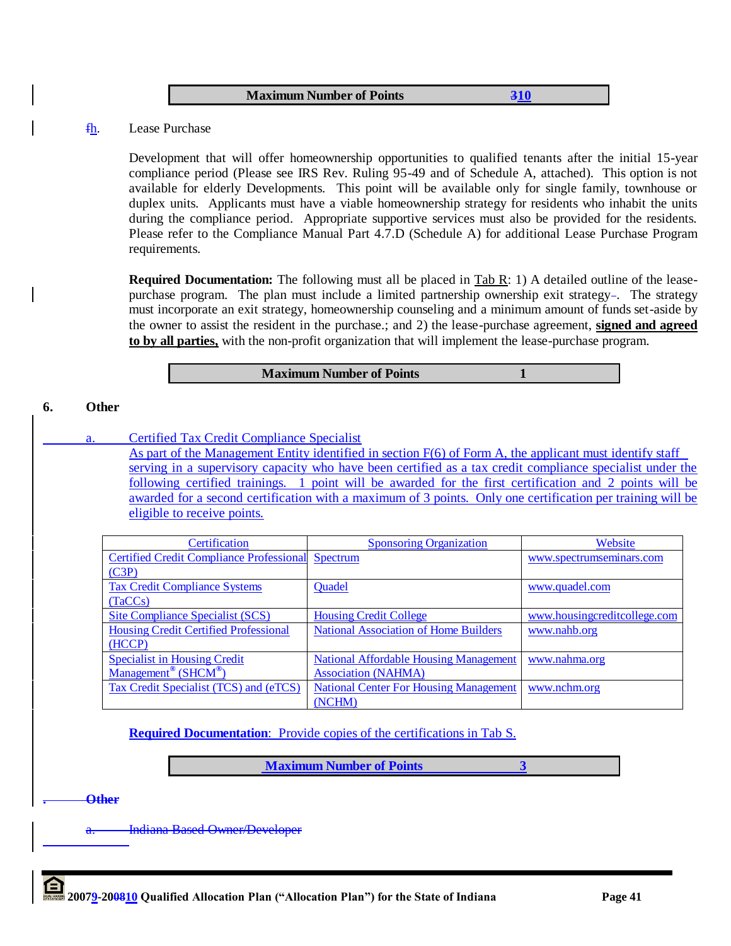#### **Maximum Number of Points** 310

#### fh. Lease Purchase

Development that will offer homeownership opportunities to qualified tenants after the initial 15-year compliance period (Please see IRS Rev. Ruling 95-49 and of Schedule A, attached). This option is not available for elderly Developments. This point will be available only for single family, townhouse or duplex units. Applicants must have a viable homeownership strategy for residents who inhabit the units during the compliance period. Appropriate supportive services must also be provided for the residents. Please refer to the Compliance Manual Part 4.7.D (Schedule A) for additional Lease Purchase Program requirements.

**Required Documentation:** The following must all be placed in Tab R: 1) A detailed outline of the leasepurchase program. The plan must include a limited partnership ownership exit strategy-. The strategy must incorporate an exit strategy, homeownership counseling and a minimum amount of funds set-aside by the owner to assist the resident in the purchase.; and 2) the lease-purchase agreement, **signed and agreed to by all parties,** with the non-profit organization that will implement the lease-purchase program.

#### **Maximum Number of Points 1**

#### **6. Other**

a. Certified Tax Credit Compliance Specialist

As part of the Management Entity identified in section F(6) of Form A, the applicant must identify staff serving in a supervisory capacity who have been certified as a tax credit compliance specialist under the following certified trainings. 1 point will be awarded for the first certification and 2 points will be awarded for a second certification with a maximum of 3 points. Only one certification per training will be eligible to receive points.

| Certification                                   | <b>Sponsoring Organization</b>                | Website                      |
|-------------------------------------------------|-----------------------------------------------|------------------------------|
| <b>Certified Credit Compliance Professional</b> | Spectrum                                      | www.spectrumseminars.com     |
| (C3P)                                           |                                               |                              |
| <b>Tax Credit Compliance Systems</b>            | Quadel                                        | www.quadel.com               |
| (TaCCs)                                         |                                               |                              |
| <b>Site Compliance Specialist (SCS)</b>         | <b>Housing Credit College</b>                 | www.housingcreditcollege.com |
| <b>Housing Credit Certified Professional</b>    | <b>National Association of Home Builders</b>  | www.nahb.org                 |
| (HCCP)                                          |                                               |                              |
| <b>Specialist in Housing Credit</b>             | <b>National Affordable Housing Management</b> | www.nahma.org                |
| Management <sup>®</sup> ( $SHCM^®$ )            | <b>Association (NAHMA)</b>                    |                              |
| Tax Credit Specialist (TCS) and (eTCS)          | <b>National Center For Housing Management</b> | www.nchm.org                 |
|                                                 | (NCHM)                                        |                              |

#### **Required Documentation:** Provide copies of the certifications in Tab S.

**Maximum Number of Points 3**

**. Other**

Indiana Based Owner/Developer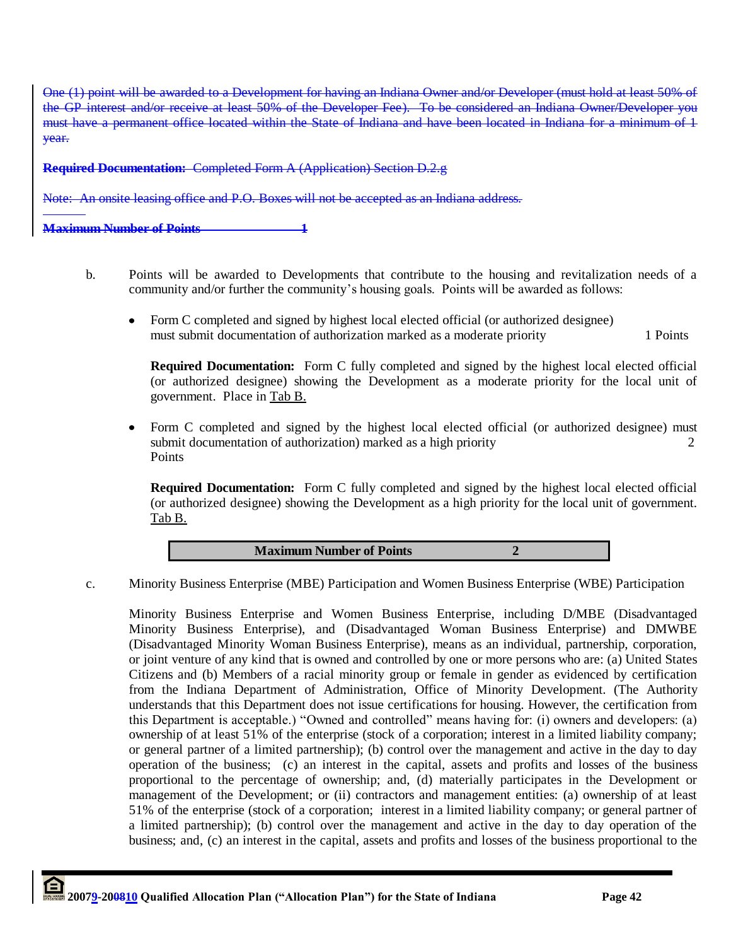One (1) point will be awarded to a Development for having an Indiana Owner and/or Developer (must hold at least 50% the GP interest and/or receive at least 50% of the Developer Fee). To be considered an Indiana Owner/Develope must have a permanent office located within the State of Indiana and have been located in Indiana for a minimum of 1 year.

**Required Documentation:** Completed Form A (Application) Section D.2.g

Note: An onsite leasing office and P.O. Boxes will not be accepted as an Indiana address.

**Maximum Number of Points** 

- b. Points will be awarded to Developments that contribute to the housing and revitalization needs of a community and/or further the community"s housing goals. Points will be awarded as follows:
	- $\bullet$ Form C completed and signed by highest local elected official (or authorized designee) must submit documentation of authorization marked as a moderate priority 1 Points

**Required Documentation:** Form C fully completed and signed by the highest local elected official (or authorized designee) showing the Development as a moderate priority for the local unit of government. Place in Tab B.

Form C completed and signed by the highest local elected official (or authorized designee) must  $\bullet$ submit documentation of authorization) marked as a high priority 2 **Points** 

**Required Documentation:** Form C fully completed and signed by the highest local elected official (or authorized designee) showing the Development as a high priority for the local unit of government. Tab B.

**Maximum Number of Points 2**

c. Minority Business Enterprise (MBE) Participation and Women Business Enterprise (WBE) Participation

Minority Business Enterprise and Women Business Enterprise, including D/MBE (Disadvantaged Minority Business Enterprise), and (Disadvantaged Woman Business Enterprise) and DMWBE (Disadvantaged Minority Woman Business Enterprise), means as an individual, partnership, corporation, or joint venture of any kind that is owned and controlled by one or more persons who are: (a) United States Citizens and (b) Members of a racial minority group or female in gender as evidenced by certification from the Indiana Department of Administration, Office of Minority Development. (The Authority understands that this Department does not issue certifications for housing. However, the certification from this Department is acceptable.) "Owned and controlled" means having for: (i) owners and developers: (a) ownership of at least 51% of the enterprise (stock of a corporation; interest in a limited liability company; or general partner of a limited partnership); (b) control over the management and active in the day to day operation of the business; (c) an interest in the capital, assets and profits and losses of the business proportional to the percentage of ownership; and, (d) materially participates in the Development or management of the Development; or (ii) contractors and management entities: (a) ownership of at least 51% of the enterprise (stock of a corporation; interest in a limited liability company; or general partner of a limited partnership); (b) control over the management and active in the day to day operation of the business; and, (c) an interest in the capital, assets and profits and losses of the business proportional to the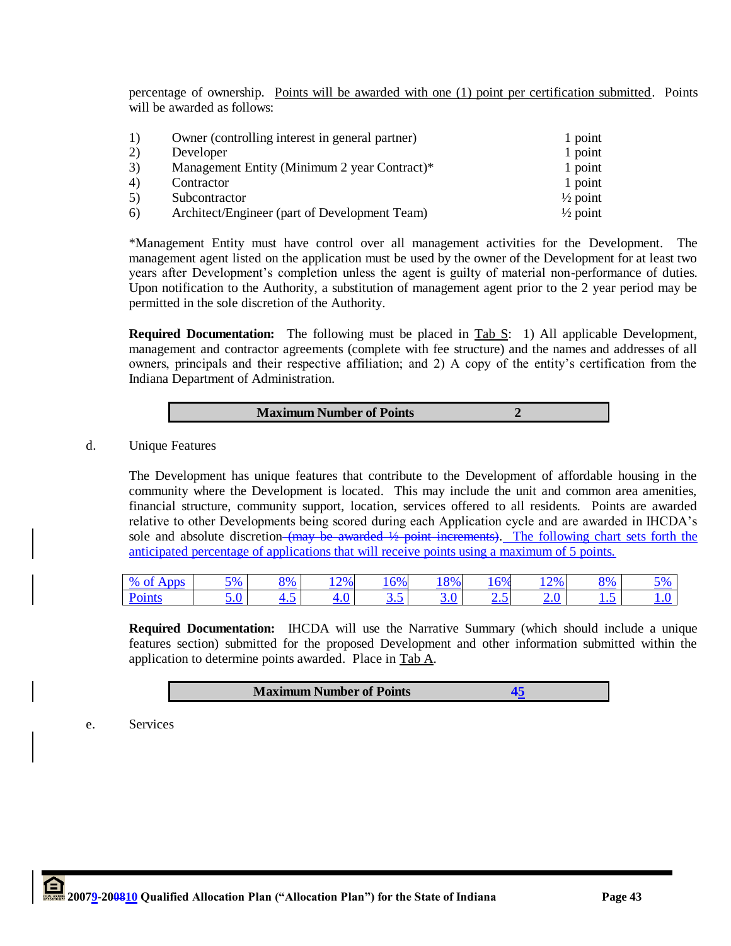percentage of ownership. Points will be awarded with one (1) point per certification submitted. Points will be awarded as follows:

| 1) | Owner (controlling interest in general partner) | 1 point             |
|----|-------------------------------------------------|---------------------|
| 2) | Developer                                       | 1 point             |
| 3) | Management Entity (Minimum 2 year Contract)*    | 1 point             |
| 4) | Contractor                                      | 1 point             |
| 5) | Subcontractor                                   | $\frac{1}{2}$ point |
| 6) | Architect/Engineer (part of Development Team)   | $\frac{1}{2}$ point |

\*Management Entity must have control over all management activities for the Development. The management agent listed on the application must be used by the owner of the Development for at least two years after Development"s completion unless the agent is guilty of material non-performance of duties. Upon notification to the Authority, a substitution of management agent prior to the 2 year period may be permitted in the sole discretion of the Authority.

**Required Documentation:** The following must be placed in Tab S: 1) All applicable Development, management and contractor agreements (complete with fee structure) and the names and addresses of all owners, principals and their respective affiliation; and 2) A copy of the entity"s certification from the Indiana Department of Administration.

| <b>Maximum Number of Points</b> |  |
|---------------------------------|--|
|                                 |  |

d. Unique Features

L

The Development has unique features that contribute to the Development of affordable housing in the community where the Development is located. This may include the unit and common area amenities, financial structure, community support, location, services offered to all residents. Points are awarded relative to other Developments being scored during each Application cycle and are awarded in IHCDA"s sole and absolute discretion (may be awarded  $\frac{1}{2}$  point increments). The following chart sets forth the anticipated percentage of applications that will receive points using a maximum of 5 points.

| 0/2<br>$\sim$ +<br>Apps | 5%  | . V/<br>7 V | 12%<br>--    | 16%       | 8%  | 16%            | 12% | 8%        | رہ ہ<br>$\sim$ |
|-------------------------|-----|-------------|--------------|-----------|-----|----------------|-----|-----------|----------------|
| Points                  | J.v |             | $.0^{\circ}$ | $\ddotsc$ | J.V | $\overline{v}$ | 2.v | $\ddotsc$ | 1 . v<br>____  |

**Required Documentation:** IHCDA will use the Narrative Summary (which should include a unique features section) submitted for the proposed Development and other information submitted within the application to determine points awarded. Place in Tab A.

## **Maximum Number of Points 45**

e. Services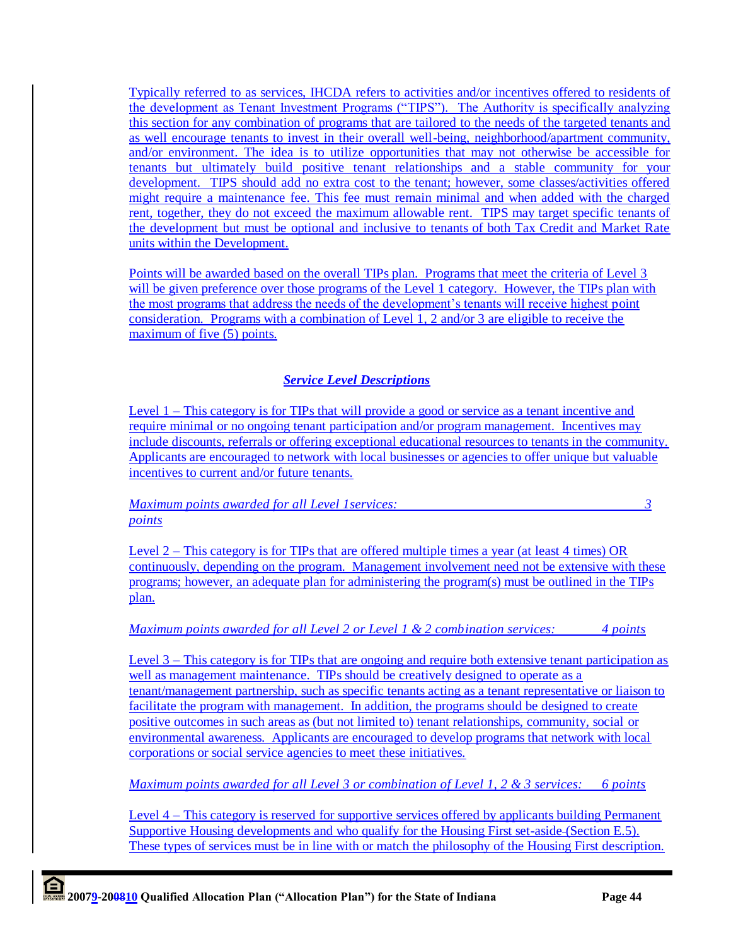Typically referred to as services, IHCDA refers to activities and/or incentives offered to residents of the development as Tenant Investment Programs ("TIPS"). The Authority is specifically analyzing this section for any combination of programs that are tailored to the needs of the targeted tenants and as well encourage tenants to invest in their overall well-being, neighborhood/apartment community, and/or environment. The idea is to utilize opportunities that may not otherwise be accessible for tenants but ultimately build positive tenant relationships and a stable community for your development. TIPS should add no extra cost to the tenant; however, some classes/activities offered might require a maintenance fee. This fee must remain minimal and when added with the charged rent, together, they do not exceed the maximum allowable rent. TIPS may target specific tenants of the development but must be optional and inclusive to tenants of both Tax Credit and Market Rate units within the Development.

Points will be awarded based on the overall TIPs plan. Programs that meet the criteria of Level 3 will be given preference over those programs of the Level 1 category. However, the TIPs plan with the most programs that address the needs of the development"s tenants will receive highest point consideration. Programs with a combination of Level 1, 2 and/or 3 are eligible to receive the maximum of five (5) points.

# *Service Level Descriptions*

Level 1 – This category is for TIPs that will provide a good or service as a tenant incentive and require minimal or no ongoing tenant participation and/or program management. Incentives may include discounts, referrals or offering exceptional educational resources to tenants in the community. Applicants are encouraged to network with local businesses or agencies to offer unique but valuable incentives to current and/or future tenants.

*Maximum points awarded for all Level 1services: 3 points*

Level 2 – This category is for TIPs that are offered multiple times a year (at least 4 times) OR continuously, depending on the program. Management involvement need not be extensive with these programs; however, an adequate plan for administering the program(s) must be outlined in the TIPs plan.

*Maximum points awarded for all Level 2 or Level 1 & 2 combination services: 4 points*

Level 3 – This category is for TIPs that are ongoing and require both extensive tenant participation as well as management maintenance. TIPs should be creatively designed to operate as a tenant/management partnership, such as specific tenants acting as a tenant representative or liaison to facilitate the program with management. In addition, the programs should be designed to create positive outcomes in such areas as (but not limited to) tenant relationships, community, social or environmental awareness. Applicants are encouraged to develop programs that network with local corporations or social service agencies to meet these initiatives.

*Maximum points awarded for all Level 3 or combination of Level 1, 2 & 3 services: 6 points*

Level 4 – This category is reserved for supportive services offered by applicants building Permanent Supportive Housing developments and who qualify for the Housing First set-aside (Section E.5). These types of services must be in line with or match the philosophy of the Housing First description.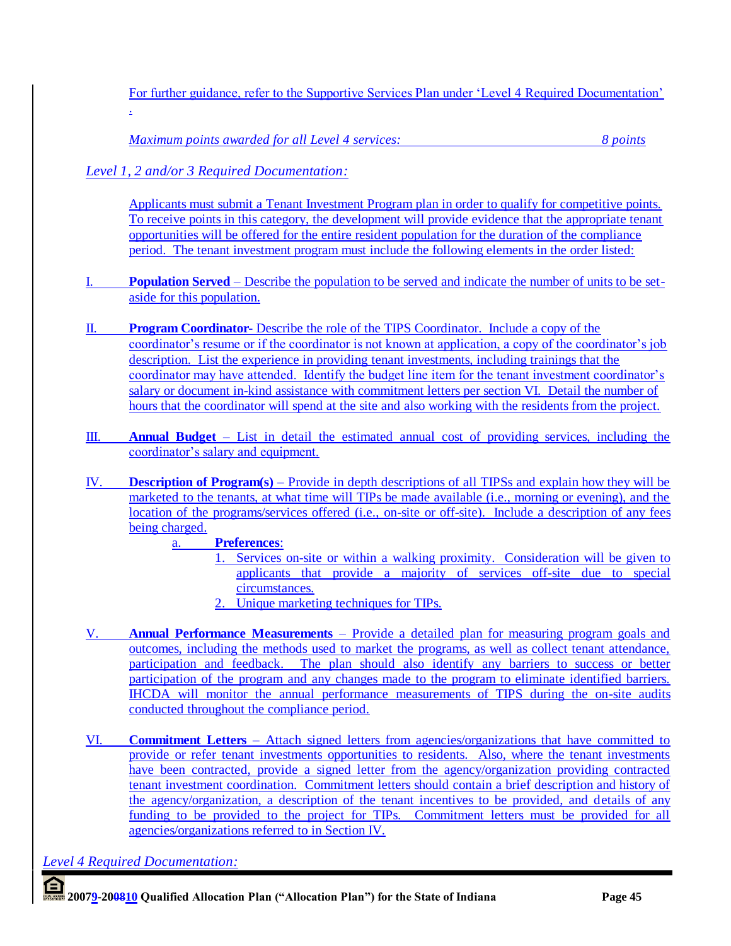For further guidance, refer to the Supportive Services Plan under "Level 4 Required Documentation" .

*Maximum points awarded for all Level 4 services: 8 points*

# *Level 1, 2 and/or 3 Required Documentation:*

Applicants must submit a Tenant Investment Program plan in order to qualify for competitive points. To receive points in this category, the development will provide evidence that the appropriate tenant opportunities will be offered for the entire resident population for the duration of the compliance period. The tenant investment program must include the following elements in the order listed:

- I. **Population Served** Describe the population to be served and indicate the number of units to be setaside for this population.
- II. **Program Coordinator** Describe the role of the TIPS Coordinator. Include a copy of the coordinator"s resume or if the coordinator is not known at application, a copy of the coordinator"s job description. List the experience in providing tenant investments, including trainings that the coordinator may have attended. Identify the budget line item for the tenant investment coordinator"s salary or document in-kind assistance with commitment letters per section VI. Detail the number of hours that the coordinator will spend at the site and also working with the residents from the project.
- III. **Annual Budget** List in detail the estimated annual cost of providing services, including the coordinator"s salary and equipment.
- IV. **Description of Program(s)** Provide in depth descriptions of all TIPSs and explain how they will be marketed to the tenants, at what time will TIPs be made available (i.e., morning or evening), and the location of the programs/services offered (i.e., on-site or off-site). Include a description of any fees being charged.

# a. **Preferences**:

- 1. Services on-site or within a walking proximity. Consideration will be given to applicants that provide a majority of services off-site due to special circumstances.
- 2. Unique marketing techniques for TIPs.
- V. **Annual Performance Measurements** Provide a detailed plan for measuring program goals and outcomes, including the methods used to market the programs, as well as collect tenant attendance, participation and feedback. The plan should also identify any barriers to success or better participation of the program and any changes made to the program to eliminate identified barriers. IHCDA will monitor the annual performance measurements of TIPS during the on-site audits conducted throughout the compliance period.
- VI. **Commitment Letters** Attach signed letters from agencies/organizations that have committed to provide or refer tenant investments opportunities to residents. Also, where the tenant investments have been contracted, provide a signed letter from the agency/organization providing contracted tenant investment coordination. Commitment letters should contain a brief description and history of the agency/organization, a description of the tenant incentives to be provided, and details of any funding to be provided to the project for TIPs. Commitment letters must be provided for all agencies/organizations referred to in Section IV.

*Level 4 Required Documentation:*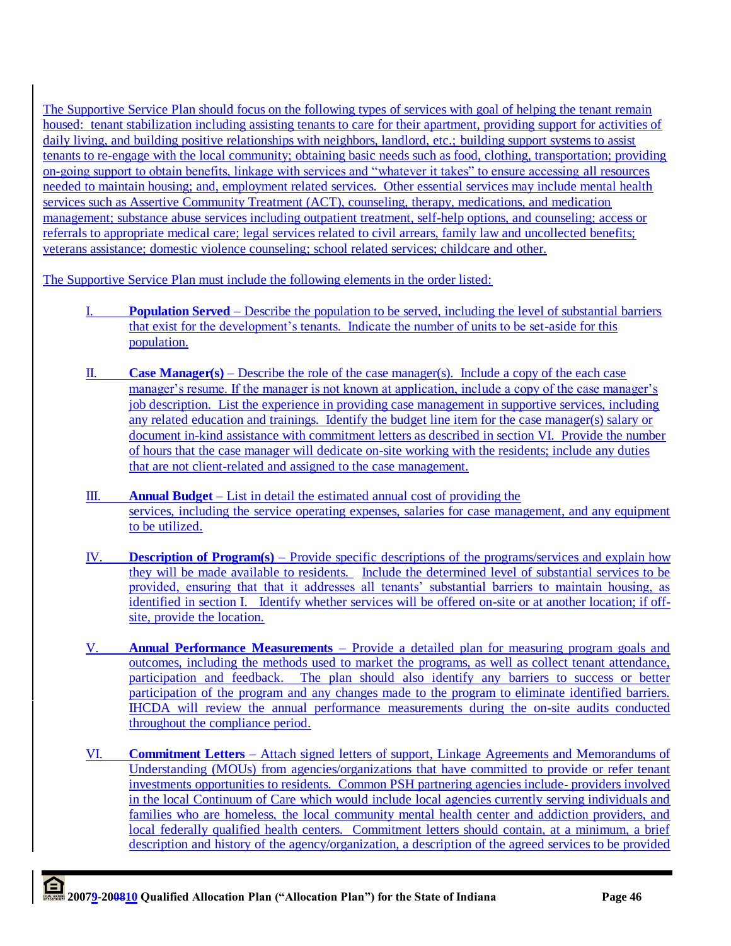The Supportive Service Plan should focus on the following types of services with goal of helping the tenant remain housed: tenant stabilization including assisting tenants to care for their apartment, providing support for activities of daily living, and building positive relationships with neighbors, landlord, etc.; building support systems to assist tenants to re-engage with the local community; obtaining basic needs such as food, clothing, transportation; providing on-going support to obtain benefits, linkage with services and "whatever it takes" to ensure accessing all resources needed to maintain housing; and, employment related services. Other essential services may include mental health services such as Assertive Community Treatment (ACT), counseling, therapy, medications, and medication management; substance abuse services including outpatient treatment, self-help options, and counseling; access or referrals to appropriate medical care; legal services related to civil arrears, family law and uncollected benefits; veterans assistance; domestic violence counseling; school related services; childcare and other.

The Supportive Service Plan must include the following elements in the order listed:

- I. **Population Served** Describe the population to be served, including the level of substantial barriers that exist for the development"s tenants. Indicate the number of units to be set-aside for this population.
- II. **Case Manager(s)** Describe the role of the case manager(s). Include a copy of the each case manager"s resume. If the manager is not known at application, include a copy of the case manager"s job description. List the experience in providing case management in supportive services, including any related education and trainings. Identify the budget line item for the case manager(s) salary or document in-kind assistance with commitment letters as described in section VI. Provide the number of hours that the case manager will dedicate on-site working with the residents; include any duties that are not client-related and assigned to the case management.
- III. **Annual Budget** List in detail the estimated annual cost of providing the services, including the service operating expenses, salaries for case management, and any equipment to be utilized.
- IV. **Description of Program(s)** Provide specific descriptions of the programs/services and explain how they will be made available to residents. Include the determined level of substantial services to be provided, ensuring that that it addresses all tenants" substantial barriers to maintain housing, as identified in section I. Identify whether services will be offered on-site or at another location; if offsite, provide the location.
- V. **Annual Performance Measurements** Provide a detailed plan for measuring program goals and outcomes, including the methods used to market the programs, as well as collect tenant attendance, participation and feedback. The plan should also identify any barriers to success or better participation of the program and any changes made to the program to eliminate identified barriers. IHCDA will review the annual performance measurements during the on-site audits conducted throughout the compliance period.
- VI. **Commitment Letters** Attach signed letters of support, Linkage Agreements and Memorandums of Understanding (MOUs) from agencies/organizations that have committed to provide or refer tenant investments opportunities to residents. Common PSH partnering agencies include providers involved in the local Continuum of Care which would include local agencies currently serving individuals and families who are homeless, the local community mental health center and addiction providers, and local federally qualified health centers. Commitment letters should contain, at a minimum, a brief description and history of the agency/organization, a description of the agreed services to be provided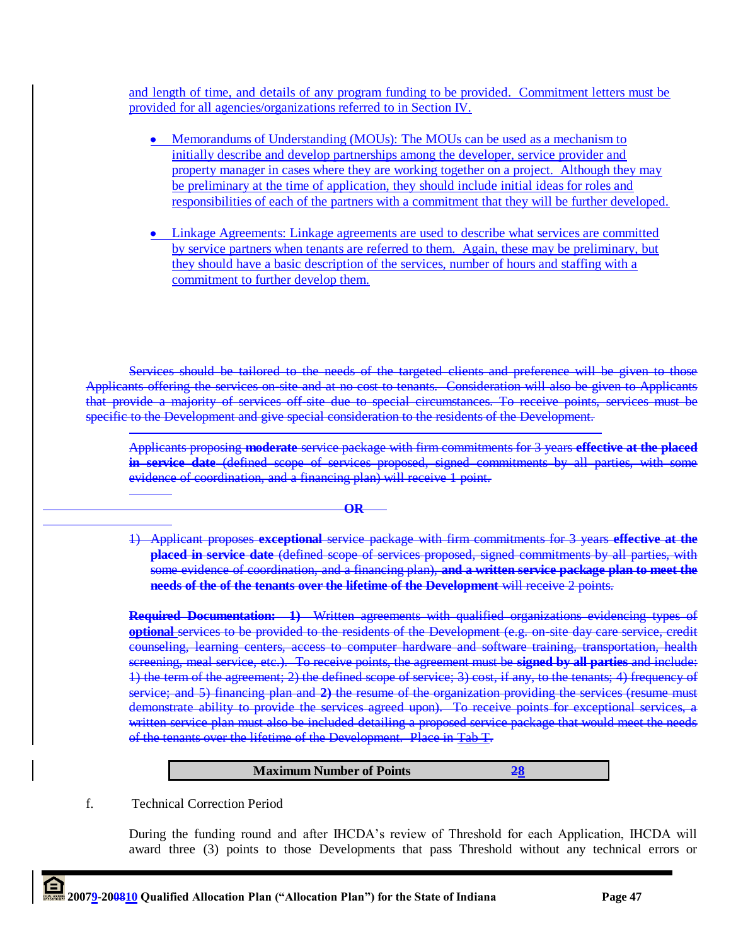and length of time, and details of any program funding to be provided. Commitment letters must be provided for all agencies/organizations referred to in Section IV.

- Memorandums of Understanding (MOUs): The MOUs can be used as a mechanism to initially describe and develop partnerships among the developer, service provider and property manager in cases where they are working together on a project. Although they may be preliminary at the time of application, they should include initial ideas for roles and responsibilities of each of the partners with a commitment that they will be further developed.
- Linkage Agreements: Linkage agreements are used to describe what services are committed by service partners when tenants are referred to them. Again, these may be preliminary, but they should have a basic description of the services, number of hours and staffing with a commitment to further develop them.

Services should be tailored to the needs of the targeted clients and preference will be given to those Applicants offering the services on-site and at no cost to tenants. Consideration will also be given to Applicants that provide a majority of services off-site due to special circumstances. To receive points, services must be specific to the Development and give special consideration to the residents of the Development.

**OR**

Applicants proposing **moderate** service package with firm commitments for 3 years **effective at the placed in service date** (defined scope of services proposed, signed commitments by all parties, with some evidence of coordination, and a financing plan) will receive 1 point.

1) Applicant proposes **exceptional** service package with firm commitments for 3 years **effective at the placed in service date** (defined scope of services proposed, signed commitments by all parties, with some evidence of coordination, and a financing plan), **and a written service package plan to meet the needs of the of the tenants over the lifetime of the Development** will receive 2 points.

**Required Documentation: 1)** Written agreements with qualified organizations evidencing types of **optional** services to be provided to the residents of the Development (e.g. on-site day care service, credit counseling, learning centers, access to computer hardware and software training, transportation, health screening, meal service, etc.). To receive points, the agreement must be **signed by all parties** and include: 1) the term of the agreement; 2) the defined scope of service; 3) cost, if any, to the tenants; 4) frequency of service; and 5) financing plan and **2)** the resume of the organization providing the services (resume must demonstrate ability to provide the services agreed upon). To receive points for exceptional services, written service plan must also be included detailing a proposed service package that would meet the needs of the tenants over the lifetime of the Development. Place in Tab T.

#### **Maximum Number of Points 28**

f. Technical Correction Period

During the funding round and after IHCDA"s review of Threshold for each Application, IHCDA will award three (3) points to those Developments that pass Threshold without any technical errors or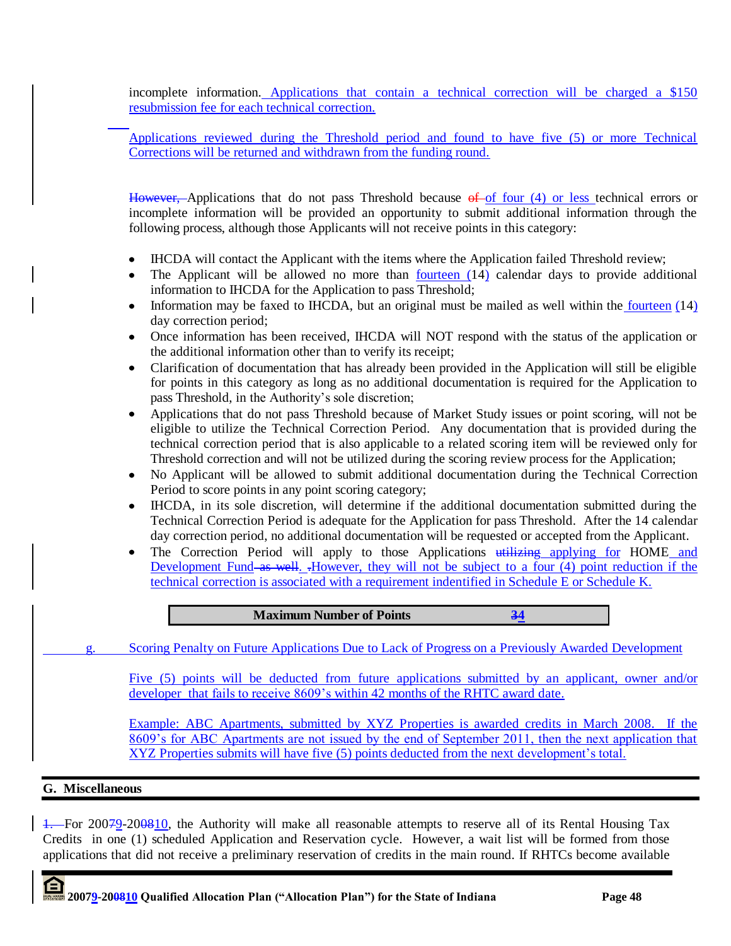incomplete information. Applications that contain a technical correction will be charged a \$150 resubmission fee for each technical correction.

Applications reviewed during the Threshold period and found to have five (5) or more Technical Corrections will be returned and withdrawn from the funding round.

However, Applications that do not pass Threshold because of of four (4) or less technical errors or incomplete information will be provided an opportunity to submit additional information through the following process, although those Applicants will not receive points in this category:

- IHCDA will contact the Applicant with the items where the Application failed Threshold review;  $\bullet$
- The Applicant will be allowed no more than fourteen (14) calendar days to provide additional information to IHCDA for the Application to pass Threshold;
- Information may be faxed to IHCDA, but an original must be mailed as well within the fourteen  $(14)$ day correction period;
- Once information has been received, IHCDA will NOT respond with the status of the application or the additional information other than to verify its receipt;
- Clarification of documentation that has already been provided in the Application will still be eligible for points in this category as long as no additional documentation is required for the Application to pass Threshold, in the Authority's sole discretion;
- Applications that do not pass Threshold because of Market Study issues or point scoring, will not be eligible to utilize the Technical Correction Period. Any documentation that is provided during the technical correction period that is also applicable to a related scoring item will be reviewed only for Threshold correction and will not be utilized during the scoring review process for the Application;
- No Applicant will be allowed to submit additional documentation during the Technical Correction Period to score points in any point scoring category;
- IHCDA, in its sole discretion, will determine if the additional documentation submitted during the Technical Correction Period is adequate for the Application for pass Threshold. After the 14 calendar day correction period, no additional documentation will be requested or accepted from the Applicant.
- The Correction Period will apply to those Applications utilizing applying for HOME and  $\bullet$ Development Fund as well. .However, they will not be subject to a four (4) point reduction if the technical correction is associated with a requirement indentified in Schedule E or Schedule K.



1. For 20079-200810, the Authority will make all reasonable attempts to reserve all of its Rental Housing Tax Credits in one (1) scheduled Application and Reservation cycle. However, a wait list will be formed from those applications that did not receive a preliminary reservation of credits in the main round. If RHTCs become available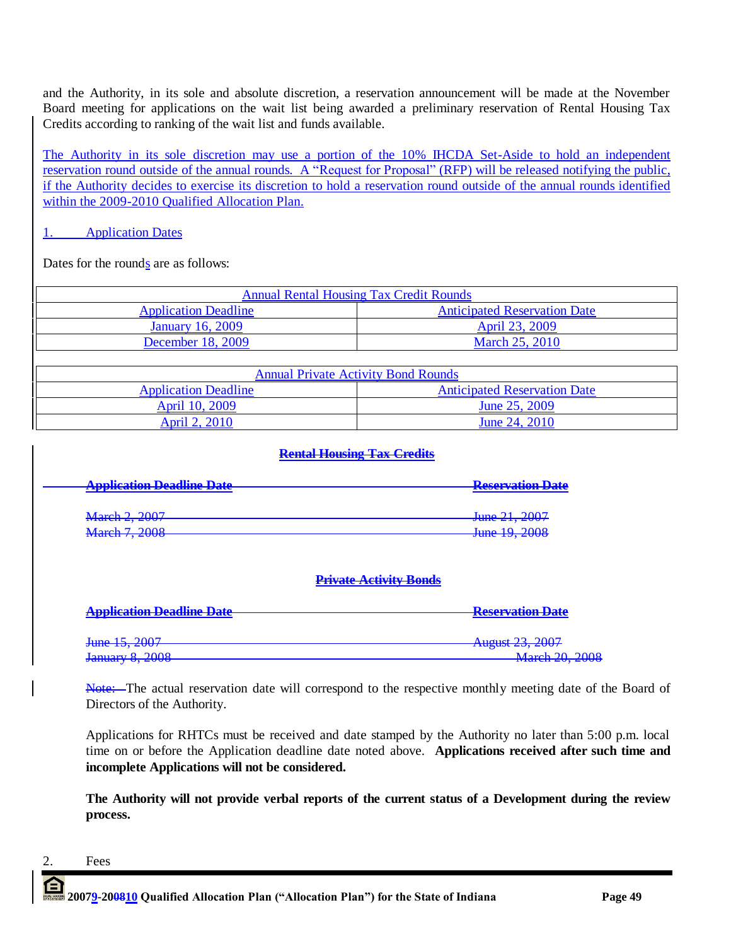and the Authority, in its sole and absolute discretion, a reservation announcement will be made at the November Board meeting for applications on the wait list being awarded a preliminary reservation of Rental Housing Tax Credits according to ranking of the wait list and funds available.

The Authority in its sole discretion may use a portion of the 10% IHCDA Set-Aside to hold an independent reservation round outside of the annual rounds. A "Request for Proposal" (RFP) will be released notifying the public, if the Authority decides to exercise its discretion to hold a reservation round outside of the annual rounds identified within the 2009-2010 Qualified Allocation Plan.

# 1. Application Dates

Dates for the rounds are as follows:

| <b>Annual Rental Housing Tax Credit Rounds</b> |                                     |  |  |  |  |
|------------------------------------------------|-------------------------------------|--|--|--|--|
| <b>Application Deadline</b>                    | <b>Anticipated Reservation Date</b> |  |  |  |  |
| <b>January 16, 2009</b>                        | April 23, 2009                      |  |  |  |  |
| December 18, 2009                              | <b>March 25, 2010</b>               |  |  |  |  |

| <b>Annual Private Activity Bond Rounds</b> |                                     |  |  |  |  |
|--------------------------------------------|-------------------------------------|--|--|--|--|
| <b>Application Deadline</b>                | <b>Anticipated Reservation Date</b> |  |  |  |  |
| April 10, 2009                             | June 25, 2009                       |  |  |  |  |
| April 2, 2010                              | June 24, 2010                       |  |  |  |  |

# **Rental Housing Tax Credits**

| Annlication Deadline Date           | <b>Reservation Date</b>                          |
|-------------------------------------|--------------------------------------------------|
| <del>Application Deaunic Date</del> |                                                  |
|                                     |                                                  |
|                                     | $\frac{1}{2}$ and $\frac{21}{2007}$              |
| March 2, 2007                       | $7000 \; 21, \; 2001$                            |
| $M$ <sub>arah</sub> 7 2008          | $\frac{1}{2}$ and $\frac{10}{2}$ $\frac{200}{2}$ |
| <del>widivii 7, 2000</del>          | $J$ unc $I$ , $2000$                             |

# **Private Activity Bonds**

| <b>Application Deadline Date</b> | <b>Reservation Date</b>                              |
|----------------------------------|------------------------------------------------------|
| June 15, 2007                    | August 23, 2007<br>7102031 23, 2007                  |
| January 8, 2008                  | $M$ <sub>arah</sub> 20 2008<br><b>WHICH 20, 2000</b> |

Note: The actual reservation date will correspond to the respective monthly meeting date of the Board of Directors of the Authority.

Applications for RHTCs must be received and date stamped by the Authority no later than 5:00 p.m. local time on or before the Application deadline date noted above. **Applications received after such time and incomplete Applications will not be considered.**

**The Authority will not provide verbal reports of the current status of a Development during the review process.**

# 2. Fees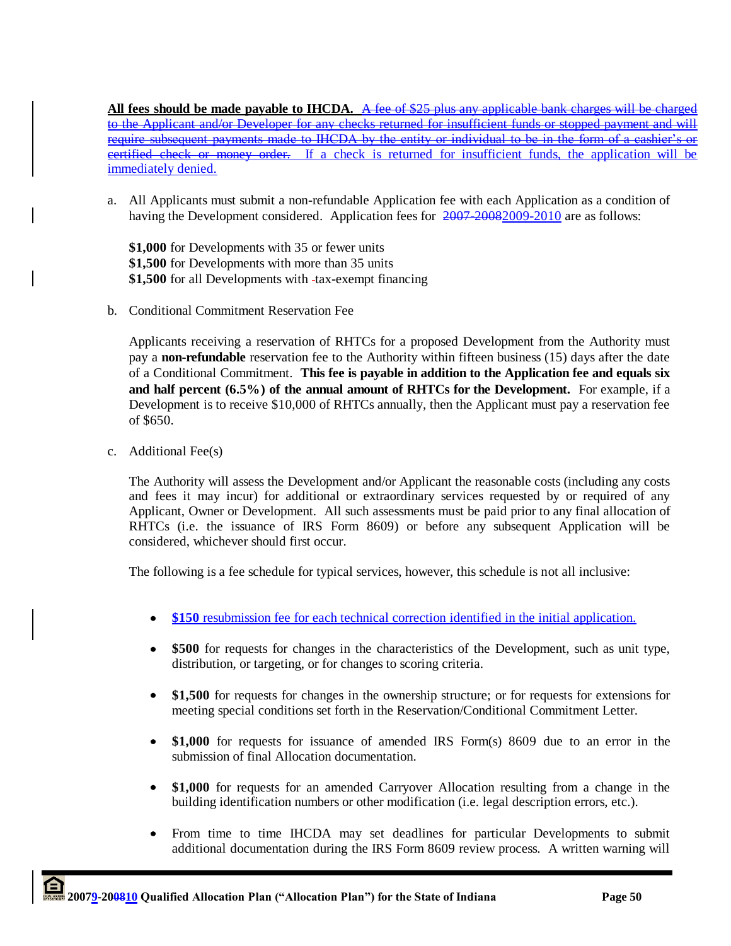**All fees should be made payable to IHCDA.** A fee of \$25 plus any applicable bank charges will be charged to the Applicant and/or Developer for any checks returned for insufficient funds or stopped payment and require subsequent payments made to IHCDA by the entity or individual to be in the form of a certified check or money order. If a check is returned for insufficient funds, the application will immediately denied.

a. All Applicants must submit a non-refundable Application fee with each Application as a condition of having the Development considered. Application fees for  $2007-20082009-2010$  are as follows:

**\$1,000** for Developments with 35 or fewer units **\$1,500** for Developments with more than 35 units **\$1,500** for all Developments with -tax-exempt financing

b. Conditional Commitment Reservation Fee

Applicants receiving a reservation of RHTCs for a proposed Development from the Authority must pay a **non-refundable** reservation fee to the Authority within fifteen business (15) days after the date of a Conditional Commitment. **This fee is payable in addition to the Application fee and equals six and half percent (6.5%) of the annual amount of RHTCs for the Development.** For example, if a Development is to receive \$10,000 of RHTCs annually, then the Applicant must pay a reservation fee of \$650.

c. Additional Fee(s)

The Authority will assess the Development and/or Applicant the reasonable costs (including any costs and fees it may incur) for additional or extraordinary services requested by or required of any Applicant, Owner or Development. All such assessments must be paid prior to any final allocation of RHTCs (i.e. the issuance of IRS Form 8609) or before any subsequent Application will be considered, whichever should first occur.

The following is a fee schedule for typical services, however, this schedule is not all inclusive:

- **\$150** resubmission fee for each technical correction identified in the initial application.
- **\$500** for requests for changes in the characteristics of the Development, such as unit type,  $\bullet$ distribution, or targeting, or for changes to scoring criteria.
- $\bullet$ **\$1,500** for requests for changes in the ownership structure; or for requests for extensions for meeting special conditions set forth in the Reservation/Conditional Commitment Letter.
- $\bullet$ **\$1,000** for requests for issuance of amended IRS Form(s) 8609 due to an error in the submission of final Allocation documentation.
- $\bullet$ **\$1,000** for requests for an amended Carryover Allocation resulting from a change in the building identification numbers or other modification (i.e. legal description errors, etc.).
- From time to time IHCDA may set deadlines for particular Developments to submit  $\bullet$ additional documentation during the IRS Form 8609 review process. A written warning will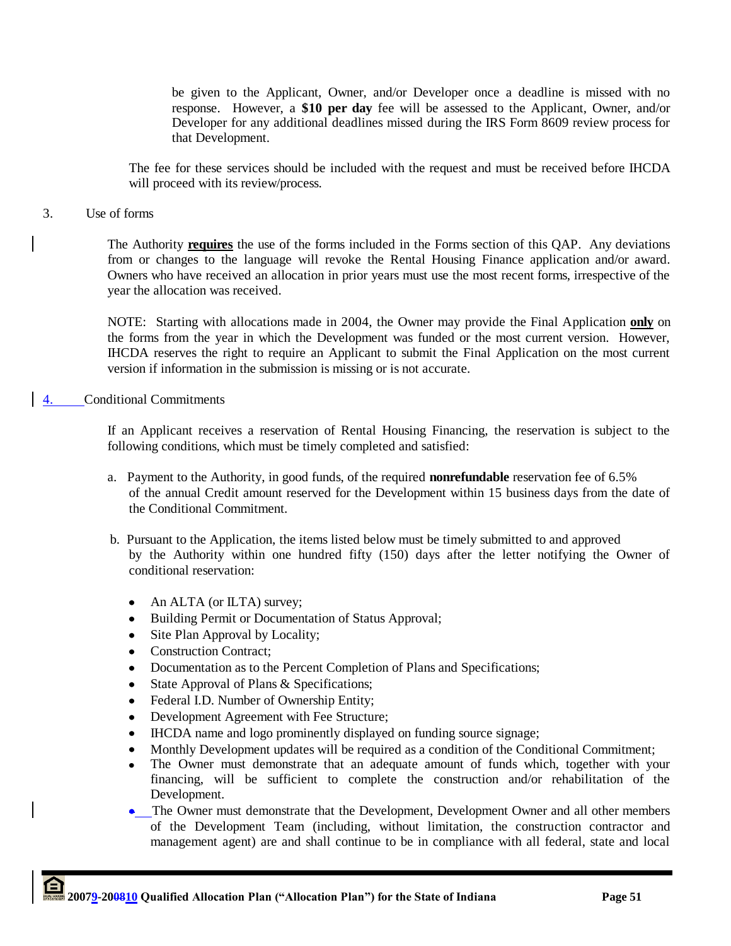be given to the Applicant, Owner, and/or Developer once a deadline is missed with no response. However, a **\$10 per day** fee will be assessed to the Applicant, Owner, and/or Developer for any additional deadlines missed during the IRS Form 8609 review process for that Development.

The fee for these services should be included with the request and must be received before IHCDA will proceed with its review/process.

### 3. Use of forms

The Authority **requires** the use of the forms included in the Forms section of this QAP. Any deviations from or changes to the language will revoke the Rental Housing Finance application and/or award. Owners who have received an allocation in prior years must use the most recent forms, irrespective of the year the allocation was received.

NOTE: Starting with allocations made in 2004, the Owner may provide the Final Application **only** on the forms from the year in which the Development was funded or the most current version. However, IHCDA reserves the right to require an Applicant to submit the Final Application on the most current version if information in the submission is missing or is not accurate.

#### 4. Conditional Commitments

If an Applicant receives a reservation of Rental Housing Financing, the reservation is subject to the following conditions, which must be timely completed and satisfied:

- a. Payment to the Authority, in good funds, of the required **nonrefundable** reservation fee of 6.5% of the annual Credit amount reserved for the Development within 15 business days from the date of the Conditional Commitment.
- b. Pursuant to the Application, the items listed below must be timely submitted to and approved by the Authority within one hundred fifty (150) days after the letter notifying the Owner of conditional reservation:
	- $\bullet$ An ALTA (or ILTA) survey;
	- Building Permit or Documentation of Status Approval;
	- Site Plan Approval by Locality;  $\bullet$
	- Construction Contract;
	- Documentation as to the Percent Completion of Plans and Specifications;
	- State Approval of Plans & Specifications;
	- Federal I.D. Number of Ownership Entity;
	- Development Agreement with Fee Structure;
	- IHCDA name and logo prominently displayed on funding source signage;
	- Monthly Development updates will be required as a condition of the Conditional Commitment;
	- The Owner must demonstrate that an adequate amount of funds which, together with your financing, will be sufficient to complete the construction and/or rehabilitation of the Development.
	- The Owner must demonstrate that the Development, Development Owner and all other members of the Development Team (including, without limitation, the construction contractor and management agent) are and shall continue to be in compliance with all federal, state and local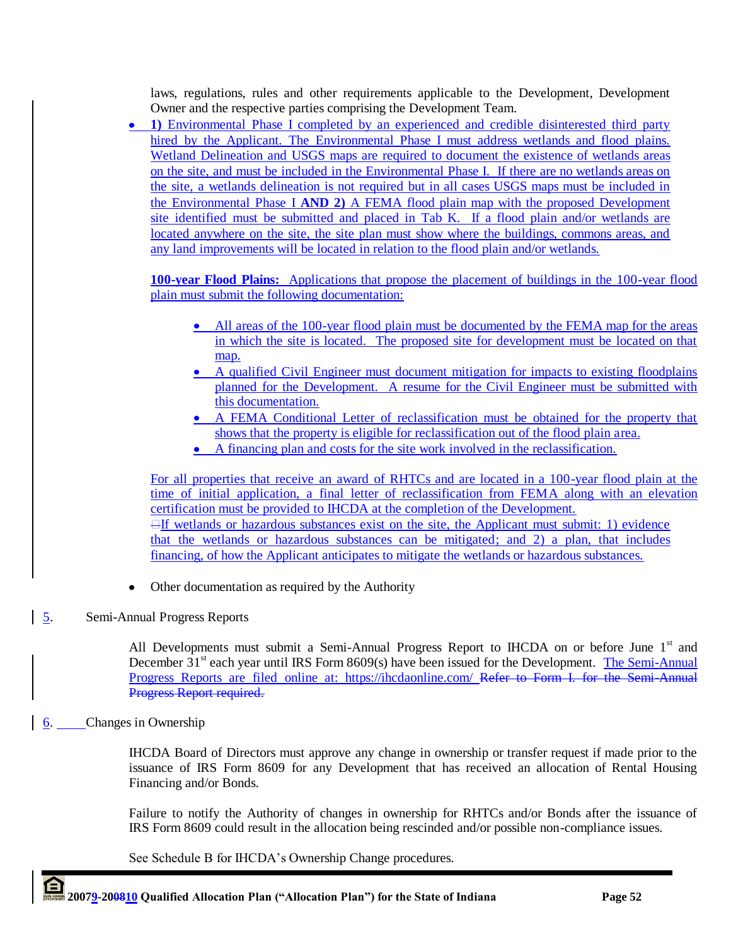laws, regulations, rules and other requirements applicable to the Development, Development Owner and the respective parties comprising the Development Team.

• 1) Environmental Phase I completed by an experienced and credible disinterested third party hired by the Applicant. The Environmental Phase I must address wetlands and flood plains. Wetland Delineation and USGS maps are required to document the existence of wetlands areas on the site, and must be included in the Environmental Phase I. If there are no wetlands areas on the site, a wetlands delineation is not required but in all cases USGS maps must be included in the Environmental Phase I **AND 2)** A FEMA flood plain map with the proposed Development site identified must be submitted and placed in Tab K. If a flood plain and/or wetlands are located anywhere on the site, the site plan must show where the buildings, commons areas, and any land improvements will be located in relation to the flood plain and/or wetlands.

**100-year Flood Plains:** Applications that propose the placement of buildings in the 100-year flood plain must submit the following documentation:

- All areas of the 100-year flood plain must be documented by the FEMA map for the areas in which the site is located. The proposed site for development must be located on that map.
- A qualified Civil Engineer must document mitigation for impacts to existing floodplains planned for the Development. A resume for the Civil Engineer must be submitted with this documentation.
- A FEMA Conditional Letter of reclassification must be obtained for the property that shows that the property is eligible for reclassification out of the flood plain area.
- A financing plan and costs for the site work involved in the reclassification.

For all properties that receive an award of RHTCs and are located in a 100-year flood plain at the time of initial application, a final letter of reclassification from FEMA along with an elevation certification must be provided to IHCDA at the completion of the Development.  $\exists$ If wetlands or hazardous substances exist on the site, the Applicant must submit: 1) evidence that the wetlands or hazardous substances can be mitigated; and 2) a plan, that includes financing, of how the Applicant anticipates to mitigate the wetlands or hazardous substances.

- $\bullet$ Other documentation as required by the Authority
- 5. Semi-Annual Progress Reports

All Developments must submit a Semi-Annual Progress Report to IHCDA on or before June 1<sup>st</sup> and December 31<sup>st</sup> each year until IRS Form 8609(s) have been issued for the Development. The Semi-Annual Progress Reports are filed online at: https://ihcdaonline.com/ Refer to Form I. for the Semi-Annual Progress Report required.

 $6.$  Changes in Ownership

IHCDA Board of Directors must approve any change in ownership or transfer request if made prior to the issuance of IRS Form 8609 for any Development that has received an allocation of Rental Housing Financing and/or Bonds.

Failure to notify the Authority of changes in ownership for RHTCs and/or Bonds after the issuance of IRS Form 8609 could result in the allocation being rescinded and/or possible non-compliance issues.

See Schedule B for IHCDA"s Ownership Change procedures.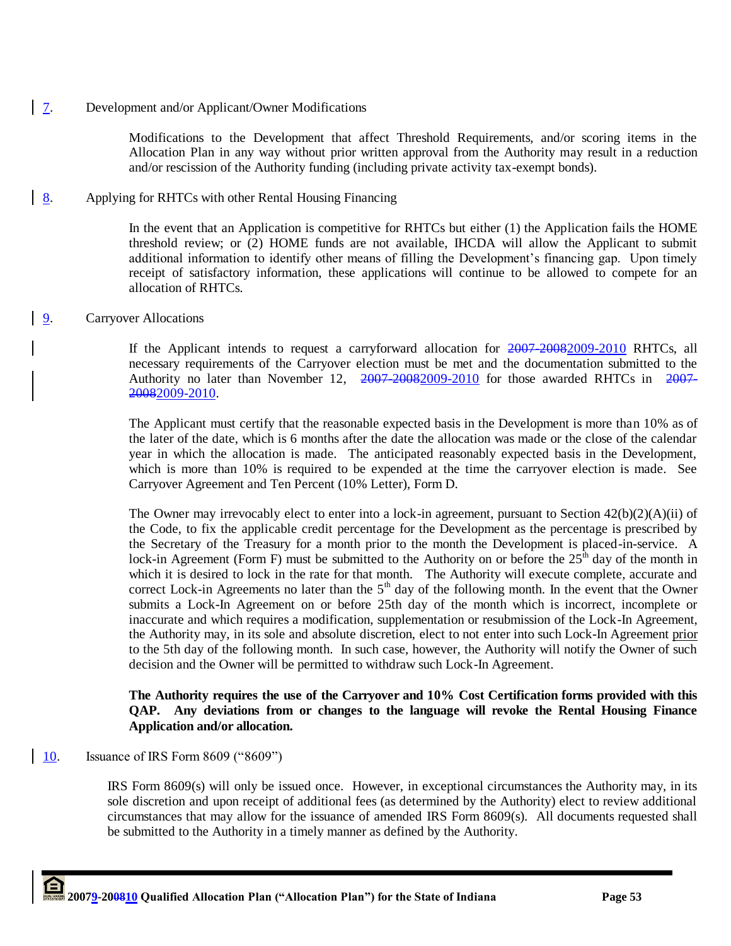## 7. Development and/or Applicant/Owner Modifications

Modifications to the Development that affect Threshold Requirements, and/or scoring items in the Allocation Plan in any way without prior written approval from the Authority may result in a reduction and/or rescission of the Authority funding (including private activity tax-exempt bonds).

# 8. Applying for RHTCs with other Rental Housing Financing

In the event that an Application is competitive for RHTCs but either (1) the Application fails the HOME threshold review; or (2) HOME funds are not available, IHCDA will allow the Applicant to submit additional information to identify other means of filling the Development's financing gap. Upon timely receipt of satisfactory information, these applications will continue to be allowed to compete for an allocation of RHTCs.

## 9. Carryover Allocations

If the Applicant intends to request a carryforward allocation for  $2007-20082009-2010$  RHTCs, all necessary requirements of the Carryover election must be met and the documentation submitted to the Authority no later than November 12, 2007-20082009-2010 for those awarded RHTCs in 2007-20082009-2010.

The Applicant must certify that the reasonable expected basis in the Development is more than 10% as of the later of the date, which is 6 months after the date the allocation was made or the close of the calendar year in which the allocation is made. The anticipated reasonably expected basis in the Development, which is more than 10% is required to be expended at the time the carryover election is made. See Carryover Agreement and Ten Percent (10% Letter), Form D.

The Owner may irrevocably elect to enter into a lock-in agreement, pursuant to Section 42(b)(2)(A)(ii) of the Code, to fix the applicable credit percentage for the Development as the percentage is prescribed by the Secretary of the Treasury for a month prior to the month the Development is placed-in-service. A lock-in Agreement (Form F) must be submitted to the Authority on or before the  $25<sup>th</sup>$  day of the month in which it is desired to lock in the rate for that month. The Authority will execute complete, accurate and correct Lock-in Agreements no later than the  $5<sup>th</sup>$  day of the following month. In the event that the Owner submits a Lock-In Agreement on or before 25th day of the month which is incorrect, incomplete or inaccurate and which requires a modification, supplementation or resubmission of the Lock-In Agreement, the Authority may, in its sole and absolute discretion, elect to not enter into such Lock-In Agreement prior to the 5th day of the following month. In such case, however, the Authority will notify the Owner of such decision and the Owner will be permitted to withdraw such Lock-In Agreement.

## **The Authority requires the use of the Carryover and 10% Cost Certification forms provided with this QAP. Any deviations from or changes to the language will revoke the Rental Housing Finance Application and/or allocation.**

## 10. Issuance of IRS Form 8609 ("8609")

IRS Form 8609(s) will only be issued once. However, in exceptional circumstances the Authority may, in its sole discretion and upon receipt of additional fees (as determined by the Authority) elect to review additional circumstances that may allow for the issuance of amended IRS Form 8609(s). All documents requested shall be submitted to the Authority in a timely manner as defined by the Authority.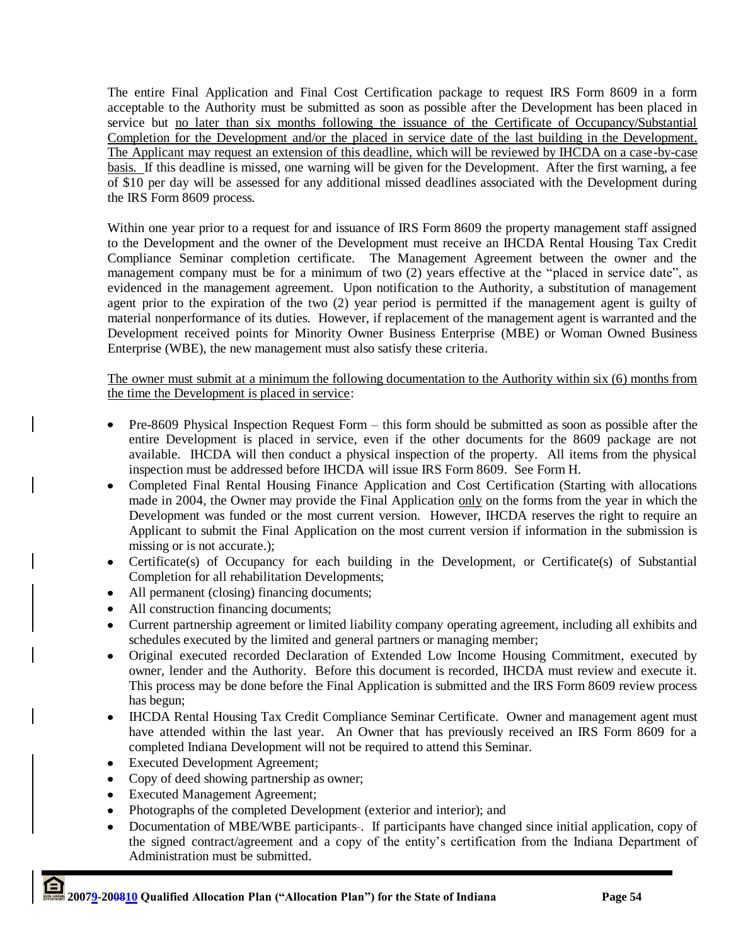The entire Final Application and Final Cost Certification package to request IRS Form 8609 in a form acceptable to the Authority must be submitted as soon as possible after the Development has been placed in service but no later than six months following the issuance of the Certificate of Occupancy/Substantial Completion for the Development and/or the placed in service date of the last building in the Development. The Applicant may request an extension of this deadline, which will be reviewed by IHCDA on a case-by-case basis. If this deadline is missed, one warning will be given for the Development. After the first warning, a fee of \$10 per day will be assessed for any additional missed deadlines associated with the Development during the IRS Form 8609 process.

Within one year prior to a request for and issuance of IRS Form 8609 the property management staff assigned to the Development and the owner of the Development must receive an IHCDA Rental Housing Tax Credit Compliance Seminar completion certificate. The Management Agreement between the owner and the management company must be for a minimum of two (2) years effective at the "placed in service date", as evidenced in the management agreement. Upon notification to the Authority, a substitution of management agent prior to the expiration of the two (2) year period is permitted if the management agent is guilty of material nonperformance of its duties. However, if replacement of the management agent is warranted and the Development received points for Minority Owner Business Enterprise (MBE) or Woman Owned Business Enterprise (WBE), the new management must also satisfy these criteria.

The owner must submit at a minimum the following documentation to the Authority within six (6) months from the time the Development is placed in service:

- Pre-8609 Physical Inspection Request Form this form should be submitted as soon as possible after the  $\bullet$ entire Development is placed in service, even if the other documents for the 8609 package are not available. IHCDA will then conduct a physical inspection of the property. All items from the physical inspection must be addressed before IHCDA will issue IRS Form 8609. See Form H.
- Completed Final Rental Housing Finance Application and Cost Certification (Starting with allocations  $\bullet$ made in 2004, the Owner may provide the Final Application only on the forms from the year in which the Development was funded or the most current version. However, IHCDA reserves the right to require an Applicant to submit the Final Application on the most current version if information in the submission is missing or is not accurate.);
- Certificate(s) of Occupancy for each building in the Development, or Certificate(s) of Substantial Completion for all rehabilitation Developments;
- All permanent (closing) financing documents;
- All construction financing documents;
- Current partnership agreement or limited liability company operating agreement, including all exhibits and schedules executed by the limited and general partners or managing member;
- Original executed recorded Declaration of Extended Low Income Housing Commitment, executed by owner, lender and the Authority. Before this document is recorded, IHCDA must review and execute it. This process may be done before the Final Application is submitted and the IRS Form 8609 review process has begun;
- IHCDA Rental Housing Tax Credit Compliance Seminar Certificate. Owner and management agent must  $\bullet$ have attended within the last year. An Owner that has previously received an IRS Form 8609 for a completed Indiana Development will not be required to attend this Seminar.
- Executed Development Agreement;
- Copy of deed showing partnership as owner;
- Executed Management Agreement;
- Photographs of the completed Development (exterior and interior); and
- Documentation of MBE/WBE participants . If participants have changed since initial application, copy of the signed contract/agreement and a copy of the entity"s certification from the Indiana Department of Administration must be submitted.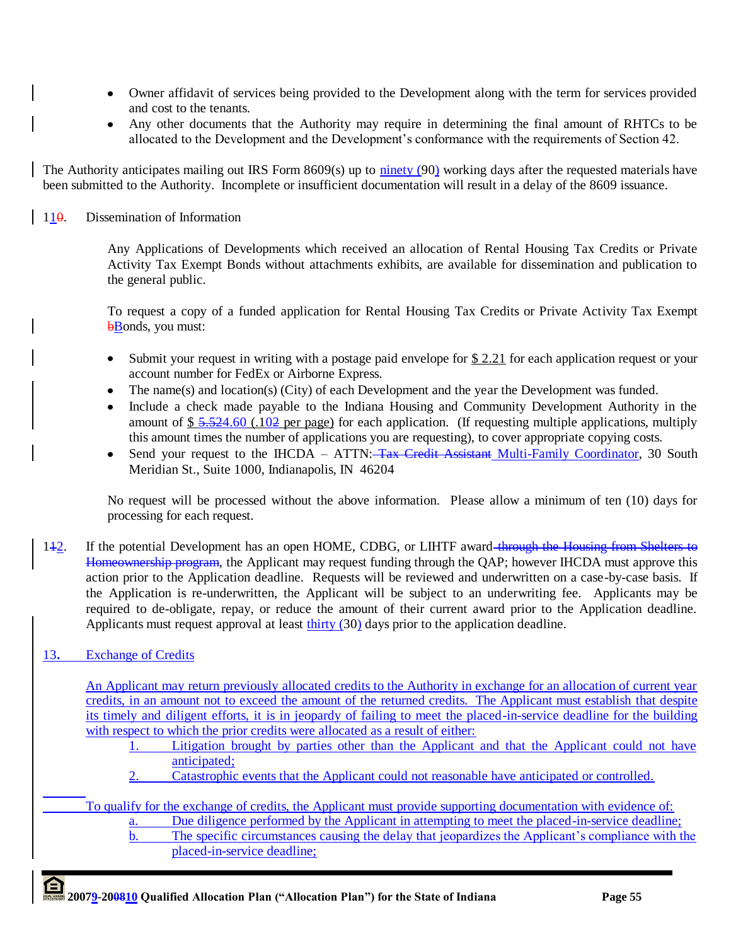- Owner affidavit of services being provided to the Development along with the term for services provided and cost to the tenants.
- Any other documents that the Authority may require in determining the final amount of RHTCs to be allocated to the Development and the Development's conformance with the requirements of Section 42.

The Authority anticipates mailing out IRS Form 8609(s) up to ninety (90) working days after the requested materials have been submitted to the Authority. Incomplete or insufficient documentation will result in a delay of the 8609 issuance.

110. Dissemination of Information

Any Applications of Developments which received an allocation of Rental Housing Tax Credits or Private Activity Tax Exempt Bonds without attachments exhibits, are available for dissemination and publication to the general public.

To request a copy of a funded application for Rental Housing Tax Credits or Private Activity Tax Exempt **bBonds**, you must:

- Submit your request in writing with a postage paid envelope for \$2.21 for each application request or your account number for FedEx or Airborne Express.
- The name(s) and location(s) (City) of each Development and the year the Development was funded.
- Include a check made payable to the Indiana Housing and Community Development Authority in the amount of  $$ 5.524.60$  (.102 per page) for each application. (If requesting multiple applications, multiply this amount times the number of applications you are requesting), to cover appropriate copying costs.
- Send your request to the IHCDA ATTN: Tax Credit Assistant Multi-Family Coordinator, 30 South Meridian St., Suite 1000, Indianapolis, IN 46204

No request will be processed without the above information. Please allow a minimum of ten (10) days for processing for each request.

142. If the potential Development has an open HOME, CDBG, or LIHTF award through the Housing from Shelters to Homeownership program, the Applicant may request funding through the QAP; however IHCDA must approve this action prior to the Application deadline. Requests will be reviewed and underwritten on a case-by-case basis. If the Application is re-underwritten, the Applicant will be subject to an underwriting fee. Applicants may be required to de-obligate, repay, or reduce the amount of their current award prior to the Application deadline. Applicants must request approval at least thirty (30) days prior to the application deadline.

# 13**.** Exchange of Credits

An Applicant may return previously allocated credits to the Authority in exchange for an allocation of current year credits, in an amount not to exceed the amount of the returned credits. The Applicant must establish that despite its timely and diligent efforts, it is in jeopardy of failing to meet the placed-in-service deadline for the building with respect to which the prior credits were allocated as a result of either:

1. Litigation brought by parties other than the Applicant and that the Applicant could not have anticipated;

2. Catastrophic events that the Applicant could not reasonable have anticipated or controlled.

To qualify for the exchange of credits, the Applicant must provide supporting documentation with evidence of: a. Due diligence performed by the Applicant in attempting to meet the placed-in-service deadline;

b. The specific circumstances causing the delay that jeopardizes the Applicant's compliance with the placed-in-service deadline;